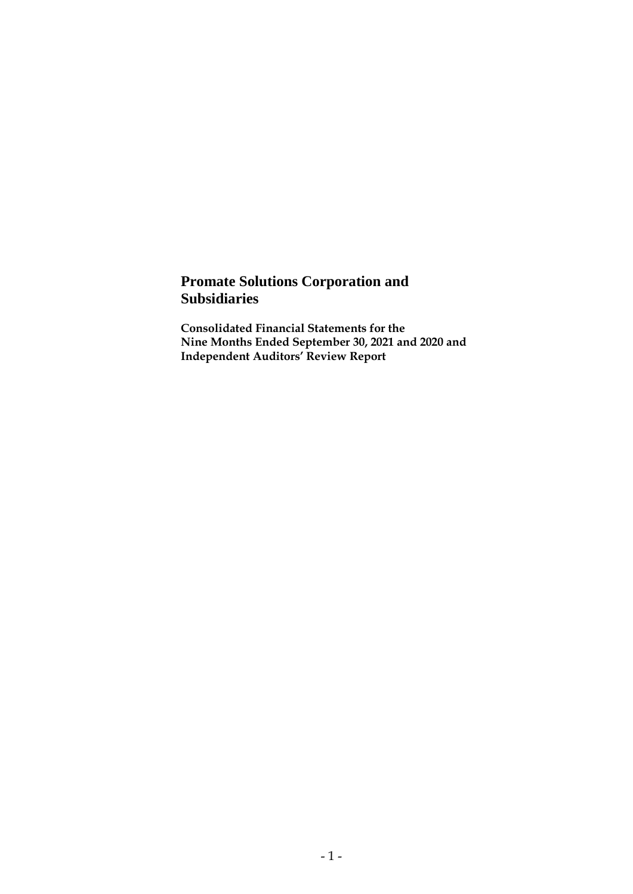# **Promate Solutions Corporation and Subsidiaries**

**Consolidated Financial Statements for the Nine Months Ended September 30, 2021 and 2020 and Independent Auditors' Review Report**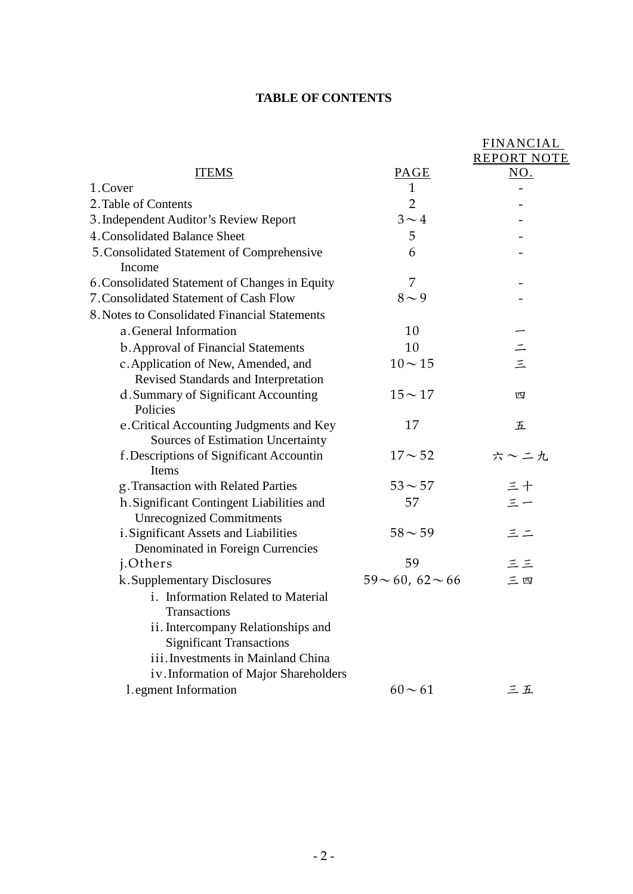# **TABLE OF CONTENTS**

|                                                                              |                          | <b>FINANCIAL</b>   |
|------------------------------------------------------------------------------|--------------------------|--------------------|
|                                                                              |                          | <b>REPORT NOTE</b> |
| <b>ITEMS</b>                                                                 | PAGE                     | NO.                |
| 1.Cover                                                                      | $\mathbf{1}$             |                    |
| 2. Table of Contents                                                         | $\overline{2}$           |                    |
| 3. Independent Auditor's Review Report                                       | $3 \sim 4$               |                    |
| 4. Consolidated Balance Sheet                                                | 5                        |                    |
| 5. Consolidated Statement of Comprehensive<br>Income                         | 6                        |                    |
| 6. Consolidated Statement of Changes in Equity                               | 7                        |                    |
| 7. Consolidated Statement of Cash Flow                                       | $8\sim9$                 |                    |
| 8. Notes to Consolidated Financial Statements                                |                          |                    |
| a. General Information                                                       | 10                       |                    |
| <b>b.</b> Approval of Financial Statements                                   | 10                       |                    |
| c. Application of New, Amended, and                                          | $10 - 15$                | $\equiv$           |
| Revised Standards and Interpretation                                         |                          |                    |
| d. Summary of Significant Accounting<br>Policies                             | $15 - 17$                | 四                  |
| e. Critical Accounting Judgments and Key                                     | 17                       | 五                  |
| Sources of Estimation Uncertainty                                            |                          |                    |
| f. Descriptions of Significant Accountin<br>Items                            | $17 - 52$                | 六~二九               |
| g. Transaction with Related Parties                                          | $53 - 57$                | 三十                 |
| h. Significant Contingent Liabilities and<br><b>Unrecognized Commitments</b> | 57                       | $\leq -$           |
| i. Significant Assets and Liabilities<br>Denominated in Foreign Currencies   | $58 - 59$                | 三二                 |
| j.Others                                                                     | 59                       | 三三                 |
| k. Supplementary Disclosures                                                 | $59 \sim 60, 62 \sim 66$ | 三四                 |
| i. Information Related to Material<br><b>Transactions</b>                    |                          |                    |
| ii. Intercompany Relationships and<br><b>Significant Transactions</b>        |                          |                    |
| iii. Investments in Mainland China                                           |                          |                    |
| iv. Information of Major Shareholders                                        |                          |                    |
| 1.egment Information                                                         | $60 - 61$                | 三五                 |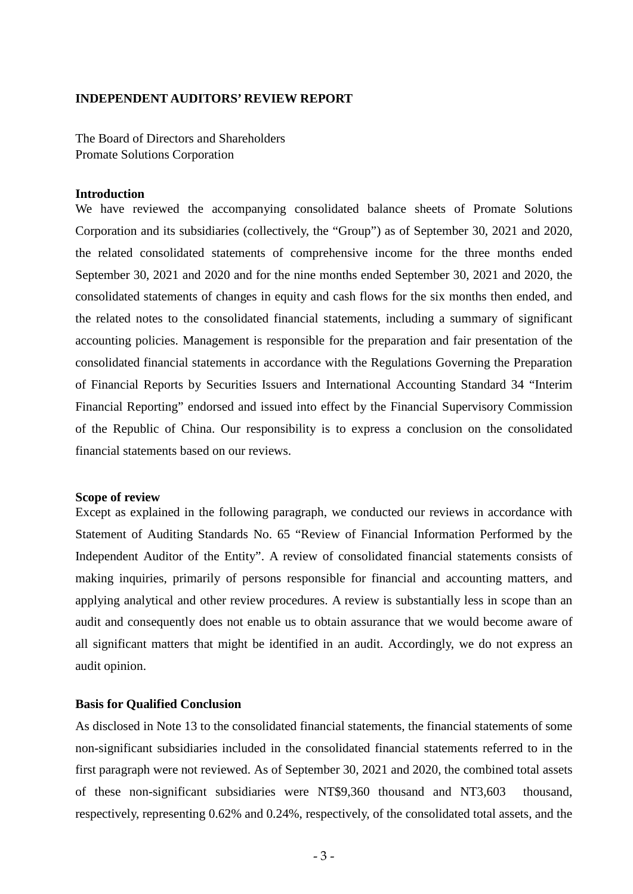#### **INDEPENDENT AUDITORS' REVIEW REPORT**

The Board of Directors and Shareholders Promate Solutions Corporation

#### **Introduction**

We have reviewed the accompanying consolidated balance sheets of Promate Solutions Corporation and its subsidiaries (collectively, the "Group") as of September 30, 2021 and 2020, the related consolidated statements of comprehensive income for the three months ended September 30, 2021 and 2020 and for the nine months ended September 30, 2021 and 2020, the consolidated statements of changes in equity and cash flows for the six months then ended, and the related notes to the consolidated financial statements, including a summary of significant accounting policies. Management is responsible for the preparation and fair presentation of the consolidated financial statements in accordance with the Regulations Governing the Preparation of Financial Reports by Securities Issuers and International Accounting Standard 34 "Interim Financial Reporting" endorsed and issued into effect by the Financial Supervisory Commission of the Republic of China. Our responsibility is to express a conclusion on the consolidated financial statements based on our reviews.

#### **Scope of review**

Except as explained in the following paragraph, we conducted our reviews in accordance with Statement of Auditing Standards No. 65 "Review of Financial Information Performed by the Independent Auditor of the Entity". A review of consolidated financial statements consists of making inquiries, primarily of persons responsible for financial and accounting matters, and applying analytical and other review procedures. A review is substantially less in scope than an audit and consequently does not enable us to obtain assurance that we would become aware of all significant matters that might be identified in an audit. Accordingly, we do not express an audit opinion.

#### **Basis for Qualified Conclusion**

As disclosed in Note 13 to the consolidated financial statements, the financial statements of some non-significant subsidiaries included in the consolidated financial statements referred to in the first paragraph were not reviewed. As of September 30, 2021 and 2020, the combined total assets of these non-significant subsidiaries were NT\$9,360 thousand and NT3,603 thousand, respectively, representing 0.62% and 0.24%, respectively, of the consolidated total assets, and the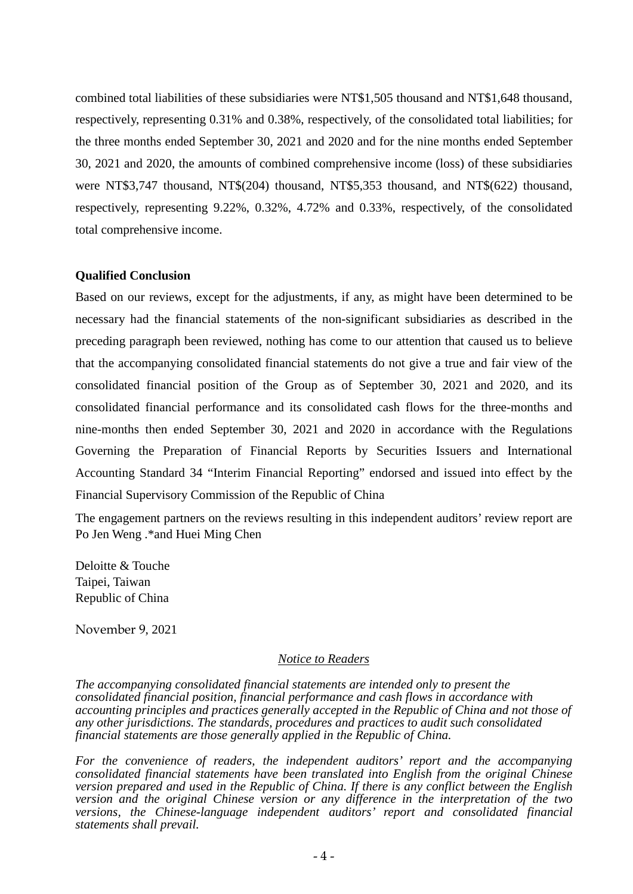combined total liabilities of these subsidiaries were NT\$1,505 thousand and NT\$1,648 thousand, respectively, representing 0.31% and 0.38%, respectively, of the consolidated total liabilities; for the three months ended September 30, 2021 and 2020 and for the nine months ended September 30, 2021 and 2020, the amounts of combined comprehensive income (loss) of these subsidiaries were NT\$3,747 thousand, NT\$(204) thousand, NT\$5,353 thousand, and NT\$(622) thousand, respectively, representing 9.22%, 0.32%, 4.72% and 0.33%, respectively, of the consolidated total comprehensive income.

#### **Qualified Conclusion**

Based on our reviews, except for the adjustments, if any, as might have been determined to be necessary had the financial statements of the non-significant subsidiaries as described in the preceding paragraph been reviewed, nothing has come to our attention that caused us to believe that the accompanying consolidated financial statements do not give a true and fair view of the consolidated financial position of the Group as of September 30, 2021 and 2020, and its consolidated financial performance and its consolidated cash flows for the three-months and nine-months then ended September 30, 2021 and 2020 in accordance with the Regulations Governing the Preparation of Financial Reports by Securities Issuers and International Accounting Standard 34 "Interim Financial Reporting" endorsed and issued into effect by the Financial Supervisory Commission of the Republic of China

The engagement partners on the reviews resulting in this independent auditors' review report are Po Jen Weng .\*and Huei Ming Chen

Deloitte & Touche Taipei, Taiwan Republic of China

November 9, 2021

#### *Notice to Readers*

*The accompanying consolidated financial statements are intended only to present the consolidated financial position, financial performance and cash flows in accordance with accounting principles and practices generally accepted in the Republic of China and not those of any other jurisdictions. The standards, procedures and practices to audit such consolidated financial statements are those generally applied in the Republic of China.* 

*For the convenience of readers, the independent auditors' report and the accompanying consolidated financial statements have been translated into English from the original Chinese version prepared and used in the Republic of China. If there is any conflict between the English version and the original Chinese version or any difference in the interpretation of the two versions, the Chinese-language independent auditors' report and consolidated financial statements shall prevail.*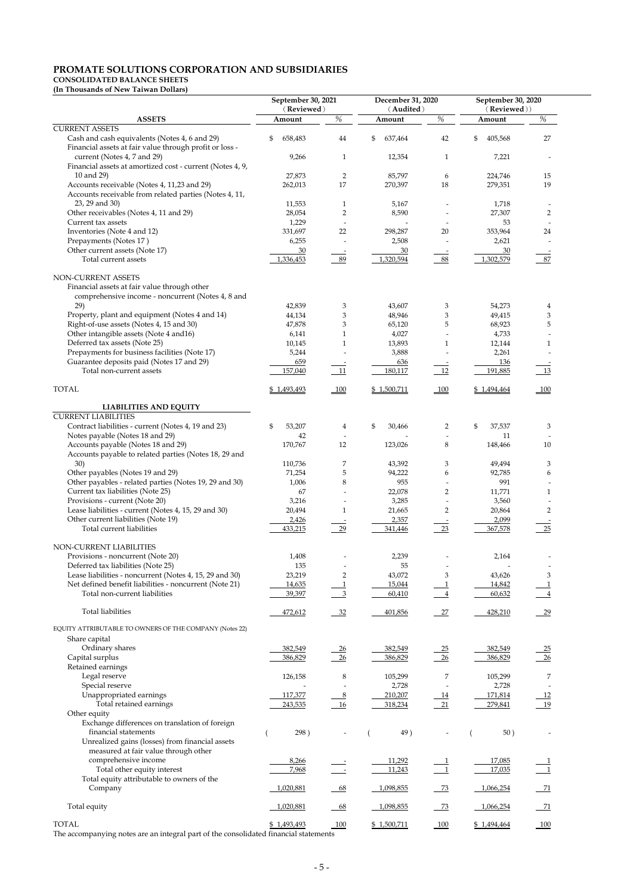# **PROMATE SOLUTIONS CORPORATION AND SUBSIDIARIES**

# **CONSOLIDATED BALANCE SHEETS**

**(In Thousands of New Taiwan Dollars)**

|                                                                                                                                   | September 30, 2021 |                                | December 31, 2020 |                               | September 30, 2020 |                               |  |
|-----------------------------------------------------------------------------------------------------------------------------------|--------------------|--------------------------------|-------------------|-------------------------------|--------------------|-------------------------------|--|
|                                                                                                                                   | (Reviewed)         |                                | (Audited)         |                               | (Reviewed))        |                               |  |
| <b>ASSETS</b>                                                                                                                     | Amount             | $\%$                           | Amount            | $\%$                          | Amount             | %                             |  |
| <b>CURRENT ASSETS</b><br>Cash and cash equivalents (Notes 4, 6 and 29)<br>Financial assets at fair value through profit or loss - | \$<br>658,483      | 44                             | \$<br>637,464     | 42                            | \$<br>405,568      | $27\,$                        |  |
| current (Notes 4, 7 and 29)<br>Financial assets at amortized cost - current (Notes 4, 9,                                          | 9,266              | $\mathbf{1}$                   | 12,354            | $\mathbf 1$                   | 7,221              |                               |  |
| 10 and 29)                                                                                                                        | 27,873             | $\overline{2}$                 | 85,797            | 6                             | 224,746            | 15                            |  |
| Accounts receivable (Notes 4, 11,23 and 29)<br>Accounts receivable from related parties (Notes 4, 11,                             | 262,013            | $17\,$                         | 270,397           | 18                            | 279,351            | 19                            |  |
| 23, 29 and 30)                                                                                                                    | 11,553             | $\mathbf{1}$                   | 5,167             |                               | 1,718              |                               |  |
| Other receivables (Notes 4, 11 and 29)                                                                                            | 28,054             | $\overline{2}$                 | 8,590             |                               | 27,307             | $\overline{2}$                |  |
| Current tax assets                                                                                                                | 1,229              |                                |                   |                               | 53                 |                               |  |
| Inventories (Note 4 and 12)<br>Prepayments (Notes 17)                                                                             | 331,697            | 22                             | 298,287           | 20                            | 353,964            | 24                            |  |
| Other current assets (Note 17)                                                                                                    | 6,255<br>30        |                                | 2,508<br>30       |                               | 2,621<br>30        |                               |  |
| Total current assets                                                                                                              | 1,336,453          | 89                             | 1,320,594         | 88                            | 1,302,579          | 87                            |  |
| NON-CURRENT ASSETS<br>Financial assets at fair value through other<br>comprehensive income - noncurrent (Notes 4, 8 and<br>29)    | 42,839             | 3                              | 43,607            | 3                             | 54,273             | $\overline{\mathbf{4}}$       |  |
| Property, plant and equipment (Notes 4 and 14)                                                                                    | 44,134             | 3                              | 48,946            | 3                             | 49,415             | $\ensuremath{\mathbf{3}}$     |  |
| Right-of-use assets (Notes 4, 15 and 30)                                                                                          | 47,878             | 3                              | 65,120            | 5                             | 68,923             | $\mathbf 5$                   |  |
| Other intangible assets (Note 4 and 16)                                                                                           | 6,141              | 1                              | 4,027             |                               | 4,733              |                               |  |
| Deferred tax assets (Note 25)                                                                                                     | 10,145             | $\mathbf{1}$                   | 13,893            | $\mathbf{1}$                  | 12,144             | 1                             |  |
| Prepayments for business facilities (Note 17)                                                                                     | 5,244              |                                | 3,888             |                               | 2,261              |                               |  |
| Guarantee deposits paid (Notes 17 and 29)                                                                                         | 659                |                                | 636               |                               | 136                |                               |  |
| Total non-current assets                                                                                                          | 157,040            | 11                             | 180,117           | 12                            | 191,885            | 13                            |  |
| <b>TOTAL</b>                                                                                                                      | \$1,493,493        | 100                            | \$1,500,711       | 100                           | \$1,494,464        | $\underline{\hspace{1cm}}100$ |  |
| <b>LIABILITIES AND EQUITY</b>                                                                                                     |                    |                                |                   |                               |                    |                               |  |
| <b>CURRENT LIABILITIES</b>                                                                                                        |                    |                                |                   |                               |                    |                               |  |
| Contract liabilities - current (Notes 4, 19 and 23)                                                                               | 53,207<br>\$       | 4                              | \$<br>30,466      | 2                             | 37,537<br>\$       | 3                             |  |
| Notes payable (Notes 18 and 29)<br>Accounts payable (Notes 18 and 29)                                                             | 42<br>170,767      | $\overline{\phantom{a}}$<br>12 | 123,026           | 8                             | 11<br>148,466      | 10                            |  |
| Accounts payable to related parties (Notes 18, 29 and<br>30)                                                                      | 110,736            | 7                              | 43,392            | 3                             | 49,494             | 3                             |  |
| Other payables (Notes 19 and 29)                                                                                                  | 71,254             | 5                              | 94,222            | 6                             | 92,785             | 6                             |  |
| Other payables - related parties (Notes 19, 29 and 30)                                                                            | 1,006              | 8                              | 955               |                               | 991                |                               |  |
| Current tax liabilities (Note 25)                                                                                                 | 67                 |                                | 22,078            | $\overline{2}$                | 11,771             | 1                             |  |
| Provisions - current (Note 20)                                                                                                    | 3,216              |                                | 3,285             |                               | 3,560              |                               |  |
| Lease liabilities - current (Notes 4, 15, 29 and 30)                                                                              | 20,494             | $\mathbf{1}$                   | 21,665            | $\overline{2}$                | 20,864             | $\overline{2}$                |  |
| Other current liabilities (Note 19)                                                                                               | 2,426              |                                | 2,357             |                               | 2,099              |                               |  |
| Total current liabilities                                                                                                         | 433,215            | 29                             | 341,446           | $-23$                         | 367,578            | 25                            |  |
| NON-CURRENT LIABILITIES                                                                                                           |                    |                                |                   |                               |                    |                               |  |
| Provisions - noncurrent (Note 20)                                                                                                 | 1,408              |                                | 2,239             |                               | 2,164              |                               |  |
| Deferred tax liabilities (Note 25)                                                                                                | 135                |                                | 55                |                               |                    |                               |  |
| Lease liabilities - noncurrent (Notes 4, 15, 29 and 30)                                                                           | 23,219             | $\overline{2}$                 | 43,072            | 3                             | 43,626             | 3                             |  |
| Net defined benefit liabilities - noncurrent (Note 21)                                                                            | 14,635             | $\overline{1}$                 | 15,044            |                               | 14,842             |                               |  |
| Total non-current liabilities                                                                                                     | 39,397             | $\overline{3}$                 | 60,410            | $\overline{4}$                | 60,632             |                               |  |
| <b>Total liabilities</b>                                                                                                          | 472,612            | $-32$                          | 401,856           | 27                            | 428,210            | $-29$                         |  |
| EQUITY ATTRIBUTABLE TO OWNERS OF THE COMPANY (Notes 22)                                                                           |                    |                                |                   |                               |                    |                               |  |
| Share capital<br>Ordinary shares                                                                                                  | 382,549            |                                | 382,549           |                               | 382,549            |                               |  |
| Capital surplus                                                                                                                   | 386,829            | $\frac{26}{ }$<br>26           | 386,829           | $-25$<br>26                   | 386,829            | $\frac{25}{2}$<br>26          |  |
| Retained earnings                                                                                                                 |                    |                                |                   |                               |                    |                               |  |
| Legal reserve                                                                                                                     | 126,158            | $\,8\,$                        | 105,299           | $\boldsymbol{7}$              | 105,299            | $\overline{7}$                |  |
| Special reserve                                                                                                                   |                    |                                | 2,728             |                               | 2,728              |                               |  |
| Unappropriated earnings                                                                                                           | 117,377            | $\frac{8}{2}$                  | 210,207           | <u>14</u>                     | 171,814            | 12                            |  |
| Total retained earnings                                                                                                           | 243,535            | 16                             | 318,234           | 21                            | 279,841            | 19                            |  |
| Other equity                                                                                                                      |                    |                                |                   |                               |                    |                               |  |
| Exchange differences on translation of foreign                                                                                    |                    |                                |                   |                               |                    |                               |  |
| financial statements<br>Unrealized gains (losses) from financial assets                                                           | 298)               |                                | 49)               |                               | 50)                |                               |  |
| measured at fair value through other                                                                                              |                    |                                |                   |                               |                    |                               |  |
| comprehensive income                                                                                                              | 8,266              |                                | 11,292            |                               | 17,085             | $\mathbf{1}$                  |  |
| Total other equity interest                                                                                                       | 7,968              |                                | 11,243            | $\overline{\phantom{0}}$ 1    | 17,035             | $\overline{\phantom{0}}$ 1    |  |
| Total equity attributable to owners of the                                                                                        |                    |                                |                   |                               |                    |                               |  |
| Company                                                                                                                           | 1,020,881          | 68                             | 1,098,855         | $-73$                         | 1,066,254          | $-71$                         |  |
| Total equity                                                                                                                      | 1,020,881          | 68                             | 1,098,855         | $-73$                         | 1,066,254          | $-71$                         |  |
| <b>TOTAL</b>                                                                                                                      | \$1,493,493        | 100                            | \$1,500,711       | $\underline{\underline{100}}$ | \$1,494,464        | $-100$                        |  |

The accompanying notes are an integral part of the consolidated financial statements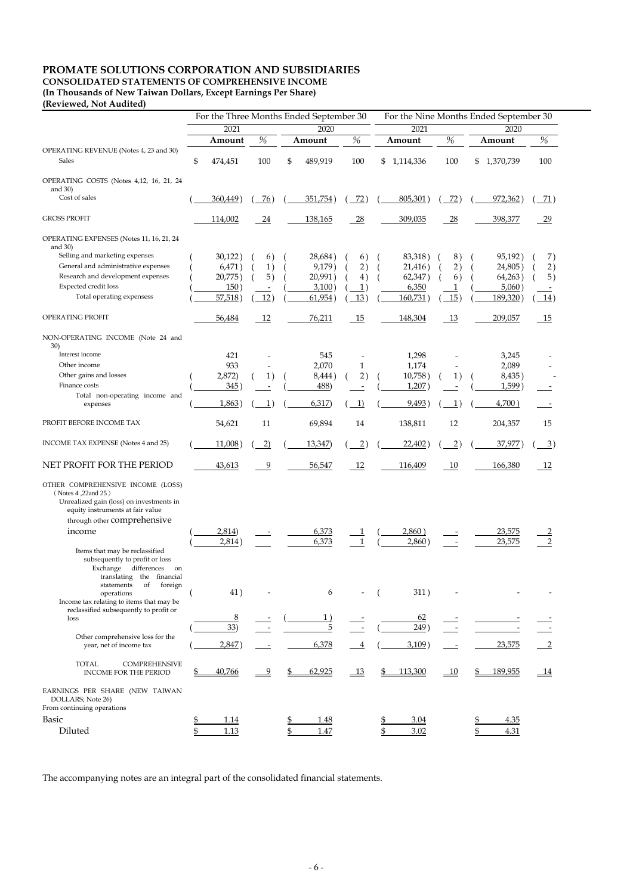# **PROMATE SOLUTIONS CORPORATION AND SUBSIDIARIES**

**CONSOLIDATED STATEMENTS OF COMPREHENSIVE INCOME**

**(In Thousands of New Taiwan Dollars, Except Earnings Per Share)**

# **(Reviewed, Not Audited)**

|                                                                                                                                                                        | For the Three Months Ended September 30 |          |                   |      | For the Nine Months Ended September 30 |                 |                          |                 |                 |                   |  |
|------------------------------------------------------------------------------------------------------------------------------------------------------------------------|-----------------------------------------|----------|-------------------|------|----------------------------------------|-----------------|--------------------------|-----------------|-----------------|-------------------|--|
|                                                                                                                                                                        |                                         | 2021     |                   | 2020 |                                        |                 | 2021                     |                 | 2020            |                   |  |
|                                                                                                                                                                        |                                         | Amount   | $\%$              |      | Amount                                 | %               | Amount                   | %               | Amount          | $\%$              |  |
| OPERATING REVENUE (Notes 4, 23 and 30)<br>Sales                                                                                                                        | \$                                      | 474,451  | 100               | \$   | 489,919                                | 100             | \$<br>1,114,336          | 100             | 1,370,739<br>\$ | 100               |  |
| OPERATING COSTS (Notes 4,12, 16, 21, 24<br>and $30$ )                                                                                                                  |                                         |          |                   |      |                                        |                 |                          |                 |                 |                   |  |
| Cost of sales                                                                                                                                                          |                                         | 360,449) | (76)              |      | 351,754)                               | 72)             | 805,301                  | 72)             | 972,362)        | <u>71</u> )       |  |
| <b>GROSS PROFIT</b>                                                                                                                                                    |                                         | 114,002  | 24                |      | 138,165                                | 28              | 309,035                  | 28              | 398,377         | $\overline{29}$   |  |
| OPERATING EXPENSES (Notes 11, 16, 21, 24<br>and $30$ )                                                                                                                 |                                         |          |                   |      |                                        |                 |                          |                 |                 |                   |  |
| Selling and marketing expenses                                                                                                                                         |                                         | 30,122)  | 6)                |      | 28,684)                                | 6)              | 83,318)                  | 8)              | 95,192)         | 7)                |  |
| General and administrative expenses                                                                                                                                    |                                         | 6,471)   | 1)                |      | 9,179)                                 | 2)              | 21,416)                  | 2)              | 24,805)         | 2)                |  |
| Research and development expenses                                                                                                                                      |                                         | 20,775)  | 5)                |      | 20,991)                                | 4)              | 62,347)                  | 6)              | 64,263)         | 5)                |  |
| Expected credit loss                                                                                                                                                   |                                         | 150)     |                   |      | 3,100)                                 | $\mathbf{1}$    | 6,350                    | 1               | 5,060)          |                   |  |
| Total operating expensess                                                                                                                                              |                                         | 57,518   | 12)               |      | 61,954)                                | 13)             | 160,731                  | 15)             | 189,320         | $\underline{14})$ |  |
| OPERATING PROFIT                                                                                                                                                       |                                         | 56,484   | 12                |      | 76,211                                 | 15              | 148,304                  | 13              | 209,057         | 15                |  |
| NON-OPERATING INCOME (Note 24 and<br>30)                                                                                                                               |                                         |          |                   |      |                                        |                 |                          |                 |                 |                   |  |
| Interest income                                                                                                                                                        |                                         | 421      |                   |      | 545                                    |                 | 1,298                    |                 | 3,245           |                   |  |
| Other income                                                                                                                                                           |                                         | 933      |                   |      | 2,070                                  | $\mathbf{1}$    | 1,174                    |                 | 2,089           |                   |  |
| Other gains and losses                                                                                                                                                 |                                         | 2,872)   | 1)                |      | 8,444)                                 | 2)              | 10,758)                  | 1)              | 8,435)          |                   |  |
| Finance costs                                                                                                                                                          |                                         | 345)     |                   |      | 488)                                   |                 | 1,207                    |                 | $1,599$ )       |                   |  |
| Total non-operating income and                                                                                                                                         |                                         |          |                   |      |                                        |                 |                          |                 |                 |                   |  |
| expenses                                                                                                                                                               |                                         | 1,863    | $\left  \right $  |      | 6,317                                  | 1)              | 9,493)                   | $1^{\circ}$     | 4,700)          |                   |  |
| PROFIT BEFORE INCOME TAX                                                                                                                                               |                                         | 54,621   | 11                |      | 69,894                                 | 14              | 138,811                  | 12              | 204,357         | 15                |  |
| INCOME TAX EXPENSE (Notes 4 and 25)                                                                                                                                    |                                         | 11,008)  | $\left( 2\right)$ |      | 13,347                                 | $\overline{2})$ | 22,402)                  | $\overline{2})$ | $37,977$ )      | $\overline{3})$   |  |
| NET PROFIT FOR THE PERIOD                                                                                                                                              |                                         | 43,613   | 9                 |      | 56,547                                 | 12              | 116,409                  | - 10            | 166,380         | - 12              |  |
| OTHER COMPREHENSIVE INCOME (LOSS)<br>(Notes 4,22and 25)<br>Unrealized gain (loss) on investments in<br>equity instruments at fair value<br>through other comprehensive |                                         |          |                   |      |                                        |                 |                          |                 |                 |                   |  |
| income                                                                                                                                                                 |                                         | 2,814)   |                   |      | 6,373                                  |                 | 2,860)                   |                 | 23,575          |                   |  |
|                                                                                                                                                                        |                                         | 2,814)   |                   |      | 6,373                                  |                 | 2,860)                   |                 | 23,575          |                   |  |
| Items that may be reclassified<br>subsequently to profit or loss<br>Exchange differences<br>on<br>translating the financial                                            |                                         |          |                   |      |                                        |                 |                          |                 |                 |                   |  |
| of<br>foreign<br>statements<br>operations<br>Income tax relating to items that may be                                                                                  |                                         | 41)      |                   |      | 6                                      |                 | 311)                     |                 |                 |                   |  |
| reclassified subsequently to profit or<br>loss                                                                                                                         |                                         | 8        |                   |      |                                        |                 | 62                       |                 |                 |                   |  |
|                                                                                                                                                                        |                                         | 33)      |                   |      | 5                                      |                 | 249)                     |                 |                 |                   |  |
| Other comprehensive loss for the                                                                                                                                       |                                         |          |                   |      |                                        |                 |                          |                 |                 |                   |  |
| year, net of income tax                                                                                                                                                |                                         | 2,847    |                   |      | 6,378                                  | $\overline{4}$  | $3,109$ )                |                 | 23,575          |                   |  |
| <b>TOTAL</b><br><b>COMPREHENSIVE</b><br>INCOME FOR THE PERIOD                                                                                                          |                                         | 40,766   | 9                 |      | 62,925                                 | <u>13</u>       | 113,300<br>$\frac{6}{2}$ | <u>10</u>       | 189,955         | <u> 14</u>        |  |

#### EARNINGS PER SHARE (NEW TAIWAN DOLLARS; Note 26) From continuing operations

| $\blacksquare$<br>Basiq<br>. |  |                | ∸∙ |
|------------------------------|--|----------------|----|
| .                            |  | $\sim$<br>, oz |    |

The accompanying notes are an integral part of the consolidated financial statements.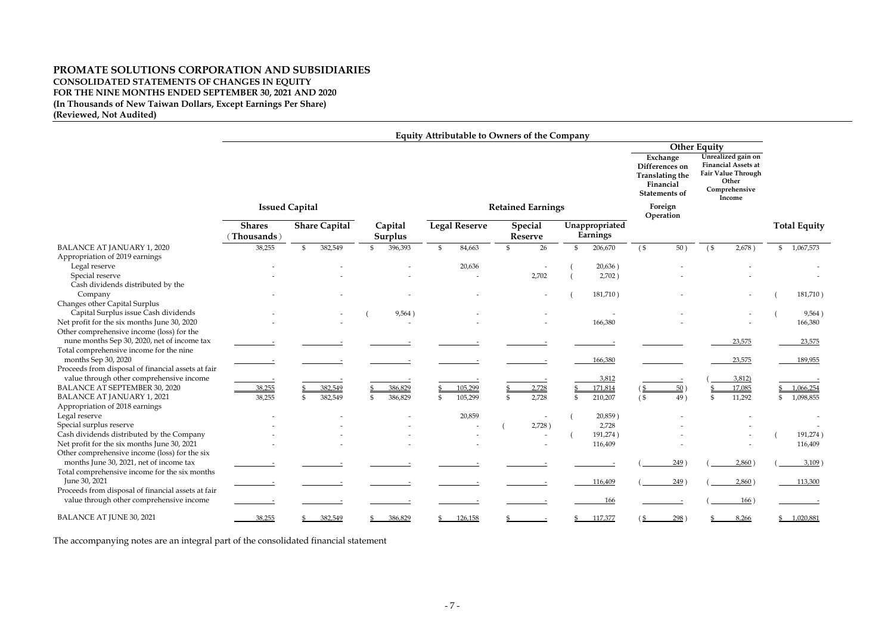# **PROMATE SOLUTIONS CORPORATION AND SUBSIDIARIES CONSOLIDATED STATEMENTS OF CHANGES IN EQUITY FOR THE NINE MONTHS ENDED SEPTEMBER 30, 2021 AND 2020 (In Thousands of New Taiwan Dollars, Except Earnings Per Share) (Reviewed, Not Audited)**

|                                                                                                |                             |                |                      |                |                          |                | <b>Equity Attributable to Owners of the Company</b> |                                                                                                                   |                |                                                                                                            |                     |      |        |        |              |                           |
|------------------------------------------------------------------------------------------------|-----------------------------|----------------|----------------------|----------------|--------------------------|----------------|-----------------------------------------------------|-------------------------------------------------------------------------------------------------------------------|----------------|------------------------------------------------------------------------------------------------------------|---------------------|------|--------|--------|--------------|---------------------------|
|                                                                                                |                             |                |                      |                |                          |                |                                                     |                                                                                                                   |                |                                                                                                            | <b>Other Equity</b> |      |        |        |              |                           |
|                                                                                                | <b>Issued Capital</b>       |                |                      |                | <b>Retained Earnings</b> |                |                                                     | Exchange<br>Differences on<br><b>Translating the</b><br>Financial<br><b>Statements of</b><br>Foreign<br>Operation |                | Unrealized gain on<br><b>Financial Assets at</b><br>Fair Value Through<br>Other<br>Comprehensive<br>Income |                     |      |        |        |              |                           |
|                                                                                                | <b>Shares</b><br>Thousands) |                | <b>Share Capital</b> |                | Capital<br>Surplus       |                | <b>Legal Reserve</b>                                | <b>Special</b><br><b>Reserve</b>                                                                                  |                | Unappropriated<br>Earnings                                                                                 |                     |      |        |        |              | <b>Total Equity</b>       |
| <b>BALANCE AT JANUARY 1, 2020</b>                                                              | 38,255                      | $\mathfrak{S}$ | 382,549              | $\mathfrak{L}$ | 396,393                  | $\mathfrak{S}$ | 84,663                                              | 26                                                                                                                | $\mathfrak{S}$ | 206,670                                                                                                    | $($ \$              | 50)  | $($ \$ | 2,678) | $\mathbb{S}$ | 1,067,573                 |
| Appropriation of 2019 earnings                                                                 |                             |                |                      |                |                          |                |                                                     |                                                                                                                   |                |                                                                                                            |                     |      |        |        |              |                           |
| Legal reserve                                                                                  |                             |                |                      |                |                          |                | 20,636                                              |                                                                                                                   |                | 20,636)                                                                                                    |                     |      |        |        |              |                           |
| Special reserve                                                                                |                             |                |                      |                |                          |                |                                                     | 2,702                                                                                                             |                | 2,702)                                                                                                     |                     |      |        |        |              |                           |
| Cash dividends distributed by the                                                              |                             |                |                      |                |                          |                |                                                     |                                                                                                                   |                |                                                                                                            |                     |      |        |        |              |                           |
| Company                                                                                        |                             |                |                      |                |                          |                |                                                     |                                                                                                                   |                | 181,710)                                                                                                   |                     |      |        |        |              | 181,710)                  |
| Changes other Capital Surplus                                                                  |                             |                |                      |                |                          |                |                                                     |                                                                                                                   |                |                                                                                                            |                     |      |        |        |              |                           |
| Capital Surplus issue Cash dividends                                                           |                             |                |                      |                | 9,564)                   |                |                                                     |                                                                                                                   |                |                                                                                                            |                     |      |        |        |              | 9,564)                    |
| Net profit for the six months June 30, 2020                                                    |                             |                |                      |                |                          |                |                                                     |                                                                                                                   |                | 166,380                                                                                                    |                     |      |        |        |              | 166,380                   |
| Other comprehensive income (loss) for the                                                      |                             |                |                      |                |                          |                |                                                     |                                                                                                                   |                |                                                                                                            |                     |      |        |        |              |                           |
| nune months Sep 30, 2020, net of income tax                                                    |                             |                |                      |                |                          |                |                                                     |                                                                                                                   |                |                                                                                                            |                     |      |        | 23,575 |              | 23,575                    |
| Total comprehensive income for the nine<br>months Sep 30, 2020                                 |                             |                |                      |                |                          |                |                                                     |                                                                                                                   |                | 166,380                                                                                                    |                     |      |        | 23,575 |              | 189,955                   |
| Proceeds from disposal of financial assets at fair<br>value through other comprehensive income |                             |                |                      |                |                          |                |                                                     |                                                                                                                   |                | 3,812                                                                                                      |                     |      |        | 3,812) |              |                           |
| BALANCE AT SEPTEMBER 30, 2020                                                                  | 38,255                      |                | 382,549              |                | 386,829                  |                | 105,299                                             | 2,728                                                                                                             |                | 171,814                                                                                                    |                     | 50)  |        | 17,085 |              | 1,066,254                 |
| <b>BALANCE AT JANUARY 1, 2021</b>                                                              | 38,255                      | $\mathfrak{L}$ | 382,549              | -\$            | 386,829                  | \$             | 105,299                                             | 2,728                                                                                                             |                | 210,207                                                                                                    | $($ \$              | 49)  | -\$    | 11,292 | \$           | 1,098,855                 |
| Appropriation of 2018 earnings                                                                 |                             |                |                      |                |                          |                |                                                     |                                                                                                                   |                |                                                                                                            |                     |      |        |        |              |                           |
| Legal reserve                                                                                  |                             |                |                      |                |                          |                | 20,859                                              |                                                                                                                   |                | 20,859)                                                                                                    |                     |      |        |        |              |                           |
| Special surplus reserve                                                                        |                             |                |                      |                |                          |                |                                                     | 2,728)                                                                                                            |                | 2,728                                                                                                      |                     |      |        |        |              |                           |
| Cash dividends distributed by the Company                                                      |                             |                |                      |                |                          |                |                                                     |                                                                                                                   |                | 191,274)                                                                                                   |                     |      |        |        |              | 191,274)                  |
| Net profit for the six months June 30, 2021                                                    |                             |                |                      |                |                          |                |                                                     |                                                                                                                   |                | 116,409                                                                                                    |                     |      |        |        |              | 116,409                   |
| Other comprehensive income (loss) for the six                                                  |                             |                |                      |                |                          |                |                                                     |                                                                                                                   |                |                                                                                                            |                     |      |        |        |              |                           |
| months June 30, 2021, net of income tax                                                        |                             |                |                      |                |                          |                |                                                     |                                                                                                                   |                |                                                                                                            |                     | 249) |        | 2,860) |              | $3,109$ )                 |
| Total comprehensive income for the six months                                                  |                             |                |                      |                |                          |                |                                                     |                                                                                                                   |                |                                                                                                            |                     |      |        |        |              |                           |
| June 30, 2021                                                                                  |                             |                |                      |                |                          |                |                                                     |                                                                                                                   |                | 116,409                                                                                                    |                     | 249) |        | 2,860) |              | 113,300                   |
| Proceeds from disposal of financial assets at fair                                             |                             |                |                      |                |                          |                |                                                     |                                                                                                                   |                |                                                                                                            |                     |      |        |        |              |                           |
| value through other comprehensive income                                                       |                             |                |                      |                |                          |                |                                                     |                                                                                                                   |                | <u>166</u>                                                                                                 |                     |      |        | 166)   |              |                           |
| BALANCE AT JUNE 30, 2021                                                                       | 38,255                      |                | 382,549              |                | 386,829                  |                | $\frac{$}{2}$ 126,158                               |                                                                                                                   |                | 117,377                                                                                                    |                     | 298) |        | 8,266  |              | $\underline{\$$ 1,020,881 |

The accompanying notes are an integral part of the consolidated financial statement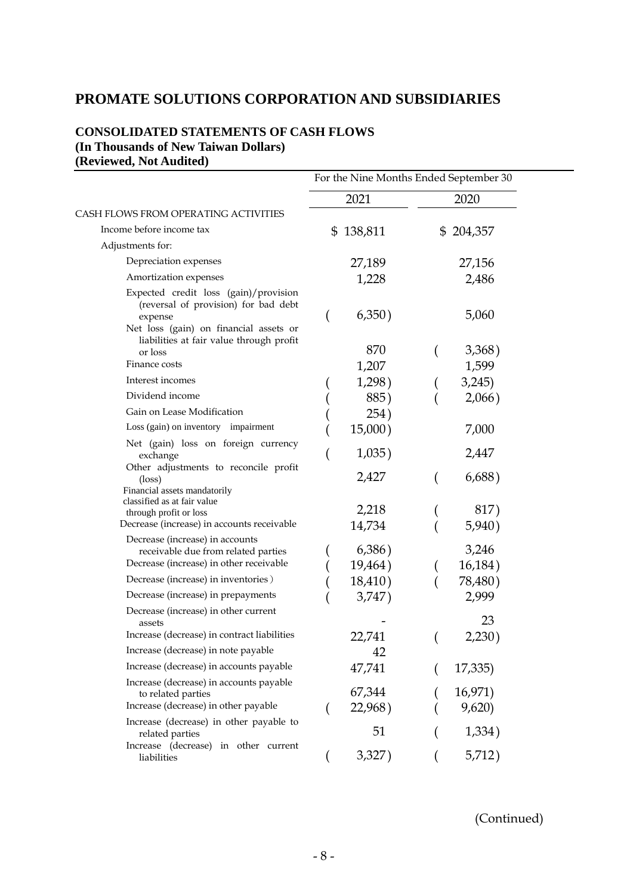# **PROMATE SOLUTIONS CORPORATION AND SUBSIDIARIES**

# **CONSOLIDATED STATEMENTS OF CASH FLOWS (In Thousands of New Taiwan Dollars) (Reviewed, Not Audited)**

|                                                                                                                                                                                | For the Nine Months Ended September 30 |                   |    |                  |  |
|--------------------------------------------------------------------------------------------------------------------------------------------------------------------------------|----------------------------------------|-------------------|----|------------------|--|
|                                                                                                                                                                                |                                        | 2021              |    | 2020             |  |
| CASH FLOWS FROM OPERATING ACTIVITIES                                                                                                                                           |                                        |                   |    |                  |  |
| Income before income tax                                                                                                                                                       | $\mathfrak{S}$                         | 138,811           | \$ | 204,357          |  |
| Adjustments for:                                                                                                                                                               |                                        |                   |    |                  |  |
| Depreciation expenses                                                                                                                                                          |                                        | 27,189            |    | 27,156           |  |
| Amortization expenses                                                                                                                                                          |                                        | 1,228             |    | 2,486            |  |
| Expected credit loss (gain)/provision<br>(reversal of provision) for bad debt<br>expense<br>Net loss (gain) on financial assets or<br>liabilities at fair value through profit |                                        | 6,350)            |    | 5,060            |  |
| or loss                                                                                                                                                                        |                                        | 870               |    | 3,368)           |  |
| Finance costs                                                                                                                                                                  |                                        | 1,207             |    | 1,599            |  |
| Interest incomes                                                                                                                                                               |                                        | 1,298)            |    | 3,245)           |  |
| Dividend income                                                                                                                                                                |                                        | 885)              |    | 2,066)           |  |
| Gain on Lease Modification                                                                                                                                                     |                                        | 254)              |    |                  |  |
| Loss (gain) on inventory impairment                                                                                                                                            |                                        | 15,000)           |    | 7,000            |  |
| Net (gain) loss on foreign currency<br>exchange                                                                                                                                |                                        | 1,035)            |    | 2,447            |  |
| Other adjustments to reconcile profit<br>$(\text{loss})$<br>Financial assets mandatorily                                                                                       |                                        | 2,427             |    | 6,688)           |  |
| classified as at fair value<br>through profit or loss                                                                                                                          |                                        | 2,218             |    | 817)             |  |
| Decrease (increase) in accounts receivable                                                                                                                                     |                                        | 14,734            |    | 5,940)           |  |
| Decrease (increase) in accounts<br>receivable due from related parties<br>Decrease (increase) in other receivable                                                              |                                        | 6,386)<br>19,464) |    | 3,246<br>16,184) |  |
| Decrease (increase) in inventories)                                                                                                                                            |                                        | 18,410)           |    | 78,480)          |  |
| Decrease (increase) in prepayments                                                                                                                                             |                                        | 3,747)            |    | 2,999            |  |
| Decrease (increase) in other current<br>assets                                                                                                                                 |                                        |                   |    | 23               |  |
| Increase (decrease) in contract liabilities                                                                                                                                    |                                        | 22,741            |    | 2,230)           |  |
| Increase (decrease) in note payable                                                                                                                                            |                                        | 42                |    |                  |  |
| Increase (decrease) in accounts payable                                                                                                                                        |                                        | 47,741            |    | 17,335)          |  |
| Increase (decrease) in accounts payable<br>to related parties                                                                                                                  |                                        | 67,344            |    | 16,971)          |  |
| Increase (decrease) in other payable                                                                                                                                           |                                        | 22,968)           |    | 9,620            |  |
| Increase (decrease) in other payable to<br>related parties                                                                                                                     |                                        | 51                |    | 1,334)           |  |
| Increase (decrease) in other current<br>liabilities                                                                                                                            |                                        | 3,327)            |    | 5,712)           |  |

(Continued)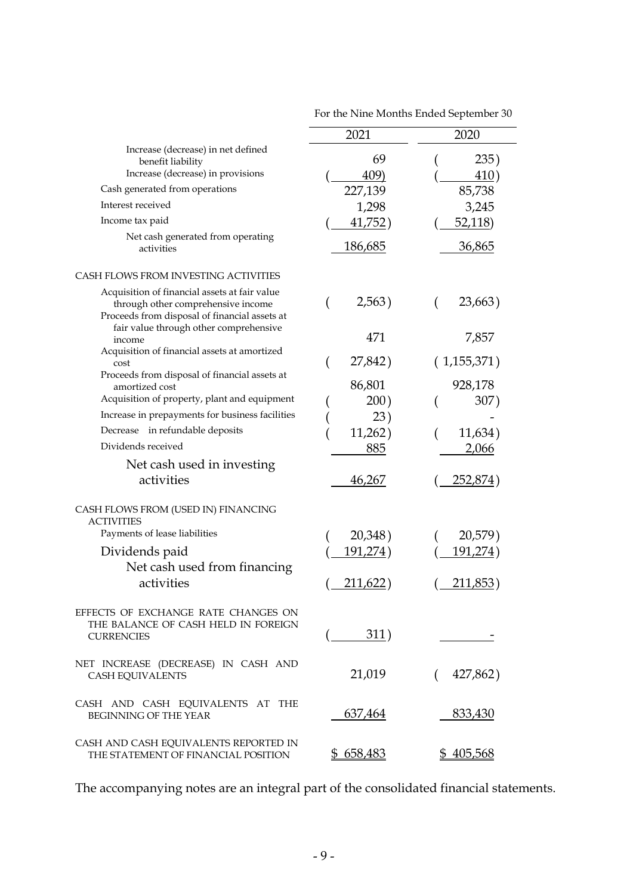|                                                                                                                                                                                | 2021             | 2020                 |
|--------------------------------------------------------------------------------------------------------------------------------------------------------------------------------|------------------|----------------------|
| Increase (decrease) in net defined<br>benefit liability<br>Increase (decrease) in provisions                                                                                   | 69<br>409)       | 235)<br>410)         |
| Cash generated from operations                                                                                                                                                 | 227,139          | 85,738               |
| Interest received                                                                                                                                                              | 1,298            | 3,245                |
| Income tax paid                                                                                                                                                                | 41,752)          | 52,118)              |
| Net cash generated from operating<br>activities                                                                                                                                | <u>186,685</u>   | <u>36,865</u>        |
| CASH FLOWS FROM INVESTING ACTIVITIES                                                                                                                                           |                  |                      |
| Acquisition of financial assets at fair value<br>through other comprehensive income<br>Proceeds from disposal of financial assets at<br>fair value through other comprehensive | 2,563)           | 23,663)              |
| income<br>Acquisition of financial assets at amortized                                                                                                                         | 471              | 7,857                |
| cost                                                                                                                                                                           | 27,842)          | (1,155,371)          |
| Proceeds from disposal of financial assets at<br>amortized cost                                                                                                                | 86,801           | 928,178              |
| Acquisition of property, plant and equipment                                                                                                                                   | 200)             | 307)                 |
| Increase in prepayments for business facilities                                                                                                                                | 23)              |                      |
| Decrease in refundable deposits                                                                                                                                                | 11,262)          | 11,634)              |
| Dividends received                                                                                                                                                             | 885              | 2,066                |
| Net cash used in investing                                                                                                                                                     |                  |                      |
| activities                                                                                                                                                                     | <u>46,267</u>    | <u>252,874</u> )     |
| CASH FLOWS FROM (USED IN) FINANCING<br><b>ACTIVITIES</b>                                                                                                                       |                  |                      |
| Payments of lease liabilities                                                                                                                                                  | 20,348)          | 20,579)              |
| Dividends paid                                                                                                                                                                 | 191,274)         | <u>191,274)</u>      |
| Net cash used from financing                                                                                                                                                   |                  |                      |
| activities                                                                                                                                                                     | 211,622)         | 211,853)             |
| EFFECTS OF EXCHANGE RATE CHANGES ON<br>THE BALANCE OF CASH HELD IN FOREIGN<br><b>CURRENCIES</b>                                                                                | $\frac{311}{2}$  |                      |
| NET INCREASE (DECREASE) IN CASH AND<br>CASH EQUIVALENTS                                                                                                                        | 21,019           | 427,862)<br>$\left($ |
| CASH AND CASH EQUIVALENTS AT THE<br>BEGINNING OF THE YEAR                                                                                                                      | 637,464          | 833,430              |
| CASH AND CASH EQUIVALENTS REPORTED IN<br>THE STATEMENT OF FINANCIAL POSITION                                                                                                   | <u>\$658,483</u> | <u>\$405,568</u>     |

For the Nine Months Ended September 30

The accompanying notes are an integral part of the consolidated financial statements.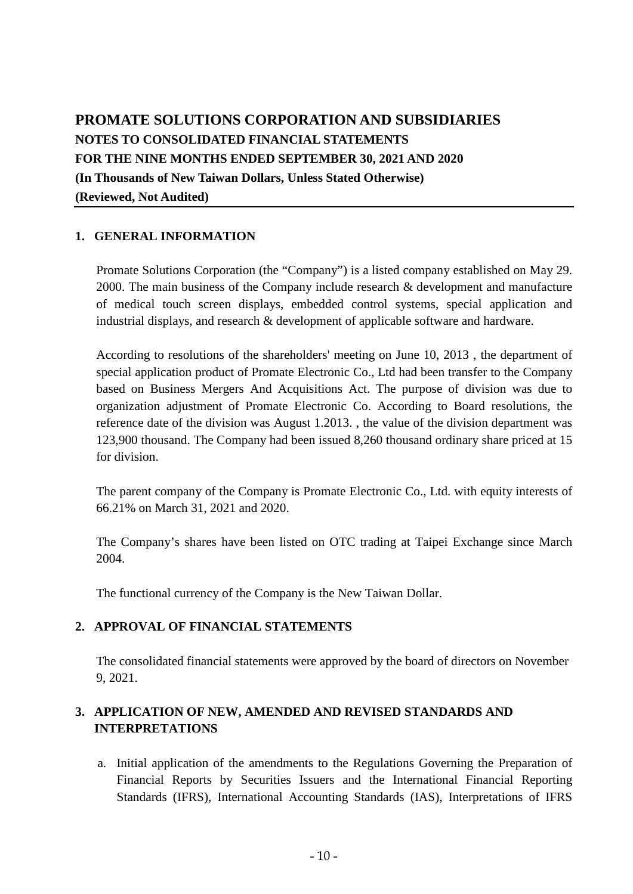# **PROMATE SOLUTIONS CORPORATION AND SUBSIDIARIES NOTES TO CONSOLIDATED FINANCIAL STATEMENTS FOR THE NINE MONTHS ENDED SEPTEMBER 30, 2021 AND 2020 (In Thousands of New Taiwan Dollars, Unless Stated Otherwise) (Reviewed, Not Audited)**

# **1. GENERAL INFORMATION**

Promate Solutions Corporation (the "Company") is a listed company established on May 29. 2000. The main business of the Company include research & development and manufacture of medical touch screen displays, embedded control systems, special application and industrial displays, and research & development of applicable software and hardware.

According to resolutions of the shareholders' meeting on June 10, 2013 , the department of special application product of Promate Electronic Co., Ltd had been transfer to the Company based on Business Mergers And Acquisitions Act. The purpose of division was due to organization adjustment of Promate Electronic Co. According to Board resolutions, the reference date of the division was August 1.2013. , the value of the division department was 123,900 thousand. The Company had been issued 8,260 thousand ordinary share priced at 15 for division.

The parent company of the Company is Promate Electronic Co., Ltd. with equity interests of 66.21% on March 31, 2021 and 2020.

The Company's shares have been listed on OTC trading at Taipei Exchange since March 2004.

The functional currency of the Company is the New Taiwan Dollar.

# **2. APPROVAL OF FINANCIAL STATEMENTS**

The consolidated financial statements were approved by the board of directors on November 9, 2021.

# **3. APPLICATION OF NEW, AMENDED AND REVISED STANDARDS AND INTERPRETATIONS**

a. Initial application of the amendments to the Regulations Governing the Preparation of Financial Reports by Securities Issuers and the International Financial Reporting Standards (IFRS), International Accounting Standards (IAS), Interpretations of IFRS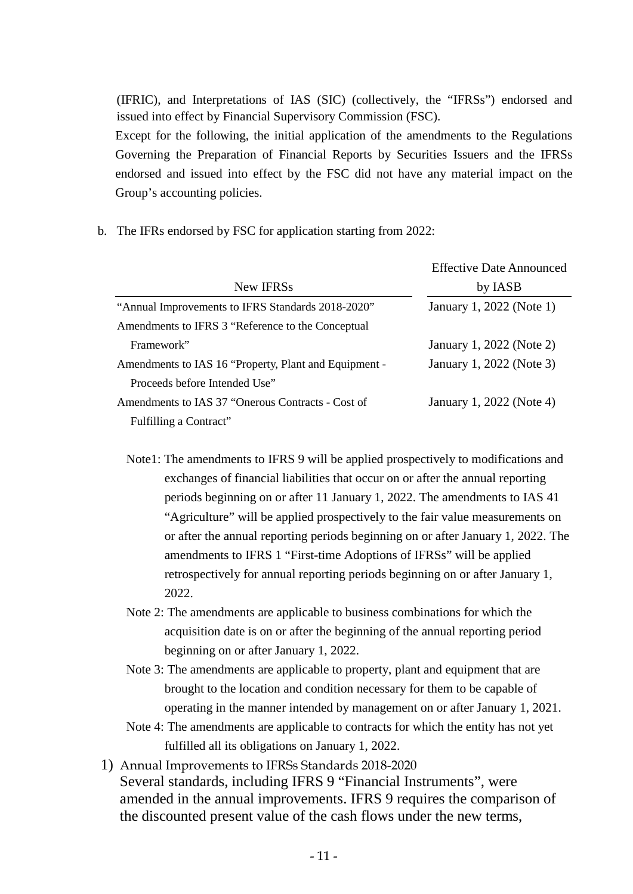(IFRIC), and Interpretations of IAS (SIC) (collectively, the "IFRSs") endorsed and issued into effect by Financial Supervisory Commission (FSC). Except for the following, the initial application of the amendments to the Regulations Governing the Preparation of Financial Reports by Securities Issuers and the IFRSs endorsed and issued into effect by the FSC did not have any material impact on the Group's accounting policies.

b. The IFRs endorsed by FSC for application starting from 2022:

|                                                       | <b>Effective Date Announced</b> |
|-------------------------------------------------------|---------------------------------|
| New IFRSs                                             | by IASB                         |
| "Annual Improvements to IFRS Standards 2018-2020"     | January 1, 2022 (Note 1)        |
| Amendments to IFRS 3 "Reference to the Conceptual     |                                 |
| Framework"                                            | January 1, 2022 (Note 2)        |
| Amendments to IAS 16 "Property, Plant and Equipment - | January 1, 2022 (Note 3)        |
| Proceeds before Intended Use"                         |                                 |
| Amendments to IAS 37 "Onerous Contracts - Cost of     | January 1, 2022 (Note 4)        |
| Fulfilling a Contract"                                |                                 |

- Note1: The amendments to IFRS 9 will be applied prospectively to modifications and exchanges of financial liabilities that occur on or after the annual reporting periods beginning on or after 11 January 1, 2022. The amendments to IAS 41 "Agriculture" will be applied prospectively to the fair value measurements on or after the annual reporting periods beginning on or after January 1, 2022. The amendments to IFRS 1 "First-time Adoptions of IFRSs" will be applied retrospectively for annual reporting periods beginning on or after January 1, 2022.
- Note 2: The amendments are applicable to business combinations for which the acquisition date is on or after the beginning of the annual reporting period beginning on or after January 1, 2022.
- Note 3: The amendments are applicable to property, plant and equipment that are brought to the location and condition necessary for them to be capable of operating in the manner intended by management on or after January 1, 2021.
- Note 4: The amendments are applicable to contracts for which the entity has not yet fulfilled all its obligations on January 1, 2022.
- 1) Annual Improvements to IFRSs Standards 2018-2020 Several standards, including IFRS 9 "Financial Instruments", were amended in the annual improvements. IFRS 9 requires the comparison of the discounted present value of the cash flows under the new terms,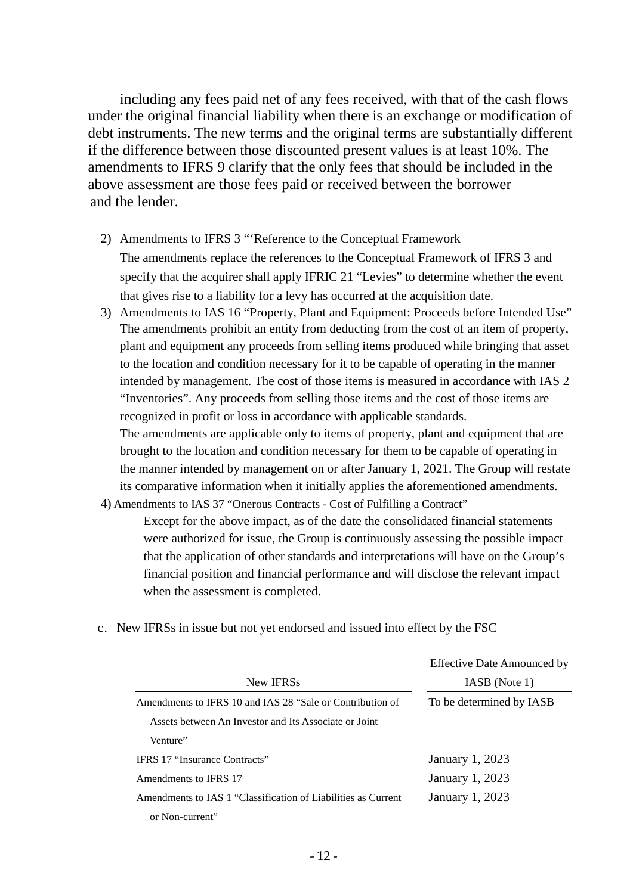including any fees paid net of any fees received, with that of the cash flows under the original financial liability when there is an exchange or modification of debt instruments. The new terms and the original terms are substantially different if the difference between those discounted present values is at least 10%. The amendments to IFRS 9 clarify that the only fees that should be included in the above assessment are those fees paid or received between the borrower and the lender.

- 2) Amendments to IFRS 3 "'Reference to the Conceptual Framework The amendments replace the references to the Conceptual Framework of IFRS 3 and specify that the acquirer shall apply IFRIC 21 "Levies" to determine whether the event that gives rise to a liability for a levy has occurred at the acquisition date.
- 3) Amendments to IAS 16 "Property, Plant and Equipment: Proceeds before Intended Use" The amendments prohibit an entity from deducting from the cost of an item of property, plant and equipment any proceeds from selling items produced while bringing that asset to the location and condition necessary for it to be capable of operating in the manner intended by management. The cost of those items is measured in accordance with IAS 2 "Inventories". Any proceeds from selling those items and the cost of those items are recognized in profit or loss in accordance with applicable standards.

The amendments are applicable only to items of property, plant and equipment that are brought to the location and condition necessary for them to be capable of operating in the manner intended by management on or after January 1, 2021. The Group will restate its comparative information when it initially applies the aforementioned amendments.

4) Amendments to IAS 37 "Onerous Contracts - Cost of Fulfilling a Contract"

Except for the above impact, as of the date the consolidated financial statements were authorized for issue, the Group is continuously assessing the possible impact that the application of other standards and interpretations will have on the Group's financial position and financial performance and will disclose the relevant impact when the assessment is completed.

|                                                               | <b>Effective Date Announced by</b> |  |  |  |
|---------------------------------------------------------------|------------------------------------|--|--|--|
| New IFRSs                                                     | IASB (Note 1)                      |  |  |  |
| Amendments to IFRS 10 and IAS 28 "Sale or Contribution of     | To be determined by IASB           |  |  |  |
| Assets between An Investor and Its Associate or Joint         |                                    |  |  |  |
| Venture"                                                      |                                    |  |  |  |
| <b>IFRS 17 "Insurance Contracts"</b>                          | January 1, 2023                    |  |  |  |
| Amendments to IFRS 17                                         | January 1, 2023                    |  |  |  |
| Amendments to IAS 1 "Classification of Liabilities as Current | January 1, 2023                    |  |  |  |
| or Non-current"                                               |                                    |  |  |  |
|                                                               |                                    |  |  |  |

c. New IFRSs in issue but not yet endorsed and issued into effect by the FSC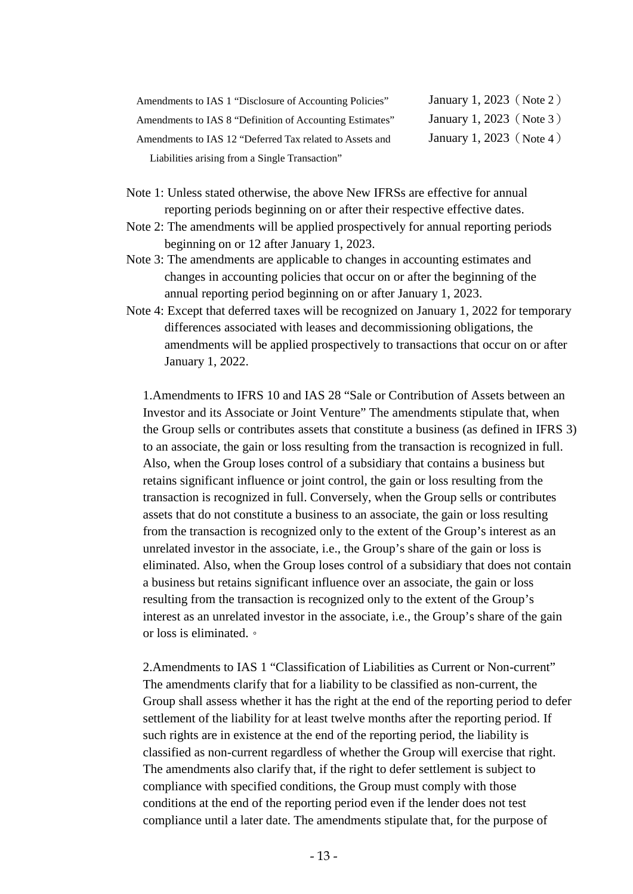| Amendments to IAS 1 "Disclosure of Accounting Policies"  |
|----------------------------------------------------------|
| Amendments to IAS 8 "Definition of Accounting Estimates" |
| Amendments to IAS 12 "Deferred Tax related to Assets and |
| Liabilities arising from a Single Transaction"           |

January 1, 2023 (Note 2) January 1, 2023 $(Note 3)$ January 1, 2023(Note 4)

- Note 1: Unless stated otherwise, the above New IFRSs are effective for annual reporting periods beginning on or after their respective effective dates.
- Note 2: The amendments will be applied prospectively for annual reporting periods beginning on or 12 after January 1, 2023.
- Note 3: The amendments are applicable to changes in accounting estimates and changes in accounting policies that occur on or after the beginning of the annual reporting period beginning on or after January 1, 2023.
- Note 4: Except that deferred taxes will be recognized on January 1, 2022 for temporary differences associated with leases and decommissioning obligations, the amendments will be applied prospectively to transactions that occur on or after January 1, 2022.

1.Amendments to IFRS 10 and IAS 28 "Sale or Contribution of Assets between an Investor and its Associate or Joint Venture" The amendments stipulate that, when the Group sells or contributes assets that constitute a business (as defined in IFRS 3) to an associate, the gain or loss resulting from the transaction is recognized in full. Also, when the Group loses control of a subsidiary that contains a business but retains significant influence or joint control, the gain or loss resulting from the transaction is recognized in full. Conversely, when the Group sells or contributes assets that do not constitute a business to an associate, the gain or loss resulting from the transaction is recognized only to the extent of the Group's interest as an unrelated investor in the associate, i.e., the Group's share of the gain or loss is eliminated. Also, when the Group loses control of a subsidiary that does not contain a business but retains significant influence over an associate, the gain or loss resulting from the transaction is recognized only to the extent of the Group's interest as an unrelated investor in the associate, i.e., the Group's share of the gain or loss is eliminated.。

2. Amendments to IAS 1 "Classification of Liabilities as Current or Non-current" The amendments clarify that for a liability to be classified as non-current, the Group shall assess whether it has the right at the end of the reporting period to defer settlement of the liability for at least twelve months after the reporting period. If such rights are in existence at the end of the reporting period, the liability is classified as non-current regardless of whether the Group will exercise that right. The amendments also clarify that, if the right to defer settlement is subject to compliance with specified conditions, the Group must comply with those conditions at the end of the reporting period even if the lender does not test compliance until a later date. The amendments stipulate that, for the purpose of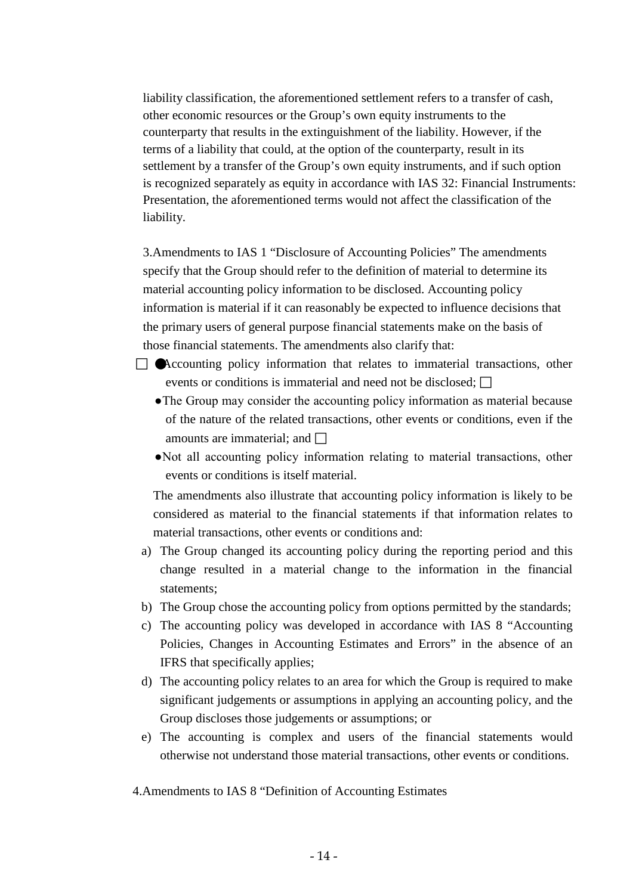liability classification, the aforementioned settlement refers to a transfer of cash, other economic resources or the Group's own equity instruments to the counterparty that results in the extinguishment of the liability. However, if the terms of a liability that could, at the option of the counterparty, result in its settlement by a transfer of the Group's own equity instruments, and if such option is recognized separately as equity in accordance with IAS 32: Financial Instruments: Presentation, the aforementioned terms would not affect the classification of the liability.

3.Amendments to IAS 1 "Disclosure of Accounting Policies" The amendments specify that the Group should refer to the definition of material to determine its material accounting policy information to be disclosed. Accounting policy information is material if it can reasonably be expected to influence decisions that the primary users of general purpose financial statements make on the basis of those financial statements. The amendments also clarify that:

- $\Box$  Accounting policy information that relates to immaterial transactions, other events or conditions is immaterial and need not be disclosed;  $\Box$ 
	- ●The Group may consider the accounting policy information as material because of the nature of the related transactions, other events or conditions, even if the amounts are immaterial; and  $\Box$
	- ●Not all accounting policy information relating to material transactions, other events or conditions is itself material.

The amendments also illustrate that accounting policy information is likely to be considered as material to the financial statements if that information relates to material transactions, other events or conditions and:

- a) The Group changed its accounting policy during the reporting period and this change resulted in a material change to the information in the financial statements;
- b) The Group chose the accounting policy from options permitted by the standards;
- c) The accounting policy was developed in accordance with IAS 8 "Accounting Policies, Changes in Accounting Estimates and Errors" in the absence of an IFRS that specifically applies;
- d) The accounting policy relates to an area for which the Group is required to make significant judgements or assumptions in applying an accounting policy, and the Group discloses those judgements or assumptions; or
- e) The accounting is complex and users of the financial statements would otherwise not understand those material transactions, other events or conditions.

4.Amendments to IAS 8 "Definition of Accounting Estimates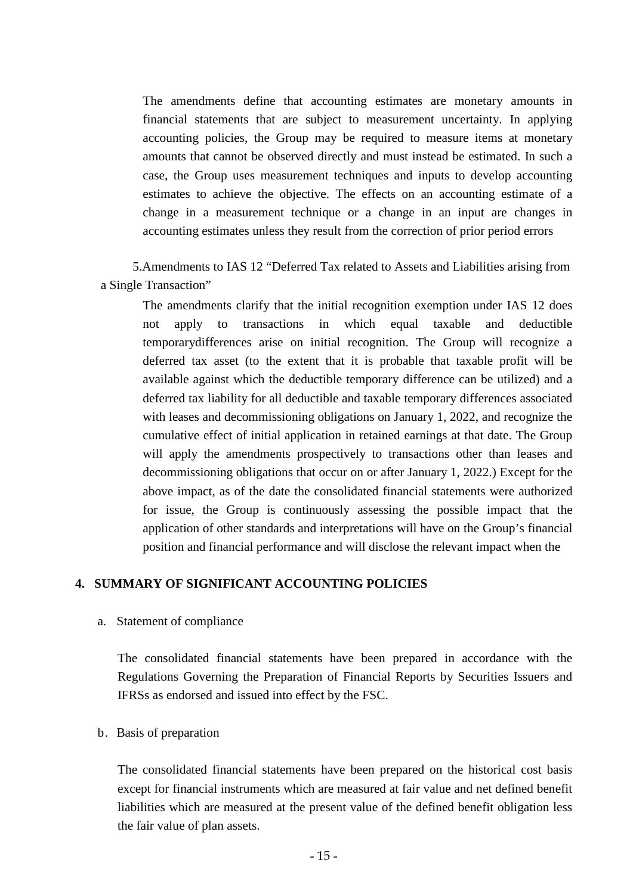The amendments define that accounting estimates are monetary amounts in financial statements that are subject to measurement uncertainty. In applying accounting policies, the Group may be required to measure items at monetary amounts that cannot be observed directly and must instead be estimated. In such a case, the Group uses measurement techniques and inputs to develop accounting estimates to achieve the objective. The effects on an accounting estimate of a change in a measurement technique or a change in an input are changes in accounting estimates unless they result from the correction of prior period errors

 5.Amendments to IAS 12 "Deferred Tax related to Assets and Liabilities arising from a Single Transaction"

The amendments clarify that the initial recognition exemption under IAS 12 does not apply to transactions in which equal taxable and deductible temporarydifferences arise on initial recognition. The Group will recognize a deferred tax asset (to the extent that it is probable that taxable profit will be available against which the deductible temporary difference can be utilized) and a deferred tax liability for all deductible and taxable temporary differences associated with leases and decommissioning obligations on January 1, 2022, and recognize the cumulative effect of initial application in retained earnings at that date. The Group will apply the amendments prospectively to transactions other than leases and decommissioning obligations that occur on or after January 1, 2022.) Except for the above impact, as of the date the consolidated financial statements were authorized for issue, the Group is continuously assessing the possible impact that the application of other standards and interpretations will have on the Group's financial position and financial performance and will disclose the relevant impact when the

#### **4. SUMMARY OF SIGNIFICANT ACCOUNTING POLICIES**

a. Statement of compliance

The consolidated financial statements have been prepared in accordance with the Regulations Governing the Preparation of Financial Reports by Securities Issuers and IFRSs as endorsed and issued into effect by the FSC.

#### b. Basis of preparation

The consolidated financial statements have been prepared on the historical cost basis except for financial instruments which are measured at fair value and net defined benefit liabilities which are measured at the present value of the defined benefit obligation less the fair value of plan assets.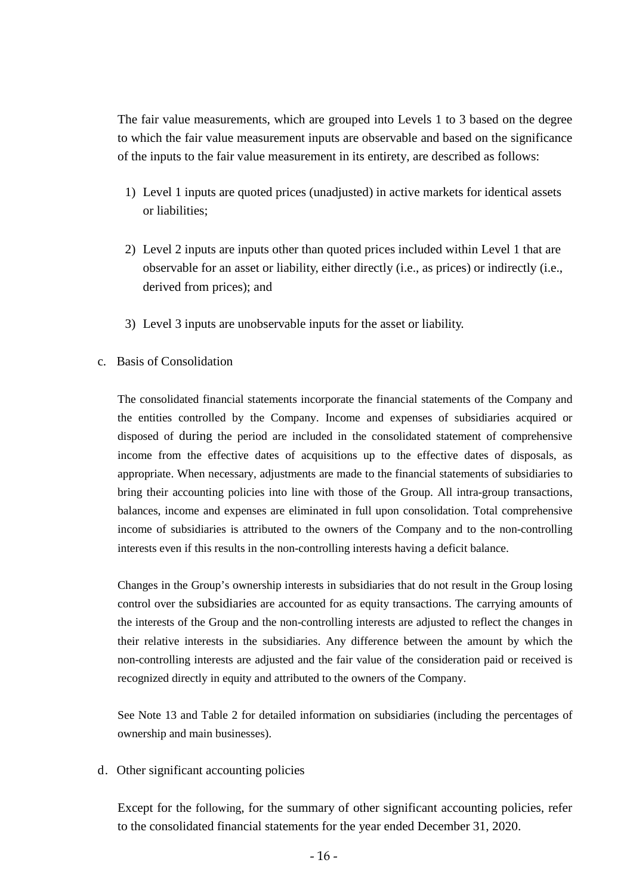The fair value measurements, which are grouped into Levels 1 to 3 based on the degree to which the fair value measurement inputs are observable and based on the significance of the inputs to the fair value measurement in its entirety, are described as follows:

- 1) Level 1 inputs are quoted prices (unadjusted) in active markets for identical assets or liabilities;
- 2) Level 2 inputs are inputs other than quoted prices included within Level 1 that are observable for an asset or liability, either directly (i.e., as prices) or indirectly (i.e., derived from prices); and
- 3) Level 3 inputs are unobservable inputs for the asset or liability.
- c. Basis of Consolidation

The consolidated financial statements incorporate the financial statements of the Company and the entities controlled by the Company. Income and expenses of subsidiaries acquired or disposed of during the period are included in the consolidated statement of comprehensive income from the effective dates of acquisitions up to the effective dates of disposals, as appropriate. When necessary, adjustments are made to the financial statements of subsidiaries to bring their accounting policies into line with those of the Group. All intra-group transactions, balances, income and expenses are eliminated in full upon consolidation. Total comprehensive income of subsidiaries is attributed to the owners of the Company and to the non-controlling interests even if this results in the non-controlling interests having a deficit balance.

Changes in the Group's ownership interests in subsidiaries that do not result in the Group losing control over the subsidiaries are accounted for as equity transactions. The carrying amounts of the interests of the Group and the non-controlling interests are adjusted to reflect the changes in their relative interests in the subsidiaries. Any difference between the amount by which the non-controlling interests are adjusted and the fair value of the consideration paid or received is recognized directly in equity and attributed to the owners of the Company.

See Note 13 and Table 2 for detailed information on subsidiaries (including the percentages of ownership and main businesses).

d. Other significant accounting policies

Except for the following, for the summary of other significant accounting policies, refer to the consolidated financial statements for the year ended December 31, 2020.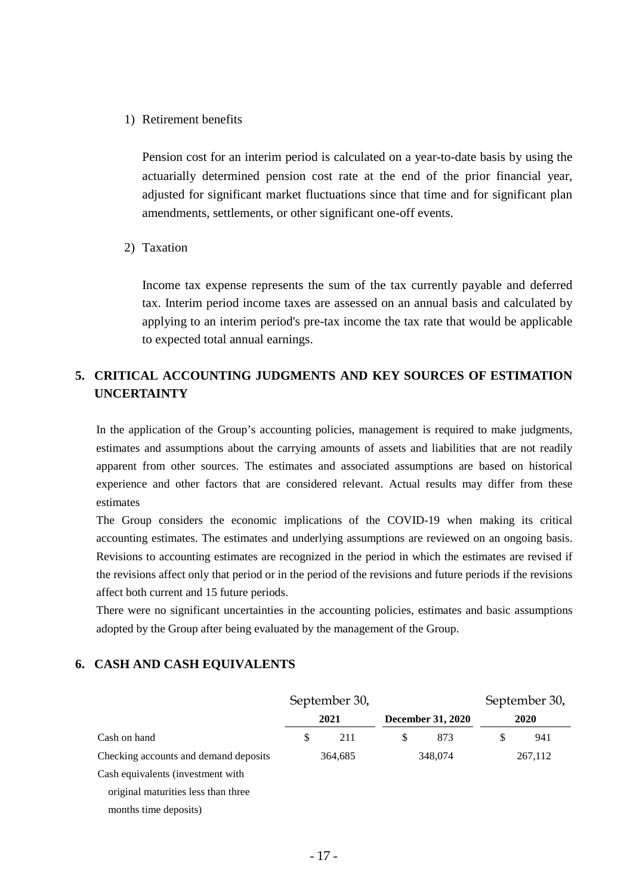1) Retirement benefits

Pension cost for an interim period is calculated on a year-to-date basis by using the actuarially determined pension cost rate at the end of the prior financial year, adjusted for significant market fluctuations since that time and for significant plan amendments, settlements, or other significant one-off events.

2) Taxation

Income tax expense represents the sum of the tax currently payable and deferred tax. Interim period income taxes are assessed on an annual basis and calculated by applying to an interim period's pre-tax income the tax rate that would be applicable to expected total annual earnings.

# **5. CRITICAL ACCOUNTING JUDGMENTS AND KEY SOURCES OF ESTIMATION UNCERTAINTY**

In the application of the Group's accounting policies, management is required to make judgments, estimates and assumptions about the carrying amounts of assets and liabilities that are not readily apparent from other sources. The estimates and associated assumptions are based on historical experience and other factors that are considered relevant. Actual results may differ from these estimates

The Group considers the economic implications of the COVID-19 when making its critical accounting estimates. The estimates and underlying assumptions are reviewed on an ongoing basis. Revisions to accounting estimates are recognized in the period in which the estimates are revised if the revisions affect only that period or in the period of the revisions and future periods if the revisions affect both current and 15 future periods.

There were no significant uncertainties in the accounting policies, estimates and basic assumptions adopted by the Group after being evaluated by the management of the Group.

#### **6. CASH AND CASH EQUIVALENTS**

|                                       | September 30, |    |                          |    | September 30, |
|---------------------------------------|---------------|----|--------------------------|----|---------------|
|                                       | 2021          |    | <b>December 31, 2020</b> |    | 2020          |
| Cash on hand                          | \$<br>211     | \$ | 873                      | \$ | 941           |
| Checking accounts and demand deposits | 364,685       |    | 348,074                  |    | 267,112       |
| Cash equivalents (investment with     |               |    |                          |    |               |
| original maturities less than three   |               |    |                          |    |               |
| months time deposits)                 |               |    |                          |    |               |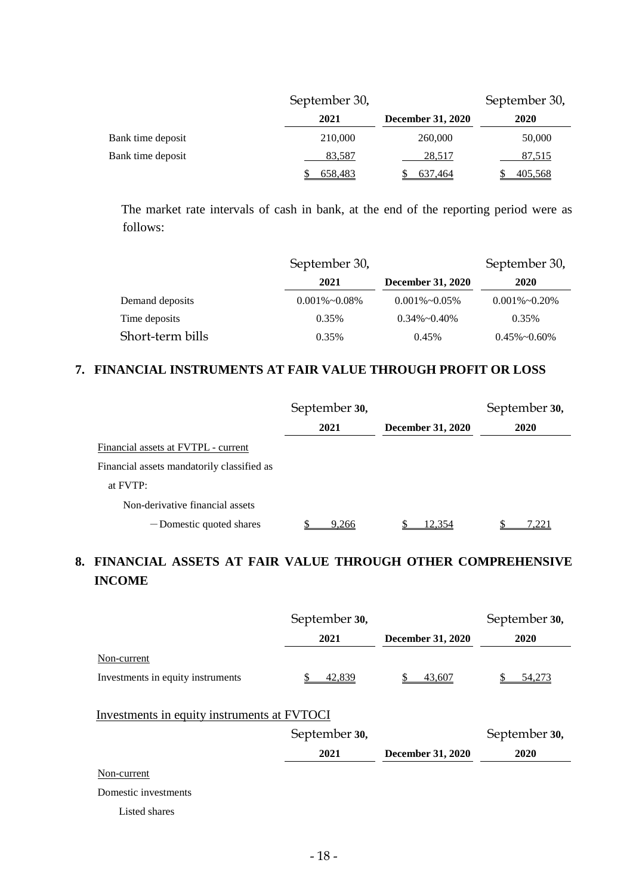|                   | September 30, |                          |                |  |  |  |
|-------------------|---------------|--------------------------|----------------|--|--|--|
|                   | 2021          | <b>December 31, 2020</b> | 2020           |  |  |  |
| Bank time deposit | 210,000       | 260,000                  | 50,000         |  |  |  |
| Bank time deposit | 83,587        | 28,517                   | 87,515         |  |  |  |
|                   | 658,483       | 637,464                  | <u>405,568</u> |  |  |  |

The market rate intervals of cash in bank, at the end of the reporting period were as follows:

|                  | September 30,      |                          | September 30,         |
|------------------|--------------------|--------------------------|-----------------------|
|                  | 2021               | <b>December 31, 2020</b> | 2020                  |
| Demand deposits  | $0.001\% - 0.08\%$ | $0.001\% \sim 0.05\%$    | $0.001\% \sim 0.20\%$ |
| Time deposits    | 0.35%              | $0.34\% \sim 0.40\%$     | 0.35%                 |
| Short-term bills | 0.35%              | 0.45%                    | $0.45\% \sim 0.60\%$  |

# **7. FINANCIAL INSTRUMENTS AT FAIR VALUE THROUGH PROFIT OR LOSS**

|                                            | September 30, |                          | September 30, |
|--------------------------------------------|---------------|--------------------------|---------------|
|                                            | 2021          | <b>December 31, 2020</b> | 2020          |
| Financial assets at FVTPL - current        |               |                          |               |
| Financial assets mandatorily classified as |               |                          |               |
| at FVTP:                                   |               |                          |               |
| Non-derivative financial assets            |               |                          |               |
| -Domestic quoted shares                    | 9.266         | 12.354                   | 1.221         |

# **8. FINANCIAL ASSETS AT FAIR VALUE THROUGH OTHER COMPREHENSIVE INCOME**

|                                             | September 30, |                          | September 30, |
|---------------------------------------------|---------------|--------------------------|---------------|
|                                             | 2021          | <b>December 31, 2020</b> | 2020          |
| Non-current                                 |               |                          |               |
| Investments in equity instruments           | 42,839        | 43,607                   | 54,273        |
|                                             |               |                          |               |
| Investments in equity instruments at FVTOCI |               |                          |               |
|                                             | September 30, |                          | September 30, |
|                                             | 2021          | <b>December 31, 2020</b> | 2020          |
| Non-current                                 |               |                          |               |
| Domestic investments                        |               |                          |               |
| Listed shares                               |               |                          |               |
|                                             |               |                          |               |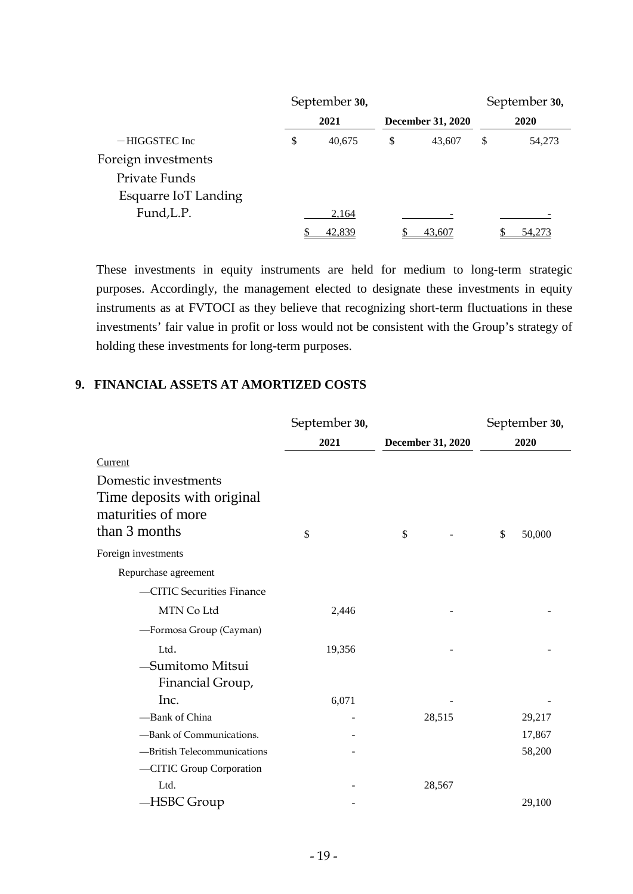|                      | September 30, |                          | September 30, |
|----------------------|---------------|--------------------------|---------------|
|                      | 2021          | <b>December 31, 2020</b> | 2020          |
| $-$ HIGGSTEC Inc     | \$<br>40,675  | \$<br>43.607             | \$<br>54,273  |
| Foreign investments  |               |                          |               |
| Private Funds        |               |                          |               |
| Esquarre IoT Landing |               |                          |               |
| Fund, L.P.           | 2,164         |                          |               |
|                      | 42,839        | 43,607                   | 54,273        |

These investments in equity instruments are held for medium to long-term strategic purposes. Accordingly, the management elected to designate these investments in equity instruments as at FVTOCI as they believe that recognizing short-term fluctuations in these investments' fair value in profit or loss would not be consistent with the Group's strategy of holding these investments for long-term purposes.

# **9. FINANCIAL ASSETS AT AMORTIZED COSTS**

|                                                                                            | September 30, |                   | September 30, |
|--------------------------------------------------------------------------------------------|---------------|-------------------|---------------|
|                                                                                            | 2021          | December 31, 2020 | 2020          |
| <b>Current</b>                                                                             |               |                   |               |
| Domestic investments<br>Time deposits with original<br>maturities of more<br>than 3 months | \$            | \$                | \$<br>50,000  |
| Foreign investments                                                                        |               |                   |               |
| Repurchase agreement                                                                       |               |                   |               |
| -CITIC Securities Finance                                                                  |               |                   |               |
| MTN Co Ltd                                                                                 | 2,446         |                   |               |
| -Formosa Group (Cayman)                                                                    |               |                   |               |
| Ltd.                                                                                       | 19,356        |                   |               |
| -Sumitomo Mitsui<br>Financial Group,                                                       |               |                   |               |
| Inc.                                                                                       | 6,071         |                   |               |
| -Bank of China                                                                             |               | 28,515            | 29,217        |
| -Bank of Communications.                                                                   |               |                   | 17,867        |
| -British Telecommunications                                                                |               |                   | 58,200        |
| -CITIC Group Corporation                                                                   |               |                   |               |
| Ltd.                                                                                       |               | 28,567            |               |
| -HSBC Group                                                                                |               |                   | 29,100        |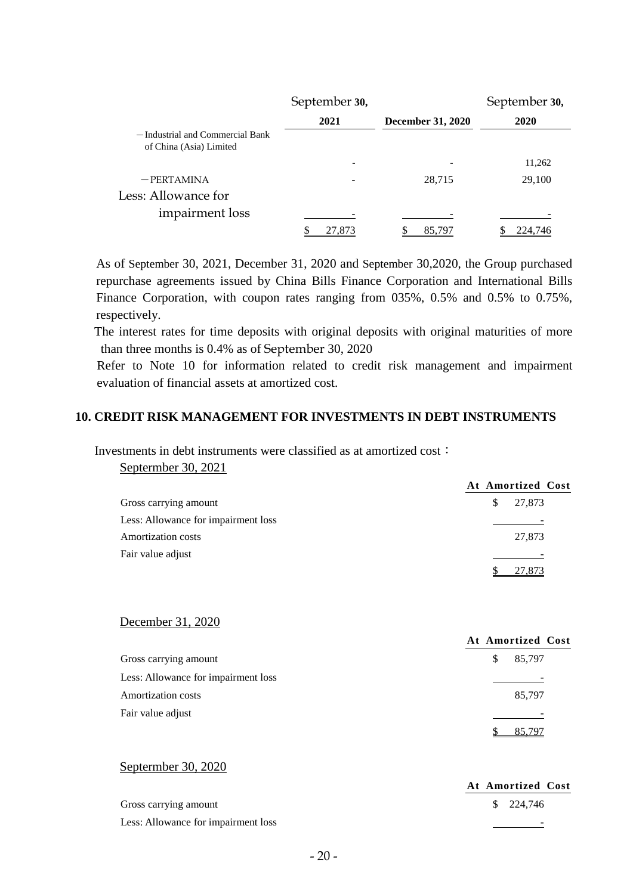|                                                            | September 30,            |                          | September 30, |
|------------------------------------------------------------|--------------------------|--------------------------|---------------|
|                                                            | 2021                     | <b>December 31, 2020</b> | 2020          |
| -Industrial and Commercial Bank<br>of China (Asia) Limited |                          |                          |               |
|                                                            | $\overline{\phantom{a}}$ |                          | 11,262        |
| $-$ PERTAMINA                                              |                          | 28,715                   | 29,100        |
| Less: Allowance for                                        |                          |                          |               |
| impairment loss                                            |                          |                          |               |
|                                                            | . 8.                     | 85.79                    | 224.746       |

As of September 30, 2021, December 31, 2020 and September 30,2020, the Group purchased repurchase agreements issued by China Bills Finance Corporation and International Bills Finance Corporation, with coupon rates ranging from 035%, 0.5% and 0.5% to 0.75%, respectively.

The interest rates for time deposits with original deposits with original maturities of more than three months is 0.4% as of September 30, 2020

Refer to Note 10 for information related to credit risk management and impairment evaluation of financial assets at amortized cost.

## **10. CREDIT RISK MANAGEMENT FOR INVESTMENTS IN DEBT INSTRUMENTS**

## Investments in debt instruments were classified as at amortized cost:

Septermber 30, 2021

|                                     | At Amortized Cost |
|-------------------------------------|-------------------|
| Gross carrying amount               | 27,873<br>S.      |
| Less: Allowance for impairment loss |                   |
| <b>Amortization costs</b>           | 27,873            |
| Fair value adjust                   |                   |
|                                     | 27,873            |

#### December 31, 2020

|                                     | At Amortized Cost |
|-------------------------------------|-------------------|
| Gross carrying amount               | 85,797<br>S       |
| Less: Allowance for impairment loss |                   |
| <b>Amortization costs</b>           | 85,797            |
| Fair value adjust                   |                   |
|                                     | 85,797            |

#### Septermber 30, 2020

| Septermoer 30, 2020                 |                   |
|-------------------------------------|-------------------|
|                                     | At Amortized Cost |
| Gross carrying amount               | \$ 224,746        |
| Less: Allowance for impairment loss |                   |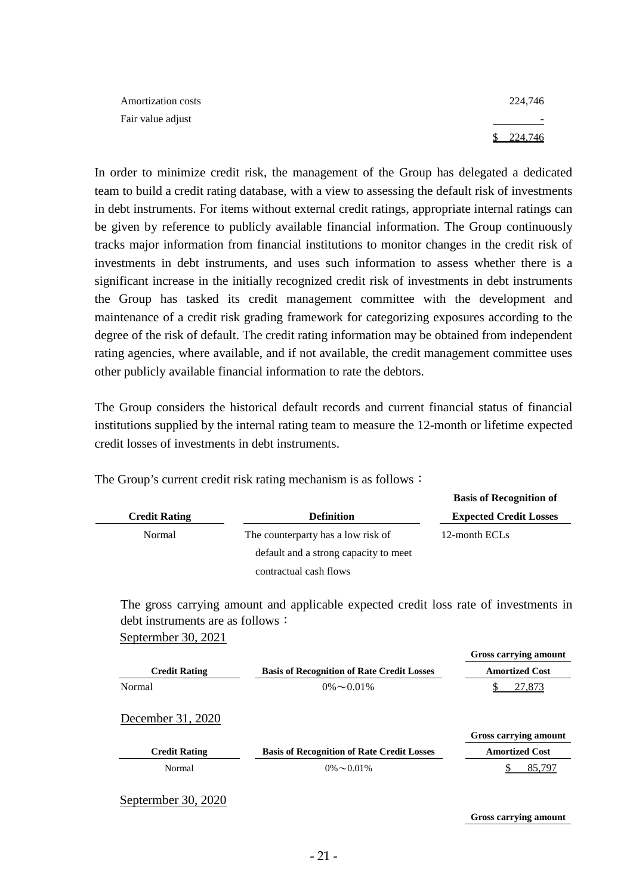| Amortization costs | 224,746                  |
|--------------------|--------------------------|
| Fair value adjust  | $\overline{\phantom{a}}$ |
|                    | 224,746                  |

In order to minimize credit risk, the management of the Group has delegated a dedicated team to build a credit rating database, with a view to assessing the default risk of investments in debt instruments. For items without external credit ratings, appropriate internal ratings can be given by reference to publicly available financial information. The Group continuously tracks major information from financial institutions to monitor changes in the credit risk of investments in debt instruments, and uses such information to assess whether there is a significant increase in the initially recognized credit risk of investments in debt instruments the Group has tasked its credit management committee with the development and maintenance of a credit risk grading framework for categorizing exposures according to the degree of the risk of default. The credit rating information may be obtained from independent rating agencies, where available, and if not available, the credit management committee uses other publicly available financial information to rate the debtors.

The Group considers the historical default records and current financial status of financial institutions supplied by the internal rating team to measure the 12-month or lifetime expected credit losses of investments in debt instruments.

The Group's current credit risk rating mechanism is as follows:

|                      |                                       | <b>Basis of Recognition of</b> |
|----------------------|---------------------------------------|--------------------------------|
| <b>Credit Rating</b> | <b>Definition</b>                     | <b>Expected Credit Losses</b>  |
| Normal               | The counterparty has a low risk of    | 12-month ECLs                  |
|                      | default and a strong capacity to meet |                                |
|                      | contractual cash flows                |                                |

The gross carrying amount and applicable expected credit loss rate of investments in debt instruments are as follows: Septermber 30, 2021

|                      |                                                   | Gross carrying amount |
|----------------------|---------------------------------------------------|-----------------------|
| <b>Credit Rating</b> | <b>Basis of Recognition of Rate Credit Losses</b> | <b>Amortized Cost</b> |
| Normal               | $0\% \sim 0.01\%$                                 | 27,873                |
| December 31, 2020    |                                                   |                       |
|                      |                                                   | Gross carrying amount |
| <b>Credit Rating</b> | <b>Basis of Recognition of Rate Credit Losses</b> | <b>Amortized Cost</b> |
| Normal               | $0\% \sim 0.01\%$                                 | 85.797                |
| Septermber 30, 2020  |                                                   |                       |

**Gross carrying amount**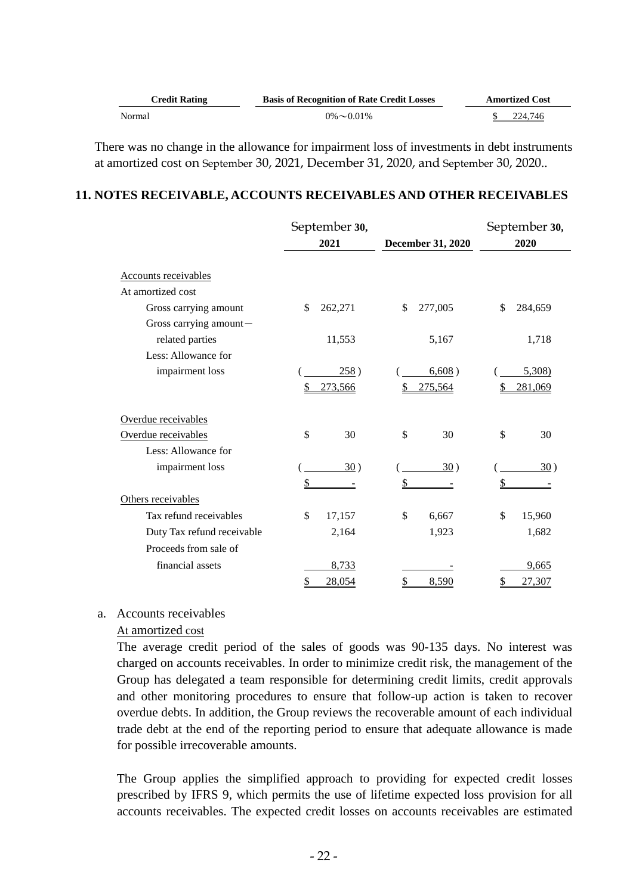| <b>Credit Rating</b> | <b>Basis of Recognition of Rate Credit Losses</b> | <b>Amortized Cost</b> |
|----------------------|---------------------------------------------------|-----------------------|
| Normal               | $0\% \sim 0.01\%$                                 | 224.746               |

There was no change in the allowance for impairment loss of investments in debt instruments at amortized cost on September 30, 2021, December 31, 2020, and September 30, 2020..

## **11. NOTES RECEIVABLE, ACCOUNTS RECEIVABLES AND OTHER RECEIVABLES**

|                             | September 30, |    |                   | September 30, |
|-----------------------------|---------------|----|-------------------|---------------|
|                             | 2021          |    | December 31, 2020 | 2020          |
| <b>Accounts receivables</b> |               |    |                   |               |
| At amortized cost           |               |    |                   |               |
| Gross carrying amount       | \$<br>262,271 | \$ | 277,005           | \$<br>284,659 |
| Gross carrying amount-      |               |    |                   |               |
| related parties             | 11,553        |    | 5,167             | 1,718         |
| Less: Allowance for         |               |    |                   |               |
| impairment loss             | 258)          |    | 6,608)            | 5,308         |
|                             | 273,566       |    | 275,564           | 281,069       |
| Overdue receivables         |               |    |                   |               |
| Overdue receivables         | \$<br>30      | \$ | 30                | \$<br>30      |
| Less: Allowance for         |               |    |                   |               |
| impairment loss             | 30)           |    | 30)               | 30)           |
|                             |               |    |                   |               |
| Others receivables          |               |    |                   |               |
| Tax refund receivables      | \$<br>17,157  | \$ | 6,667             | \$<br>15,960  |
| Duty Tax refund receivable  | 2,164         |    | 1,923             | 1,682         |
| Proceeds from sale of       |               |    |                   |               |
| financial assets            | 8,733         |    |                   | 9,665         |
|                             | \$<br>28,054  | S  | 8,590             | \$<br>27,307  |

#### a. Accounts receivables

#### At amortized cost

The average credit period of the sales of goods was 90-135 days. No interest was charged on accounts receivables. In order to minimize credit risk, the management of the Group has delegated a team responsible for determining credit limits, credit approvals and other monitoring procedures to ensure that follow-up action is taken to recover overdue debts. In addition, the Group reviews the recoverable amount of each individual trade debt at the end of the reporting period to ensure that adequate allowance is made for possible irrecoverable amounts.

The Group applies the simplified approach to providing for expected credit losses prescribed by IFRS 9, which permits the use of lifetime expected loss provision for all accounts receivables. The expected credit losses on accounts receivables are estimated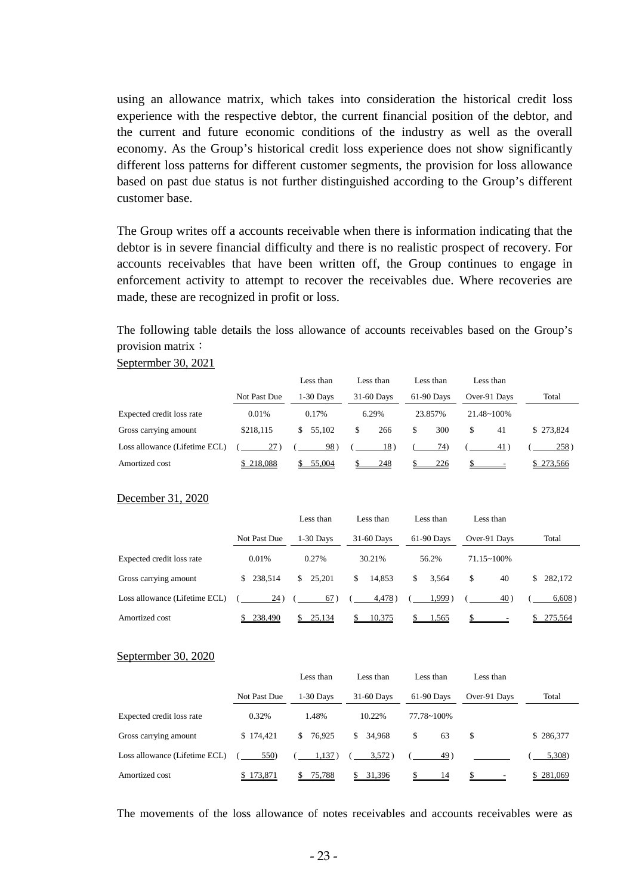using an allowance matrix, which takes into consideration the historical credit loss experience with the respective debtor, the current financial position of the debtor, and the current and future economic conditions of the industry as well as the overall economy. As the Group's historical credit loss experience does not show significantly different loss patterns for different customer segments, the provision for loss allowance based on past due status is not further distinguished according to the Group's different customer base.

The Group writes off a accounts receivable when there is information indicating that the debtor is in severe financial difficulty and there is no realistic prospect of recovery. For accounts receivables that have been written off, the Group continues to engage in enforcement activity to attempt to recover the receivables due. Where recoveries are made, these are recognized in profit or loss.

The following table details the loss allowance of accounts receivables based on the Group's provision matrix:

#### Septermber 30, 2021

|                               |              | Less than   | Less than  | Less than  | Less than            |           |
|-------------------------------|--------------|-------------|------------|------------|----------------------|-----------|
|                               | Not Past Due | $1-30$ Days | 31-60 Days | 61-90 Days | Over-91 Days         | Total     |
| Expected credit loss rate     | 0.01%        | 0.17%       | 6.29%      | 23.857%    | $21.48 \times 100\%$ |           |
| Gross carrying amount         | \$218.115    | \$55.102    | 266        | 300<br>\$  | 41<br>\$.            | \$273,824 |
| Loss allowance (Lifetime ECL) | $27^\circ$   | 98)         | 18)        | 74)        | 41                   | 258)      |
| Amortized cost                | 218,088      | 55,004      | 248        | 226        |                      | 273,566   |

#### December 31, 2020

|                               |                | Less than    | Less than    | Less than   | Less than       |              |
|-------------------------------|----------------|--------------|--------------|-------------|-----------------|--------------|
|                               | Not Past Due   | $1-30$ Days  | 31-60 Days   | 61-90 Days  | Over-91 Days    | Total        |
| Expected credit loss rate     | 0.01%          | 0.27%        | 30.21%       | 56.2%       | $71.15 - 100\%$ |              |
| Gross carrying amount         | 238.514<br>\$. | 25.201<br>S. | 14.853<br>\$ | 3.564<br>\$ | \$<br>40        | 282,172<br>S |
| Loss allowance (Lifetime ECL) | 24)            | 67           | 4,478)       | 1.999       | 40)             | 6,608)       |
| Amortized cost                | 238,490        | 25,134       | 10,375       | 1,565       |                 | 275,564      |

#### Septermber 30, 2020

|                               |              | Less than   | Less than  | Less than  | Less than    |           |
|-------------------------------|--------------|-------------|------------|------------|--------------|-----------|
|                               | Not Past Due | $1-30$ Days | 31-60 Days | 61-90 Days | Over-91 Days | Total     |
| Expected credit loss rate     | 0.32%        | 1.48%       | 10.22%     | 77.78~100% |              |           |
| Gross carrying amount         | \$174.421    | \$ 76,925   | \$34.968   | \$<br>63   | S            | \$286,377 |
| Loss allowance (Lifetime ECL) | 550)         | 1,137)      | 3,572)     | 49)        |              | 5,308)    |
| Amortized cost                | 173,871      | 75,788      | 31,396     | 14         |              | \$281,069 |

The movements of the loss allowance of notes receivables and accounts receivables were as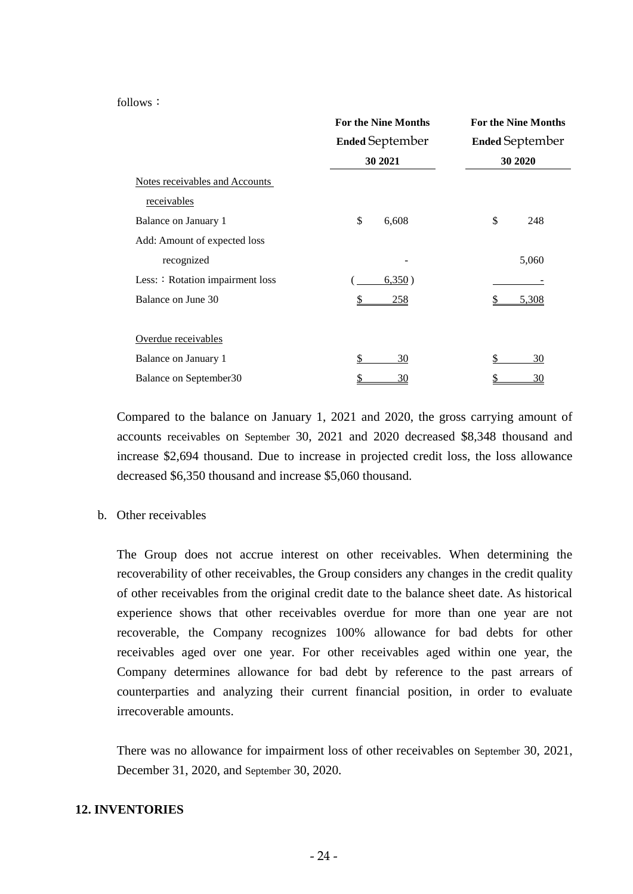#### follows:

|                                  | <b>For the Nine Months</b> | <b>For the Nine Months</b> |
|----------------------------------|----------------------------|----------------------------|
|                                  | <b>Ended September</b>     | <b>Ended September</b>     |
|                                  | 30 2021                    | 30 20 20                   |
| Notes receivables and Accounts   |                            |                            |
| receivables                      |                            |                            |
| Balance on January 1             | \$<br>6,608                | \$<br>248                  |
| Add: Amount of expected loss     |                            |                            |
| recognized                       |                            | 5,060                      |
| Less: : Rotation impairment loss | 6,350)                     |                            |
| Balance on June 30               | <u>258</u>                 | 5,308                      |
|                                  |                            |                            |
| Overdue receivables              |                            |                            |
| Balance on January 1             | \$<br>30                   | \$<br>30                   |
| Balance on September30           | \$<br>30                   | \$<br>30                   |

Compared to the balance on January 1, 2021 and 2020, the gross carrying amount of accounts receivables on September 30, 2021 and 2020 decreased \$8,348 thousand and increase \$2,694 thousand. Due to increase in projected credit loss, the loss allowance decreased \$6,350 thousand and increase \$5,060 thousand.

#### b. Other receivables

The Group does not accrue interest on other receivables. When determining the recoverability of other receivables, the Group considers any changes in the credit quality of other receivables from the original credit date to the balance sheet date. As historical experience shows that other receivables overdue for more than one year are not recoverable, the Company recognizes 100% allowance for bad debts for other receivables aged over one year. For other receivables aged within one year, the Company determines allowance for bad debt by reference to the past arrears of counterparties and analyzing their current financial position, in order to evaluate irrecoverable amounts.

There was no allowance for impairment loss of other receivables on September 30, 2021, December 31, 2020, and September 30, 2020.

## **12. INVENTORIES**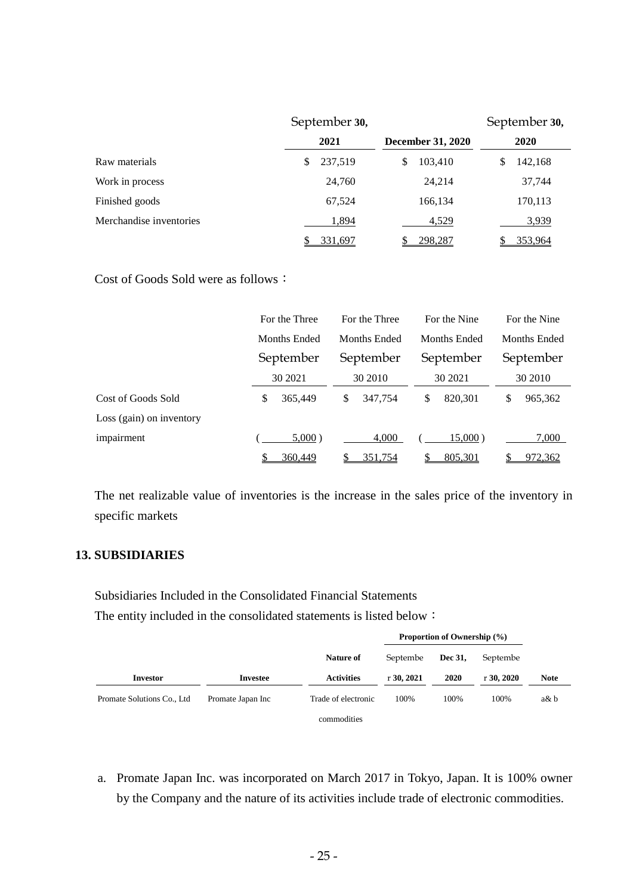|                         | September 30, |                          | September 30, |
|-------------------------|---------------|--------------------------|---------------|
|                         | 2021          | <b>December 31, 2020</b> | 2020          |
| Raw materials           | 237,519<br>\$ | 103,410<br>S             | 142,168<br>S  |
| Work in process         | 24,760        | 24,214                   | 37,744        |
| Finished goods          | 67,524        | 166,134                  | 170,113       |
| Merchandise inventories | 1,894         | 4,529                    | 3,939         |
|                         | 331,697       | 298,287                  | 353,964       |

Cost of Goods Sold were as follows:

|                          | For the Three | For the Three |               | For the Nine |  |  |
|--------------------------|---------------|---------------|---------------|--------------|--|--|
|                          | Months Ended  | Months Ended  | Months Ended  | Months Ended |  |  |
|                          | September     | September     | September     | September    |  |  |
|                          | 30 2021       | 30 2010       | 30 2021       | 30 2010      |  |  |
| Cost of Goods Sold       | 365,449<br>\$ | \$<br>347.754 | \$<br>820,301 | 965,362<br>S |  |  |
| Loss (gain) on inventory |               |               |               |              |  |  |
| impairment               | $5,000$ )     | 4.000         | $15,000$ )    | 7,000        |  |  |
|                          | 360,449       | 351,754       | 805,301       | 972,362      |  |  |

The net realizable value of inventories is the increase in the sales price of the inventory in specific markets

# **13. SUBSIDIARIES**

Subsidiaries Included in the Consolidated Financial Statements The entity included in the consolidated statements is listed below:

|                             |                   |                     |              | Proportion of Ownership (%) |              |             |
|-----------------------------|-------------------|---------------------|--------------|-----------------------------|--------------|-------------|
|                             |                   | Nature of           | Septembe     | Dec 31.                     | Septembe     |             |
| <b>Investor</b>             | Investee          | <b>Activities</b>   | $r$ 30, 2021 | 2020                        | $r$ 30, 2020 | <b>Note</b> |
| Promate Solutions Co., Ltd. | Promate Japan Inc | Trade of electronic | 100%         | 100%                        | 100%         | $a\& b$     |
|                             |                   | commodities         |              |                             |              |             |

a. Promate Japan Inc. was incorporated on March 2017 in Tokyo, Japan. It is 100% owner by the Company and the nature of its activities include trade of electronic commodities.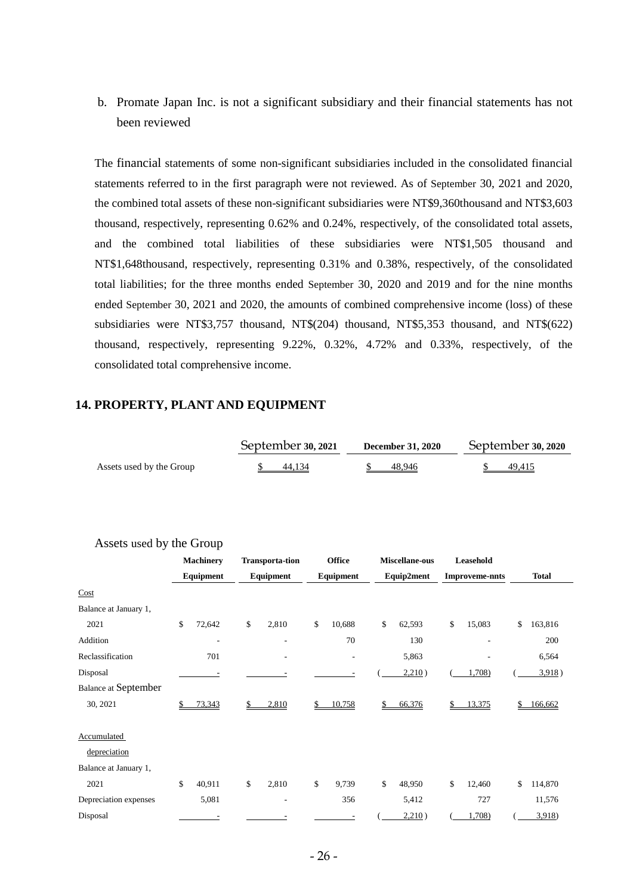b. Promate Japan Inc. is not a significant subsidiary and their financial statements has not been reviewed

The financial statements of some non-significant subsidiaries included in the consolidated financial statements referred to in the first paragraph were not reviewed. As of September 30, 2021 and 2020, the combined total assets of these non-significant subsidiaries were NT\$9,360thousand and NT\$3,603 thousand, respectively, representing 0.62% and 0.24%, respectively, of the consolidated total assets, and the combined total liabilities of these subsidiaries were NT\$1,505 thousand and NT\$1,648thousand, respectively, representing 0.31% and 0.38%, respectively, of the consolidated total liabilities; for the three months ended September 30, 2020 and 2019 and for the nine months ended September 30, 2021 and 2020, the amounts of combined comprehensive income (loss) of these subsidiaries were NT\$3,757 thousand, NT\$(204) thousand, NT\$5,353 thousand, and NT\$(622) thousand, respectively, representing 9.22%, 0.32%, 4.72% and 0.33%, respectively, of the consolidated total comprehensive income.

# **14. PROPERTY, PLANT AND EQUIPMENT**

|                          | September 30, 2021 | <b>December 31, 2020</b> | September 30, 2020 |  |  |
|--------------------------|--------------------|--------------------------|--------------------|--|--|
| Assets used by the Group | 44.134             | 48.946                   | 49.415             |  |  |

#### Assets used by the Group

|                             | <b>Machinery</b> |       | <b>Transporta-tion</b> | <b>Office</b> | Miscellane-ous |              | Leasehold             |               |
|-----------------------------|------------------|-------|------------------------|---------------|----------------|--------------|-----------------------|---------------|
|                             | Equipment        |       | Equipment              | Equipment     | Equip2ment     |              | <b>Improveme-nnts</b> | <b>Total</b>  |
| Cost                        |                  |       |                        |               |                |              |                       |               |
| Balance at January 1,       |                  |       |                        |               |                |              |                       |               |
| 2021                        | \$<br>72,642     |       | \$<br>2,810            | \$<br>10,688  | \$<br>62,593   | $\mathbb{S}$ | 15,083                | \$<br>163,816 |
| Addition                    |                  | ٠     | ٠                      | 70            | 130            |              | ۰                     | 200           |
| Reclassification            |                  | 701   | ٠                      |               | 5,863          |              |                       | 6,564         |
| Disposal                    |                  |       |                        |               | 2,210)         |              | 1,708)                | 3,918)        |
| <b>Balance at September</b> |                  |       |                        |               |                |              |                       |               |
| 30, 2021                    | 73,343           |       | 2,810                  | 10,758        | \$<br>66,376   | \$           | 13,375                | 166,662       |
| Accumulated                 |                  |       |                        |               |                |              |                       |               |
| depreciation                |                  |       |                        |               |                |              |                       |               |
| Balance at January 1,       |                  |       |                        |               |                |              |                       |               |
| 2021                        | \$<br>40,911     |       | \$<br>2,810            | \$<br>9,739   | \$<br>48,950   | \$           | 12,460                | \$<br>114,870 |
| Depreciation expenses       |                  | 5,081 | ٠                      | 356           | 5,412          |              | 727                   | 11,576        |
| Disposal                    |                  |       |                        |               | 2,210)         |              | 1,708)                | 3,918         |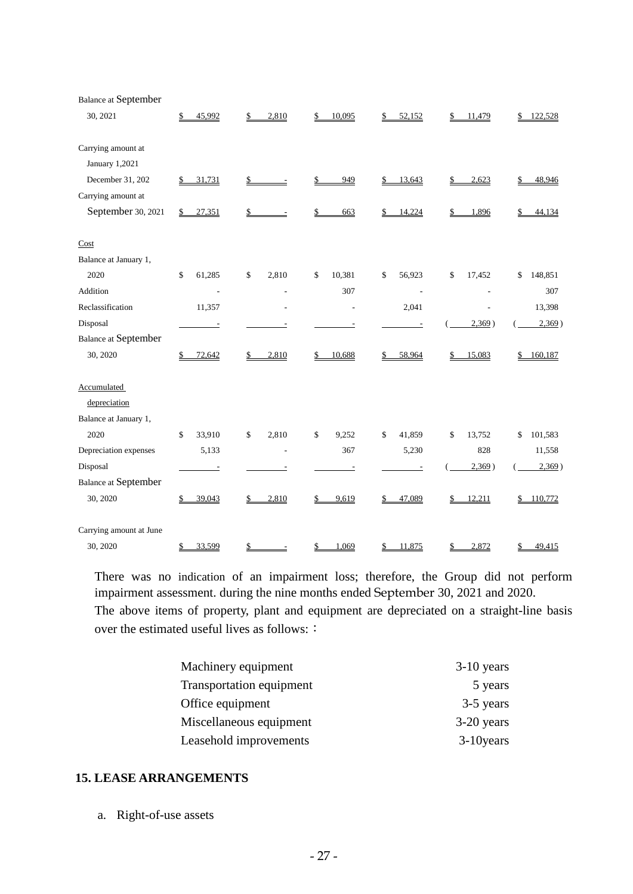| <b>Balance at September</b> |              |               |              |              |              |               |
|-----------------------------|--------------|---------------|--------------|--------------|--------------|---------------|
| 30, 2021                    | 45,992<br>\$ | 2,810<br>\$   | 10,095<br>\$ | 52,152<br>S. | 11,479<br>\$ | 122,528<br>\$ |
| Carrying amount at          |              |               |              |              |              |               |
| January 1,2021              |              |               |              |              |              |               |
| December 31, 202            | 31,731<br>\$ | \$            | 949          | 13,643       | 2,623        | 48,946        |
| Carrying amount at          |              |               |              |              |              |               |
| September 30, 2021          | 27,351<br>\$ | \$            | 663          | 14,224<br>\$ | 1,896        | 44,134        |
| Cost                        |              |               |              |              |              |               |
| Balance at January 1,       |              |               |              |              |              |               |
| 2020                        | \$<br>61,285 | \$<br>2,810   | \$<br>10,381 | 56,923<br>\$ | \$<br>17,452 | \$<br>148,851 |
| Addition                    |              |               | 307          | L.           |              | 307           |
| Reclassification            | 11,357       |               |              | 2,041        |              | 13,398        |
| Disposal                    | $\equiv$     |               |              |              | 2,369)       | 2,369)        |
| <b>Balance at September</b> |              |               |              |              |              |               |
| 30, 2020                    | 72,642<br>\$ | 2,810<br>\$   | 10,688       | 58,964       | 15,083       | 160,187<br>\$ |
| <b>Accumulated</b>          |              |               |              |              |              |               |
| depreciation                |              |               |              |              |              |               |
| Balance at January 1,       |              |               |              |              |              |               |
| 2020                        | \$<br>33,910 | 2,810<br>\$   | \$<br>9,252  | \$<br>41,859 | \$<br>13,752 | 101,583<br>\$ |
| Depreciation expenses       | 5,133        | Ē,            | 367          | 5,230        | 828          | 11,558        |
| Disposal                    |              |               |              |              | 2,369)       | 2,369)        |
| <b>Balance at September</b> |              |               |              |              |              |               |
| 30, 2020                    | 39,043<br>\$ | 2,810<br>\$   | 9,619        | 47,089       | 12,211<br>\$ | 110,772<br>\$ |
| Carrying amount at June     |              |               |              |              |              |               |
| 30, 2020                    | \$<br>33,599 | $\frac{1}{2}$ | \$<br>1,069  | 11,875<br>\$ | 2,872<br>\$  | \$<br>49,415  |

There was no indication of an impairment loss; therefore, the Group did not perform impairment assessment. during the nine months ended September 30, 2021 and 2020. The above items of property, plant and equipment are depreciated on a straight-line basis over the estimated useful lives as follows: :

| Machinery equipment      | $3-10$ years |
|--------------------------|--------------|
| Transportation equipment | 5 years      |
| Office equipment         | 3-5 years    |
| Miscellaneous equipment  | $3-20$ years |
| Leasehold improvements   | $3-10$ years |

## **15. LEASE ARRANGEMENTS**

a. Right-of-use assets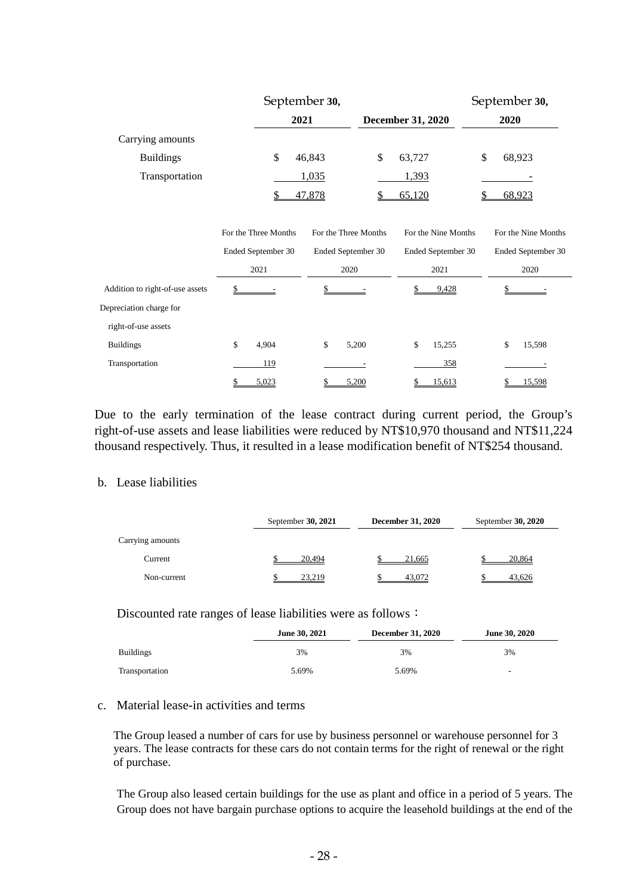|                                 | September 30,        |                      |                          | September 30,       |
|---------------------------------|----------------------|----------------------|--------------------------|---------------------|
|                                 | 2021                 |                      | <b>December 31, 2020</b> | 2020                |
| Carrying amounts                |                      |                      |                          |                     |
| <b>Buildings</b>                | \$                   | \$<br>46,843         | 63,727                   | \$<br>68,923        |
| Transportation                  |                      | 1,035                | 1,393                    |                     |
|                                 |                      | 47,878<br>\$         | 65,120                   | 68,923              |
|                                 |                      |                      |                          |                     |
|                                 | For the Three Months | For the Three Months | For the Nine Months      | For the Nine Months |
|                                 | Ended September 30   | Ended September 30   | Ended September 30       | Ended September 30  |
|                                 | 2021                 | 2020                 | 2021                     | 2020                |
| Addition to right-of-use assets | \$                   |                      | \$<br>9,428              |                     |
| Depreciation charge for         |                      |                      |                          |                     |
| right-of-use assets             |                      |                      |                          |                     |
| <b>Buildings</b>                | \$<br>4,904          | \$<br>5,200          | \$<br>15,255             | \$<br>15,598        |
| Transportation                  | 119                  |                      | 358                      |                     |
|                                 | 5,023                | 5,200                | 15,613<br>\$             | 15,598              |

Due to the early termination of the lease contract during current period, the Group's right-of-use assets and lease liabilities were reduced by NT\$10,970 thousand and NT\$11,224 thousand respectively. Thus, it resulted in a lease modification benefit of NT\$254 thousand.

### b. Lease liabilities

|                  | September 30, 2021 | <b>December 31, 2020</b> | September $30, 2020$ |  |
|------------------|--------------------|--------------------------|----------------------|--|
| Carrying amounts |                    |                          |                      |  |
| Current          | 20.494             | 21.665                   | 20,864               |  |
| Non-current      | 23.219             | 43.072                   | 43,626               |  |

#### Discounted rate ranges of lease liabilities were as follows:

|                  | June 30, 2021 | <b>December 31, 2020</b> | <b>June 30, 2020</b>     |
|------------------|---------------|--------------------------|--------------------------|
| <b>Buildings</b> | 3%            | 3%                       | 3%                       |
| Transportation   | 5.69%         | 5.69%                    | $\overline{\phantom{0}}$ |

#### c. Material lease-in activities and terms

The Group leased a number of cars for use by business personnel or warehouse personnel for 3 years. The lease contracts for these cars do not contain terms for the right of renewal or the right of purchase.

The Group also leased certain buildings for the use as plant and office in a period of 5 years. The Group does not have bargain purchase options to acquire the leasehold buildings at the end of the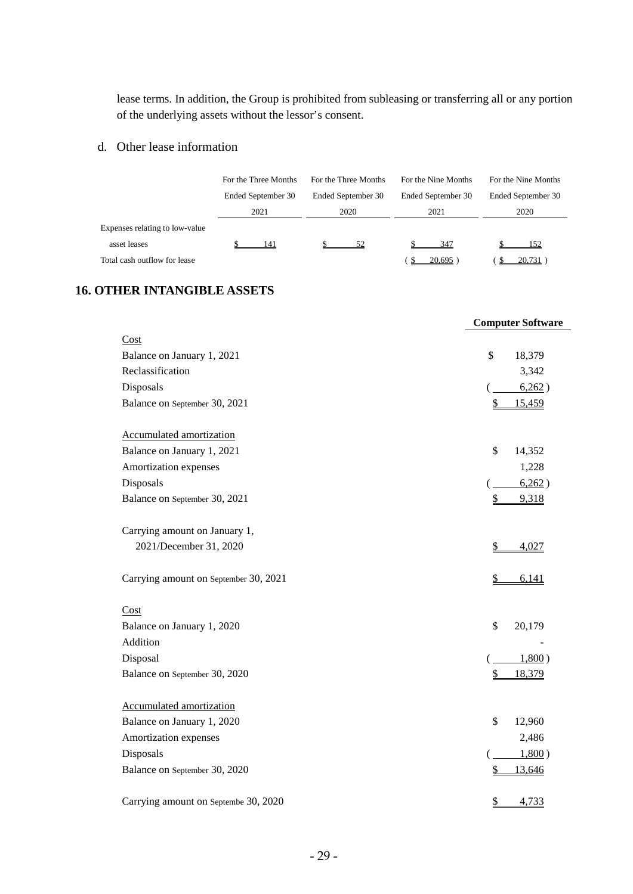lease terms. In addition, the Group is prohibited from subleasing or transferring all or any portion of the underlying assets without the lessor's consent.

## d. Other lease information

|                                | For the Three Months | For the Three Months | For the Nine Months | For the Nine Months |
|--------------------------------|----------------------|----------------------|---------------------|---------------------|
|                                | Ended September 30   | Ended September 30   | Ended September 30  | Ended September 30  |
|                                | 2021                 | 2020                 | 2021                | 2020                |
| Expenses relating to low-value |                      |                      |                     |                     |
| asset leases                   | 141                  | 52                   | 347                 | 152                 |
| Total cash outflow for lease   |                      |                      | 20,695              | 20,731              |

# **16. OTHER INTANGIBLE ASSETS**

|                                       | <b>Computer Software</b>         |
|---------------------------------------|----------------------------------|
| Cost                                  |                                  |
| Balance on January 1, 2021            | $\mathcal{S}$<br>18,379          |
| Reclassification                      | 3,342                            |
| Disposals                             | 6,262)                           |
| Balance on September 30, 2021         | 15,459<br>\$                     |
| Accumulated amortization              |                                  |
| Balance on January 1, 2021            | \$<br>14,352                     |
| Amortization expenses                 | 1,228                            |
| Disposals                             | 6,262)                           |
| Balance on September 30, 2021         | 9,318<br>\$                      |
| Carrying amount on January 1,         |                                  |
| 2021/December 31, 2020                | \$<br>4,027                      |
| Carrying amount on September 30, 2021 | $\frac{1}{2}$<br>6,141           |
| Cost                                  |                                  |
| Balance on January 1, 2020            | \$<br>20,179                     |
| Addition                              |                                  |
| Disposal                              | 1,800)                           |
| Balance on September 30, 2020         | \$<br>18,379                     |
| Accumulated amortization              |                                  |
| Balance on January 1, 2020            | \$<br>12,960                     |
| Amortization expenses                 | 2,486                            |
| Disposals                             | 1,800)                           |
| Balance on September 30, 2020         | \$<br>13,646                     |
| Carrying amount on Septembe 30, 2020  | $\overline{\mathbb{S}}$<br>4,733 |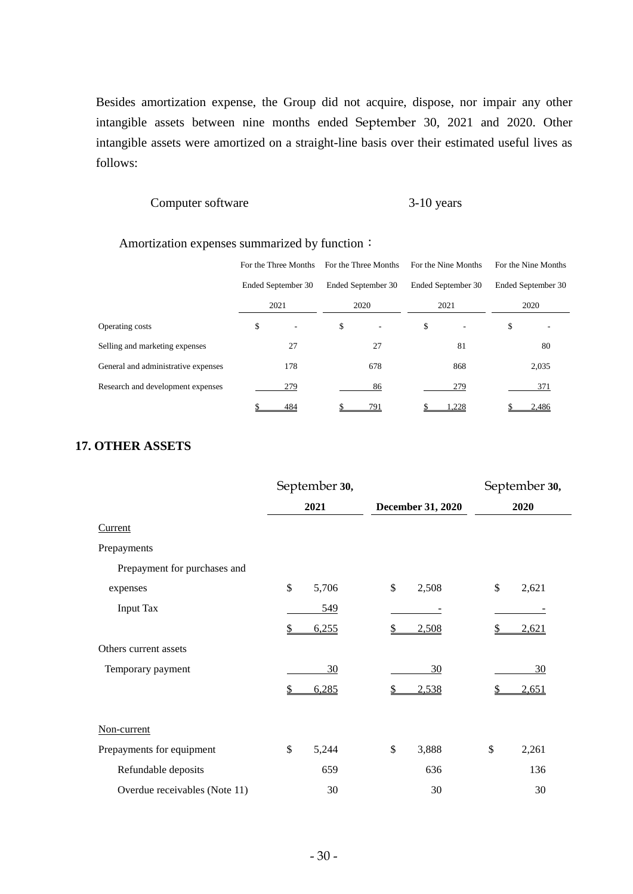Besides amortization expense, the Group did not acquire, dispose, nor impair any other intangible assets between nine months ended September 30, 2021 and 2020. Other intangible assets were amortized on a straight-line basis over their estimated useful lives as follows:

#### Computer software 3-10 years

#### Amortization expenses summarized by function:

|                                     | For the Three Months           | For the Three Months | For the Nine Months | For the Nine Months |
|-------------------------------------|--------------------------------|----------------------|---------------------|---------------------|
|                                     | Ended September 30             | Ended September 30   | Ended September 30  | Ended September 30  |
|                                     | 2021                           | 2020                 | 2021                | 2020                |
| Operating costs                     | \$<br>$\overline{\phantom{a}}$ | \$<br>-              | \$<br>۰             | \$                  |
| Selling and marketing expenses      | 27                             | 27                   | 81                  | 80                  |
| General and administrative expenses | 178                            | 678                  | 868                 | 2,035               |
| Research and development expenses   | 279                            | 86                   | 279                 | 371                 |
|                                     | 484                            | 791                  | .228                | 2,486               |

### **17. OTHER ASSETS**

|                               | September 30, |       |    |                   | September 30, |       |  |
|-------------------------------|---------------|-------|----|-------------------|---------------|-------|--|
|                               | 2021          |       |    | December 31, 2020 |               | 2020  |  |
| Current                       |               |       |    |                   |               |       |  |
| Prepayments                   |               |       |    |                   |               |       |  |
| Prepayment for purchases and  |               |       |    |                   |               |       |  |
| expenses                      | \$            | 5,706 | \$ | 2,508             | \$            | 2,621 |  |
| <b>Input Tax</b>              |               | 549   |    |                   |               |       |  |
|                               | \$            | 6,255 |    | 2,508             |               | 2,621 |  |
| Others current assets         |               |       |    |                   |               |       |  |
| Temporary payment             |               | 30    |    | 30                |               | 30    |  |
|                               | \$            | 6,285 |    | 2,538             |               | 2,651 |  |
| Non-current                   |               |       |    |                   |               |       |  |
| Prepayments for equipment     | \$            | 5,244 | \$ | 3,888             | \$            | 2,261 |  |
| Refundable deposits           |               | 659   |    | 636               |               | 136   |  |
| Overdue receivables (Note 11) |               | 30    |    | 30                |               | 30    |  |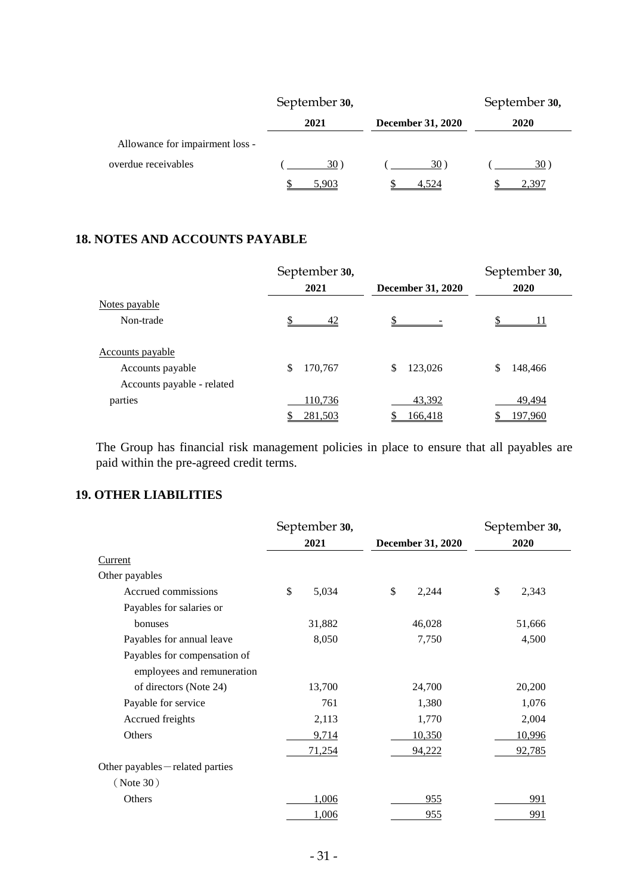|                                 | September 30, |                          | September 30, |
|---------------------------------|---------------|--------------------------|---------------|
|                                 | 2021          | <b>December 31, 2020</b> | 2020          |
| Allowance for impairment loss - |               |                          |               |
| overdue receivables             | 30)           | $30^{\circ}$             | 30)           |
|                                 | 5.903         | 4.524                    | ' 30T         |

# **18. NOTES AND ACCOUNTS PAYABLE**

|                            | September 30, |                          | September 30, |
|----------------------------|---------------|--------------------------|---------------|
|                            | 2021          | <b>December 31, 2020</b> | 2020          |
| Notes payable              |               |                          |               |
| Non-trade                  | 42            | S                        |               |
| <u>Accounts</u> payable    |               |                          |               |
| Accounts payable           | \$<br>170,767 | 123,026<br>\$            | 148,466       |
| Accounts payable - related |               |                          |               |
| parties                    | 110,736       | 43,392                   | 49,494        |
|                            | 281,503       | 166,418                  | 197,960       |

The Group has financial risk management policies in place to ensure that all payables are paid within the pre-agreed credit terms.

# **19. OTHER LIABILITIES**

|                                  | September 30,                    |        |    | September 30, |      |        |
|----------------------------------|----------------------------------|--------|----|---------------|------|--------|
|                                  | 2021<br><b>December 31, 2020</b> |        |    |               | 2020 |        |
| Current                          |                                  |        |    |               |      |        |
| Other payables                   |                                  |        |    |               |      |        |
| Accrued commissions              | \$                               | 5,034  | \$ | 2,244         | \$   | 2,343  |
| Payables for salaries or         |                                  |        |    |               |      |        |
| bonuses                          |                                  | 31,882 |    | 46,028        |      | 51,666 |
| Payables for annual leave        |                                  | 8,050  |    | 7,750         |      | 4,500  |
| Payables for compensation of     |                                  |        |    |               |      |        |
| employees and remuneration       |                                  |        |    |               |      |        |
| of directors (Note 24)           |                                  | 13,700 |    | 24,700        |      | 20,200 |
| Payable for service              |                                  | 761    |    | 1,380         |      | 1,076  |
| Accrued freights                 |                                  | 2,113  |    | 1,770         |      | 2,004  |
| Others                           |                                  | 9,714  |    | 10,350        |      | 10,996 |
|                                  |                                  | 71,254 |    | 94,222        |      | 92,785 |
| Other payables - related parties |                                  |        |    |               |      |        |
| ( Note 30)                       |                                  |        |    |               |      |        |
| Others                           |                                  | 1,006  |    | 955           |      | 991    |
|                                  |                                  | 1,006  |    | <u>955</u>    |      | 991    |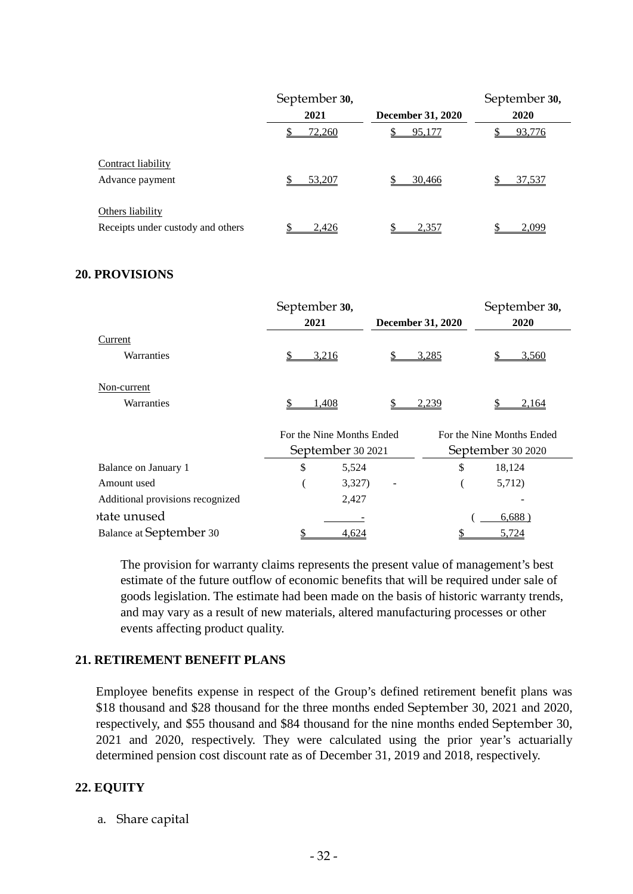|                                   | September 30, |                          | September 30, |
|-----------------------------------|---------------|--------------------------|---------------|
|                                   | 2021          | <b>December 31, 2020</b> | 2020          |
|                                   | <u>72,260</u> | 95,177                   | 93,776        |
| Contract liability                |               |                          |               |
| Advance payment                   | \$<br>53,207  | 30,466                   | 37,537        |
| Others liability                  |               |                          |               |
| Receipts under custody and others | 2.426         | 2,357                    | 2.099         |

#### **20. PROVISIONS**

|             | September 30,             |                          | September 30,             |  |  |
|-------------|---------------------------|--------------------------|---------------------------|--|--|
|             | 2021                      | <b>December 31, 2020</b> | 2020                      |  |  |
| Current     |                           |                          |                           |  |  |
| Warranties  | 3,216                     | 3,285                    | 3,560                     |  |  |
| Non-current |                           |                          |                           |  |  |
| Warranties  | 1,408                     | 2,239                    | 2,164                     |  |  |
|             | For the Nine Months Ended |                          | For the Nine Months Ended |  |  |

|                                  |   | September 30 2021 | September 30 2020 |        |  |
|----------------------------------|---|-------------------|-------------------|--------|--|
| Balance on January 1             | S | 5,524             | \$                | 18,124 |  |
| Amount used                      |   | 3,327             |                   | 5,712) |  |
| Additional provisions recognized |   | 2.427             |                   |        |  |
| tate unused                      |   |                   |                   | 6,688) |  |
| <b>Balance at September 30</b>   |   | 4.624             |                   | 5.724  |  |

The provision for warranty claims represents the present value of management's best estimate of the future outflow of economic benefits that will be required under sale of goods legislation. The estimate had been made on the basis of historic warranty trends, and may vary as a result of new materials, altered manufacturing processes or other events affecting product quality.

#### **21. RETIREMENT BENEFIT PLANS**

Employee benefits expense in respect of the Group's defined retirement benefit plans was \$18 thousand and \$28 thousand for the three months ended September 30, 2021 and 2020, respectively, and \$55 thousand and \$84 thousand for the nine months ended September 30, 2021 and 2020, respectively. They were calculated using the prior year's actuarially determined pension cost discount rate as of December 31, 2019 and 2018, respectively.

# **22. EQUITY**

a. Share capital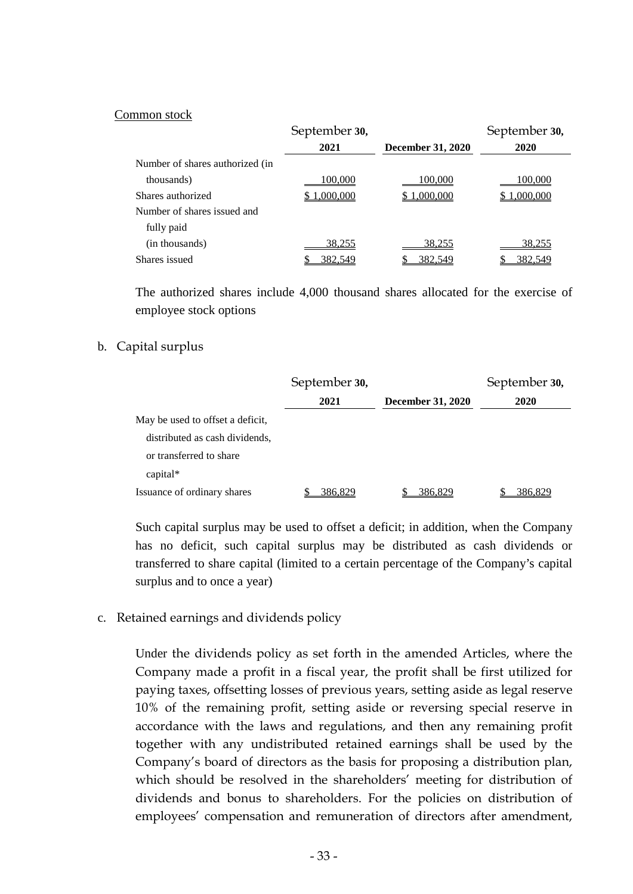#### Common stock

|                                 | September 30, |                          | September 30, |
|---------------------------------|---------------|--------------------------|---------------|
|                                 | 2021          | <b>December 31, 2020</b> | 2020          |
| Number of shares authorized (in |               |                          |               |
| thousands)                      | 100,000       | 100,000                  | 100,000       |
| Shares authorized               | 1,000,000     | 1,000,000                | 1,000,000     |
| Number of shares issued and     |               |                          |               |
| fully paid                      |               |                          |               |
| (in thousands)                  | 38,255        | 38,255                   | 38,255        |
| Shares issued                   | 382,549       | 382,549                  | 382,549       |

The authorized shares include 4,000 thousand shares allocated for the exercise of employee stock options

#### b. Capital surplus

|                                  | September 30, |                          | September 30, |
|----------------------------------|---------------|--------------------------|---------------|
|                                  | 2021          | <b>December 31, 2020</b> | 2020          |
| May be used to offset a deficit, |               |                          |               |
| distributed as cash dividends,   |               |                          |               |
| or transferred to share          |               |                          |               |
| $capital*$                       |               |                          |               |
| Issuance of ordinary shares      | 386.829       | 386.829                  | 386,829       |

Such capital surplus may be used to offset a deficit; in addition, when the Company has no deficit, such capital surplus may be distributed as cash dividends or transferred to share capital (limited to a certain percentage of the Company's capital surplus and to once a year)

c. Retained earnings and dividends policy

Under the dividends policy as set forth in the amended Articles, where the Company made a profit in a fiscal year, the profit shall be first utilized for paying taxes, offsetting losses of previous years, setting aside as legal reserve 10% of the remaining profit, setting aside or reversing special reserve in accordance with the laws and regulations, and then any remaining profit together with any undistributed retained earnings shall be used by the Company's board of directors as the basis for proposing a distribution plan, which should be resolved in the shareholders' meeting for distribution of dividends and bonus to shareholders. For the policies on distribution of employees' compensation and remuneration of directors after amendment,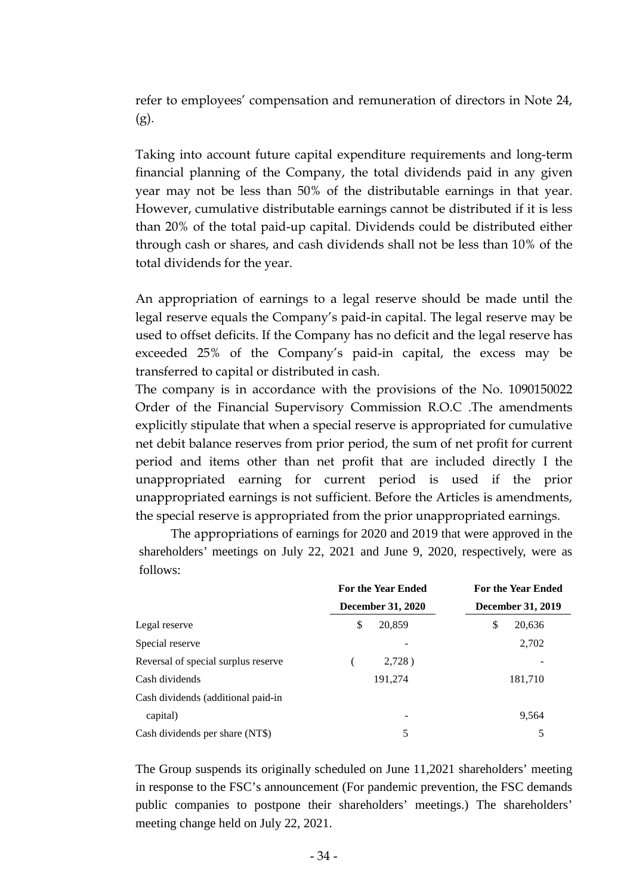refer to employees' compensation and remuneration of directors in Note 24, (g).

Taking into account future capital expenditure requirements and long-term financial planning of the Company, the total dividends paid in any given year may not be less than 50% of the distributable earnings in that year. However, cumulative distributable earnings cannot be distributed if it is less than 20% of the total paid-up capital. Dividends could be distributed either through cash or shares, and cash dividends shall not be less than 10% of the total dividends for the year.

An appropriation of earnings to a legal reserve should be made until the legal reserve equals the Company's paid-in capital. The legal reserve may be used to offset deficits. If the Company has no deficit and the legal reserve has exceeded 25% of the Company's paid-in capital, the excess may be transferred to capital or distributed in cash.

The company is in accordance with the provisions of the No. 1090150022 Order of the Financial Supervisory Commission R.O.C .The amendments explicitly stipulate that when a special reserve is appropriated for cumulative net debit balance reserves from prior period, the sum of net profit for current period and items other than net profit that are included directly I the unappropriated earning for current period is used if the prior unappropriated earnings is not sufficient. Before the Articles is amendments, the special reserve is appropriated from the prior unappropriated earnings.

The appropriations of earnings for 2020 and 2019 that were approved in the shareholders' meetings on July 22, 2021 and June 9, 2020, respectively, were as follows:

|                                     | <b>For the Year Ended</b> | <b>For the Year Ended</b> |  |  |
|-------------------------------------|---------------------------|---------------------------|--|--|
|                                     | <b>December 31, 2020</b>  | December 31, 2019         |  |  |
| Legal reserve                       | \$<br>20,859              | \$<br>20,636              |  |  |
| Special reserve                     |                           | 2,702                     |  |  |
| Reversal of special surplus reserve | $2,728$ )                 |                           |  |  |
| Cash dividends                      | 191,274                   | 181,710                   |  |  |
| Cash dividends (additional paid-in  |                           |                           |  |  |
| capital)                            | -                         | 9,564                     |  |  |
| Cash dividends per share (NT\$)     | 5                         | 5                         |  |  |

The Group suspends its originally scheduled on June 11,2021 shareholders' meeting in response to the FSC's announcement (For pandemic prevention, the FSC demands public companies to postpone their shareholders' meetings.) The shareholders' meeting change held on July 22, 2021.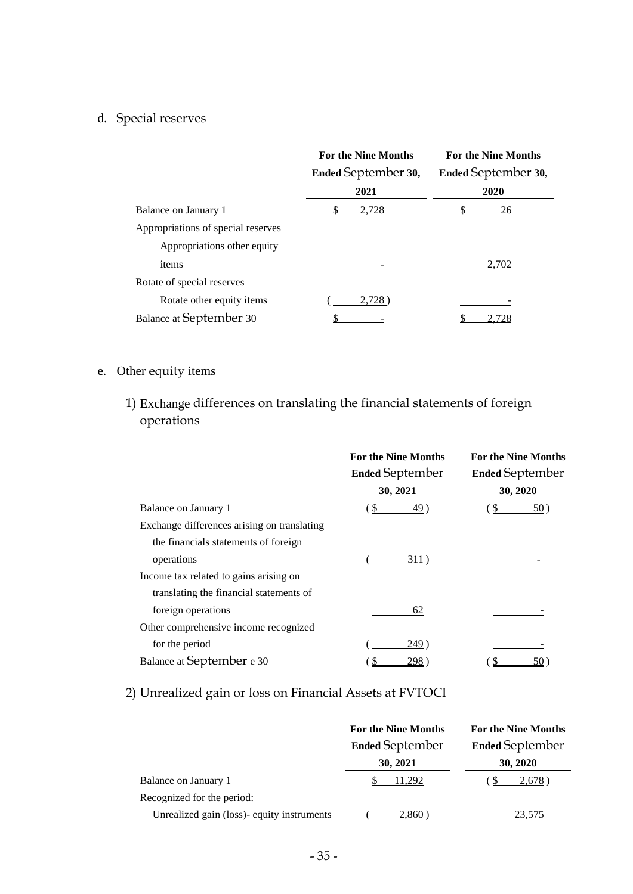# d. Special reserves

|                                    | <b>For the Nine Months</b><br><b>Ended September 30,</b> | <b>For the Nine Months</b><br>Ended September 30, |
|------------------------------------|----------------------------------------------------------|---------------------------------------------------|
|                                    | 2021                                                     | 2020                                              |
| Balance on January 1               | \$<br>2,728                                              | \$<br>26                                          |
| Appropriations of special reserves |                                                          |                                                   |
| Appropriations other equity        |                                                          |                                                   |
| items                              |                                                          | 2,702                                             |
| Rotate of special reserves         |                                                          |                                                   |
| Rotate other equity items          | 2,728                                                    |                                                   |
| <b>Balance at September 30</b>     |                                                          |                                                   |

# e. Other equity items

1) Exchange differences on translating the financial statements of foreign operations

|                                             | <b>For the Nine Months</b><br><b>Ended September</b><br>30, 2021 |             | <b>For the Nine Months</b><br><b>Ended September</b><br>30, 2020 |     |
|---------------------------------------------|------------------------------------------------------------------|-------------|------------------------------------------------------------------|-----|
|                                             |                                                                  |             |                                                                  |     |
|                                             |                                                                  |             |                                                                  |     |
| Balance on January 1                        | \$                                                               | <u>49</u> ) | <sup>S</sup>                                                     | 50) |
| Exchange differences arising on translating |                                                                  |             |                                                                  |     |
| the financials statements of foreign        |                                                                  |             |                                                                  |     |
| operations                                  |                                                                  | 311)        |                                                                  |     |
| Income tax related to gains arising on      |                                                                  |             |                                                                  |     |
| translating the financial statements of     |                                                                  |             |                                                                  |     |
| foreign operations                          |                                                                  | 62          |                                                                  |     |
| Other comprehensive income recognized       |                                                                  |             |                                                                  |     |
| for the period                              |                                                                  | 249)        |                                                                  |     |
| Balance at September e 30                   |                                                                  | 298.        |                                                                  |     |

# 2) Unrealized gain or loss on Financial Assets at FVTOCI

|                                            | <b>For the Nine Months</b> | <b>For the Nine Months</b> |  |  |
|--------------------------------------------|----------------------------|----------------------------|--|--|
|                                            | <b>Ended September</b>     | <b>Ended September</b>     |  |  |
|                                            | 30, 2021                   | 30, 2020                   |  |  |
| Balance on January 1                       | 11.292                     | 2,678                      |  |  |
| Recognized for the period:                 |                            |                            |  |  |
| Unrealized gain (loss)- equity instruments | 2.860                      | 23.575                     |  |  |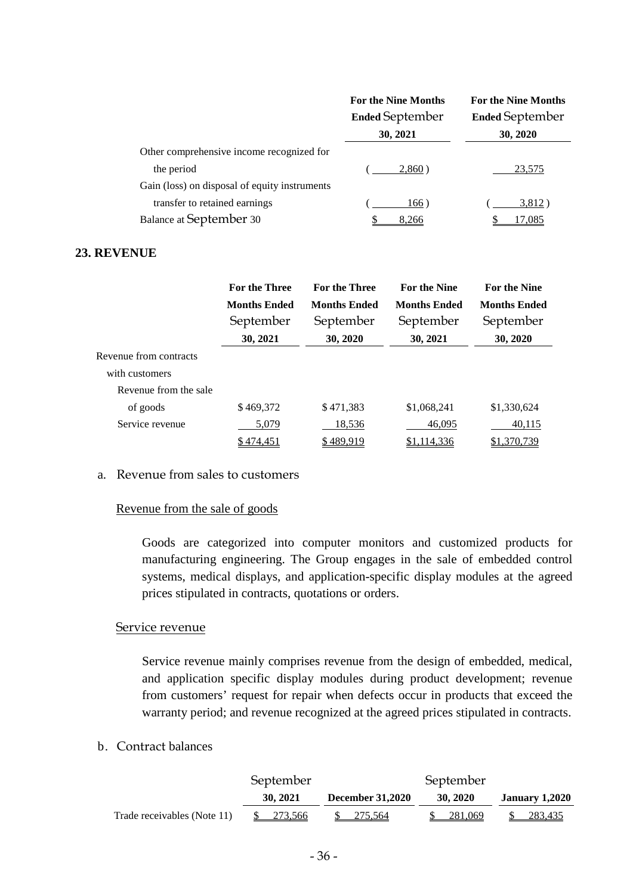|                                               | <b>For the Nine Months</b> | <b>For the Nine Months</b> |  |  |  |
|-----------------------------------------------|----------------------------|----------------------------|--|--|--|
|                                               | <b>Ended September</b>     | <b>Ended September</b>     |  |  |  |
|                                               | 30, 2021                   | 30, 2020                   |  |  |  |
| Other comprehensive income recognized for     |                            |                            |  |  |  |
| the period                                    | 2,860                      | 23,575                     |  |  |  |
| Gain (loss) on disposal of equity instruments |                            |                            |  |  |  |
| transfer to retained earnings                 | 166)                       | 3,812)                     |  |  |  |
| <b>Balance at September 30</b>                | 8,266                      | 17,085                     |  |  |  |

## **23. REVENUE**

|                        | <b>For the Three</b> | <b>For the Three</b><br><b>For the Nine</b> |                     | <b>For the Nine</b> |
|------------------------|----------------------|---------------------------------------------|---------------------|---------------------|
|                        | <b>Months Ended</b>  | <b>Months Ended</b>                         | <b>Months Ended</b> | <b>Months Ended</b> |
|                        | September            | September                                   | September           | September           |
|                        | 30, 2021             | 30, 2020                                    | 30, 2021            | 30, 2020            |
| Revenue from contracts |                      |                                             |                     |                     |
| with customers         |                      |                                             |                     |                     |
| Revenue from the sale  |                      |                                             |                     |                     |
| of goods               | \$469,372            | \$471,383                                   | \$1,068,241         | \$1,330,624         |
| Service revenue        | 5,079                | <u>18,536</u>                               | 46,095              | 40,115              |
|                        | \$474,451            | \$489,919                                   | \$1,114,336         | \$1,370,739         |

#### a. Revenue from sales to customers

#### Revenue from the sale of goods

Goods are categorized into computer monitors and customized products for manufacturing engineering. The Group engages in the sale of embedded control systems, medical displays, and application-specific display modules at the agreed prices stipulated in contracts, quotations or orders.

### Service revenue

Service revenue mainly comprises revenue from the design of embedded, medical, and application specific display modules during product development; revenue from customers' request for repair when defects occur in products that exceed the warranty period; and revenue recognized at the agreed prices stipulated in contracts.

## b. Contract balances

|                             | September  |                         | September |                       |
|-----------------------------|------------|-------------------------|-----------|-----------------------|
|                             | 30, 2021   | <b>December 31,2020</b> | 30, 2020  | <b>January 1,2020</b> |
| Trade receivables (Note 11) | \$ 273,566 | 275.564                 | 281,069   | 283.435               |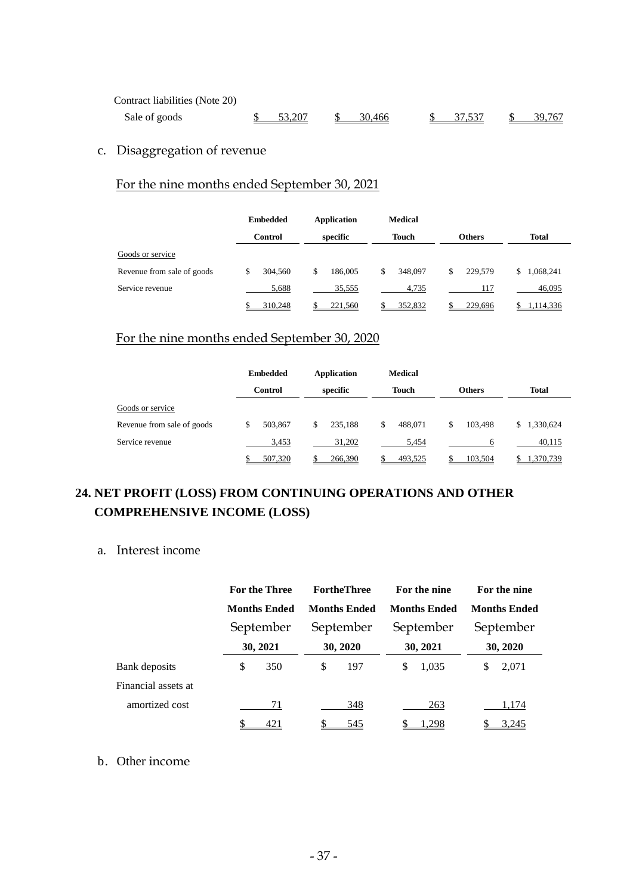| Contract liabilities (Note 20) |                    |           |           |           |
|--------------------------------|--------------------|-----------|-----------|-----------|
| Sale of goods                  | $\frac{$}{53,207}$ | \$ 30.466 | \$ 37.537 | \$ 39.767 |

# c. Disaggregation of revenue

# For the nine months ended September 30, 2021

|                            | <b>Embedded</b> | Application   | <b>Medical</b> |               |                 |  |
|----------------------------|-----------------|---------------|----------------|---------------|-----------------|--|
|                            | <b>Control</b>  | specific      | <b>Touch</b>   | Others        | <b>Total</b>    |  |
| Goods or service           |                 |               |                |               |                 |  |
| Revenue from sale of goods | \$<br>304,560   | \$<br>186,005 | \$<br>348,097  | \$<br>229,579 | \$<br>1,068,241 |  |
| Service revenue            | 5,688           | 35,555        | 4,735          | 117           | 46,095          |  |
|                            | 310,248         | 221,560       | 352,832        | 229,696       | 1,114,336       |  |

# For the nine months ended September 30, 2020

|                            | <b>Embedded</b> | <b>Application</b> | <b>Medical</b> |               |                 |
|----------------------------|-----------------|--------------------|----------------|---------------|-----------------|
|                            | <b>Control</b>  | specific           | <b>Touch</b>   | <b>Others</b> | <b>Total</b>    |
| Goods or service           |                 |                    |                |               |                 |
| Revenue from sale of goods | 503.867<br>S    | 235,188<br>\$      | 488,071<br>\$  | 103.498<br>\$ | 1,330,624<br>S. |
| Service revenue            | 3,453           | 31.202             | 5.454          | 6             | 40,115          |
|                            | 507,320         | 266,390            | 493,525        | 103,504       | 1,370,739       |

# **24. NET PROFIT (LOSS) FROM CONTINUING OPERATIONS AND OTHER COMPREHENSIVE INCOME (LOSS)**

# a. Interest income

|                     |    | <b>For the Three</b><br><b>Months Ended</b><br>September |          | <b>FortheThree</b>  |          | For the nine        |           | For the nine        |  |
|---------------------|----|----------------------------------------------------------|----------|---------------------|----------|---------------------|-----------|---------------------|--|
|                     |    |                                                          |          | <b>Months Ended</b> |          | <b>Months Ended</b> |           | <b>Months Ended</b> |  |
|                     |    |                                                          |          | September           |          | September           | September |                     |  |
|                     |    | 30, 2021                                                 | 30, 2020 |                     | 30, 2021 |                     | 30, 2020  |                     |  |
| Bank deposits       | \$ | 350                                                      | \$       | 197                 | S        | 1,035               | S         | 2,071               |  |
| Financial assets at |    |                                                          |          |                     |          |                     |           |                     |  |
| amortized cost      |    | 71                                                       |          | 348                 |          | 263                 |           | 1,174               |  |
|                     |    | 421                                                      |          | 545                 |          | 1,298               |           | 3,245               |  |

## b. Other income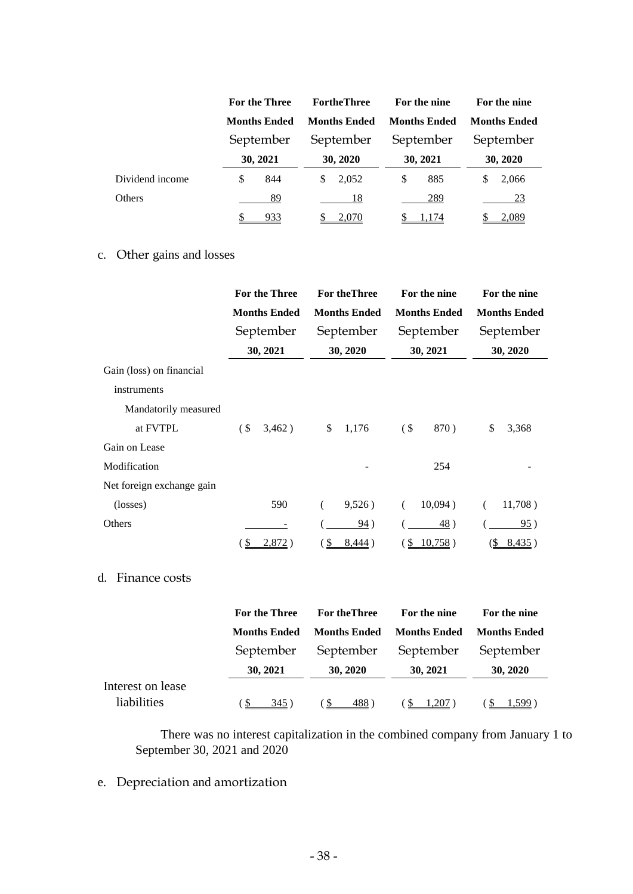|                 |    | For the Three<br><b>Months Ended</b><br>September<br>30, 2021 |   | <b>FortheThree</b>  |           | For the nine<br><b>Months Ended</b> |           | For the nine<br><b>Months Ended</b> |  |
|-----------------|----|---------------------------------------------------------------|---|---------------------|-----------|-------------------------------------|-----------|-------------------------------------|--|
|                 |    |                                                               |   | <b>Months Ended</b> |           |                                     |           |                                     |  |
|                 |    |                                                               |   | September           | September |                                     | September |                                     |  |
|                 |    |                                                               |   | 30, 2020            |           | 30, 2021                            |           | 30, 2020                            |  |
| Dividend income | \$ | 844                                                           | S | 2,052               | S         | 885                                 | S         | 2,066                               |  |
| Others          |    | 89                                                            |   | 18                  |           | 289                                 |           | 23                                  |  |
|                 |    | <u>933</u>                                                    |   | 2,070               |           | 1.174                               |           | 2,089                               |  |

# c. Other gains and losses

|                           | <b>For the Three</b> |                     |                 | <b>For the Three</b> |                | For the nine        |            | For the nine        |  |
|---------------------------|----------------------|---------------------|-----------------|----------------------|----------------|---------------------|------------|---------------------|--|
|                           |                      | <b>Months Ended</b> |                 | <b>Months Ended</b>  |                | <b>Months Ended</b> |            | <b>Months Ended</b> |  |
|                           |                      | September           |                 | September            |                | September           | September  |                     |  |
|                           |                      | 30, 2021            | 30, 2020        |                      | 30, 2021       |                     | 30, 2020   |                     |  |
| Gain (loss) on financial  |                      |                     |                 |                      |                |                     |            |                     |  |
| instruments               |                      |                     |                 |                      |                |                     |            |                     |  |
| Mandatorily measured      |                      |                     |                 |                      |                |                     |            |                     |  |
| at FVTPL                  | (S <sub>0</sub> )    | 3,462)              | \$              | 1,176                | $($ \$         | 870)                | \$         | 3,368               |  |
| Gain on Lease             |                      |                     |                 |                      |                |                     |            |                     |  |
| Modification              |                      |                     |                 |                      |                | 254                 |            |                     |  |
| Net foreign exchange gain |                      |                     |                 |                      |                |                     |            |                     |  |
| (losses)                  |                      | 590                 |                 | 9,526)               |                | 10,094)             |            | 11,708)             |  |
| Others                    |                      |                     |                 | 94)                  |                | 48)                 |            | 95)                 |  |
|                           | <u>S</u>             | 2,872)              | $(\frac{6}{5})$ | <u>8,444</u> )       | $\overline{v}$ | 10,758)             | <u>(\$</u> | 8,435)              |  |

# d. Finance costs

|                                  | For the Three       | <b>For the Three</b> | For the nine        | For the nine          |  |
|----------------------------------|---------------------|----------------------|---------------------|-----------------------|--|
|                                  | <b>Months Ended</b> | <b>Months Ended</b>  | <b>Months Ended</b> | <b>Months Ended</b>   |  |
|                                  | September           | September            | September           | September<br>30, 2020 |  |
|                                  | 30, 2021            | 30, 2020             | 30, 2021            |                       |  |
| Interest on lease<br>liabilities | 345)                | 488)                 | $1,207$ )           | $1.599$ )             |  |

There was no interest capitalization in the combined company from January 1 to September 30, 2021 and 2020

# e. Depreciation and amortization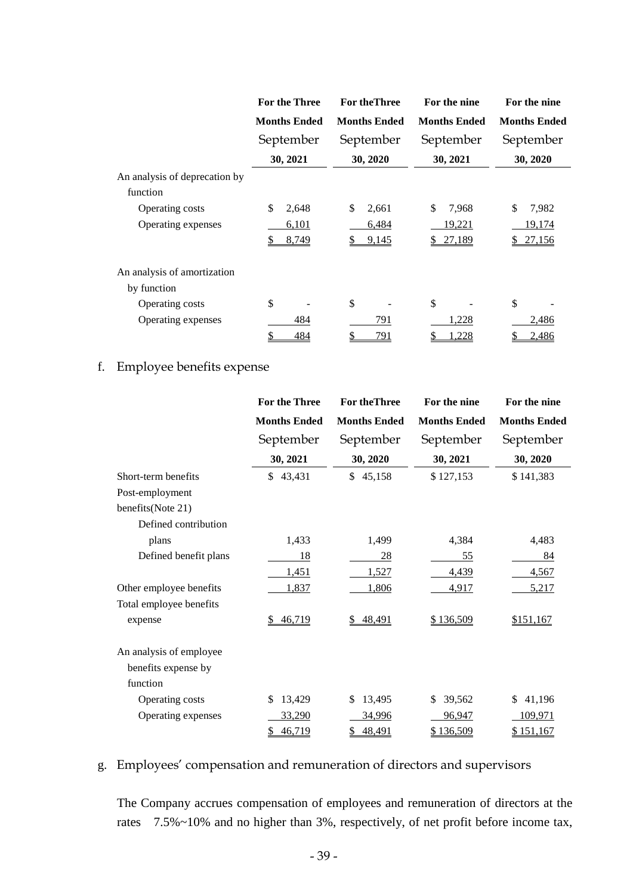|                                            | <b>For the Three</b>          | <b>For the Three</b>          | For the nine                          | For the nine                    |  |
|--------------------------------------------|-------------------------------|-------------------------------|---------------------------------------|---------------------------------|--|
|                                            | <b>Months Ended</b>           | <b>Months Ended</b>           | <b>Months Ended</b>                   | <b>Months Ended</b>             |  |
|                                            | September                     | September                     | September                             | September                       |  |
|                                            | 30, 2021                      | 30, 2020                      | 30, 2021                              | 30, 2020                        |  |
| An analysis of deprecation by<br>function  |                               |                               |                                       |                                 |  |
| Operating costs<br>Operating expenses      | \$<br>2,648<br>6,101<br>8,749 | \$<br>2,661<br>6,484<br>9,145 | \$<br>7,968<br>19,221<br>27,189<br>У. | \$<br>7,982<br>19,174<br>27,156 |  |
| An analysis of amortization<br>by function |                               |                               |                                       |                                 |  |
| Operating costs                            | \$                            | \$                            | \$                                    | \$                              |  |
| Operating expenses                         | 484<br>484                    | 791<br><u>791</u>             | 1,228<br><u>,228</u>                  | 2,486<br>2,486                  |  |

# f. Employee benefits expense

|                         | <b>For the Three</b> | <b>For the Three</b> | For the nine        | For the nine        |  |
|-------------------------|----------------------|----------------------|---------------------|---------------------|--|
|                         | <b>Months Ended</b>  | <b>Months Ended</b>  | <b>Months Ended</b> | <b>Months Ended</b> |  |
|                         | September            | September            | September           | September           |  |
|                         | 30, 2021             | 30, 2020             | 30, 2021            | 30, 2020            |  |
| Short-term benefits     | \$43,431             | \$45,158             | \$127,153           | \$141,383           |  |
| Post-employment         |                      |                      |                     |                     |  |
| benefits(Note 21)       |                      |                      |                     |                     |  |
| Defined contribution    |                      |                      |                     |                     |  |
| plans                   | 1,433                | 1,499                | 4,384               | 4,483               |  |
| Defined benefit plans   | 18                   | 28                   | 55                  | 84                  |  |
|                         | 1,451                | 1,527                | 4,439               | 4,567               |  |
| Other employee benefits | 1,837                | 1,806                | <u>4,917</u>        | 5,217               |  |
| Total employee benefits |                      |                      |                     |                     |  |
| expense                 | 46,719<br>\$         | 48,491<br>\$         | \$136,509           | \$151,167           |  |
| An analysis of employee |                      |                      |                     |                     |  |
| benefits expense by     |                      |                      |                     |                     |  |
| function                |                      |                      |                     |                     |  |
| Operating costs         | 13,429<br>\$         | 13,495<br>\$         | 39,562<br>\$        | 41,196<br>\$        |  |
| Operating expenses      | 33,290               | 34,996               | 96,947              | 109,971             |  |
|                         | 46,719<br>\$         | 48,491<br>\$         | \$136,509           | \$151,167           |  |

# g. Employees' compensation and remuneration of directors and supervisors

The Company accrues compensation of employees and remuneration of directors at the rates 7.5%~10% and no higher than 3%, respectively, of net profit before income tax,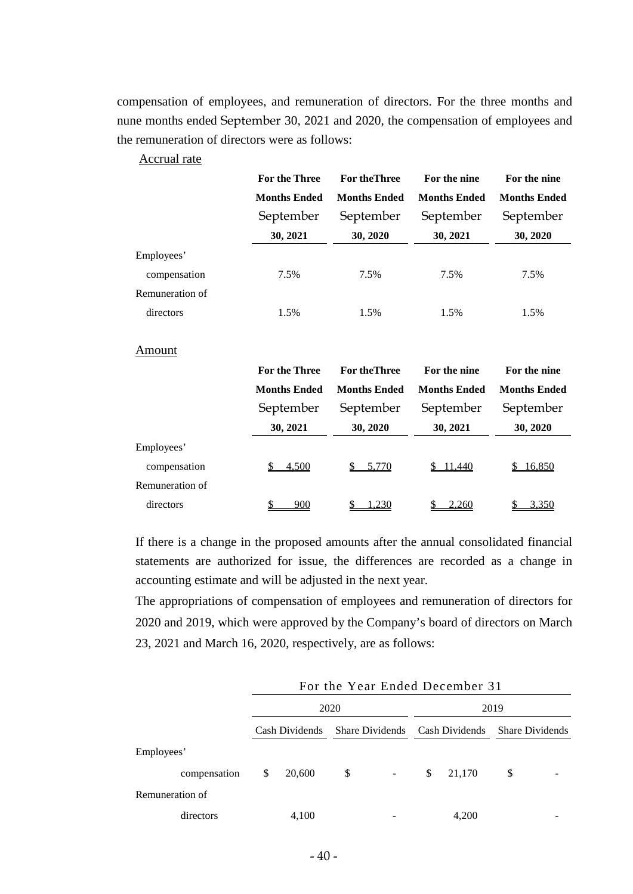compensation of employees, and remuneration of directors. For the three months and nune months ended September 30, 2021 and 2020, the compensation of employees and the remuneration of directors were as follows:

### Accrual rate

|                 | For the Three       | <b>For the Three</b> | For the nine        | For the nine        |  |
|-----------------|---------------------|----------------------|---------------------|---------------------|--|
|                 | <b>Months Ended</b> | <b>Months Ended</b>  | <b>Months Ended</b> | <b>Months Ended</b> |  |
|                 | September           | September            | September           | September           |  |
|                 | 30, 2021            | 30, 2020             | 30, 2021            | 30, 2020            |  |
| Employees'      |                     |                      |                     |                     |  |
| compensation    | 7.5%                | 7.5%                 | 7.5%                | 7.5%                |  |
| Remuneration of |                     |                      |                     |                     |  |
| directors       | 1.5%                | 1.5%                 | 1.5%                | 1.5%                |  |

#### Amount

|                 | <b>For the Three</b> | <b>For the Three</b> | For the nine        | For the nine        |  |
|-----------------|----------------------|----------------------|---------------------|---------------------|--|
|                 | <b>Months Ended</b>  | <b>Months Ended</b>  | <b>Months Ended</b> | <b>Months Ended</b> |  |
|                 | September            | September            | September           | September           |  |
|                 | 30, 2021             | 30, 2020             | 30, 2021            | 30, 2020            |  |
| Employees'      |                      |                      |                     |                     |  |
| compensation    | 4,500                | 5,770                | 11,440              | 16,850              |  |
| Remuneration of |                      |                      |                     |                     |  |
| directors       | 900                  | ,230                 | 2,260               | 3,350               |  |

If there is a change in the proposed amounts after the annual consolidated financial statements are authorized for issue, the differences are recorded as a change in accounting estimate and will be adjusted in the next year.

The appropriations of compensation of employees and remuneration of directors for 2020 and 2019, which were approved by the Company's board of directors on March 23, 2021 and March 16, 2020, respectively, are as follows:

|                 |      | For the Year Ended December 31 |    |                          |    |                                                |    |  |  |
|-----------------|------|--------------------------------|----|--------------------------|----|------------------------------------------------|----|--|--|
|                 | 2020 |                                |    |                          |    | 2019                                           |    |  |  |
|                 |      | Cash Dividends                 |    |                          |    | Share Dividends Cash Dividends Share Dividends |    |  |  |
| Employees'      |      |                                |    |                          |    |                                                |    |  |  |
| compensation    | \$   | 20,600                         | \$ | $\overline{\phantom{a}}$ | \$ | 21,170                                         | \$ |  |  |
| Remuneration of |      |                                |    |                          |    |                                                |    |  |  |
| directors       |      | 4,100                          |    |                          |    | 4,200                                          |    |  |  |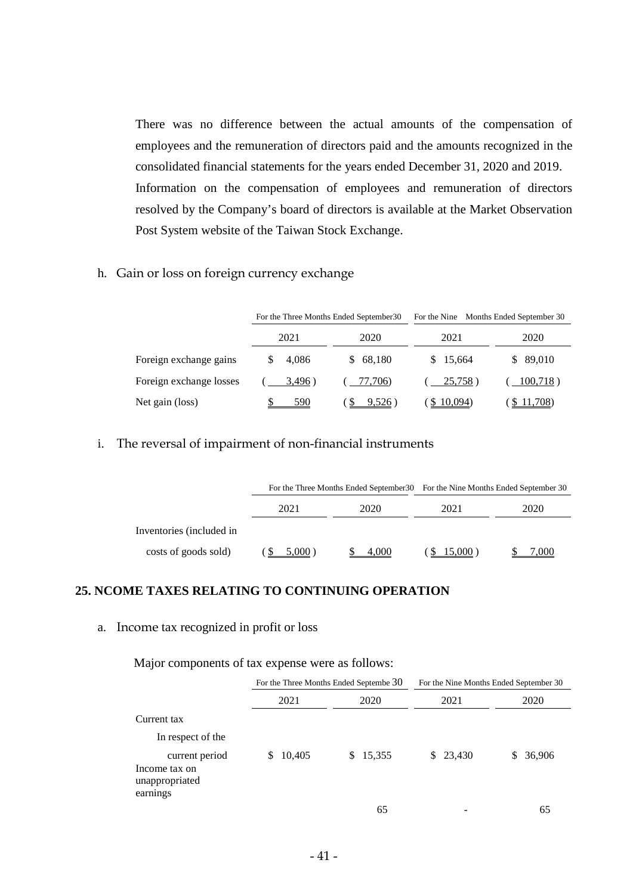There was no difference between the actual amounts of the compensation of employees and the remuneration of directors paid and the amounts recognized in the consolidated financial statements for the years ended December 31, 2020 and 2019. Information on the compensation of employees and remuneration of directors resolved by the Company's board of directors is available at the Market Observation Post System website of the Taiwan Stock Exchange.

h. Gain or loss on foreign currency exchange

|                         | For the Three Months Ended September 30 |              | For the Nine Months Ended September 30 |           |  |  |
|-------------------------|-----------------------------------------|--------------|----------------------------------------|-----------|--|--|
|                         | 2021                                    | 2020         | 2021                                   | 2020      |  |  |
| Foreign exchange gains  | 4.086                                   | 68,180<br>S. | \$15,664                               | \$ 89,010 |  |  |
| Foreign exchange losses | 3,496)                                  | 77,706)      | 25,758)                                | 100,718)  |  |  |
| Net gain (loss)         | 590                                     | 9,526        | \$10,094                               | 11,708)   |  |  |

#### i. The reversal of impairment of non-financial instruments

|                          |              |       | For the Three Months Ended September 30 For the Nine Months Ended September 30 |      |  |
|--------------------------|--------------|-------|--------------------------------------------------------------------------------|------|--|
|                          | 2021<br>2020 |       | 2021                                                                           | 2020 |  |
| Inventories (included in |              |       |                                                                                |      |  |
| costs of goods sold)     | 5,000        | 4.000 | \$15,000                                                                       | ,000 |  |

### **25. NCOME TAXES RELATING TO CONTINUING OPERATION**

#### a. Income tax recognized in profit or loss

Major components of tax expense were as follows:

|                                                               |             | For the Three Months Ended Septembe 30 | For the Nine Months Ended September 30 |              |
|---------------------------------------------------------------|-------------|----------------------------------------|----------------------------------------|--------------|
|                                                               | 2021        | 2020                                   |                                        | 2020         |
| Current tax                                                   |             |                                        |                                        |              |
| In respect of the                                             |             |                                        |                                        |              |
| current period<br>Income tax on<br>unappropriated<br>earnings | 10,405<br>S | \$15,355                               | \$23,430                               | 36,906<br>S. |
|                                                               |             | 65                                     |                                        | 65           |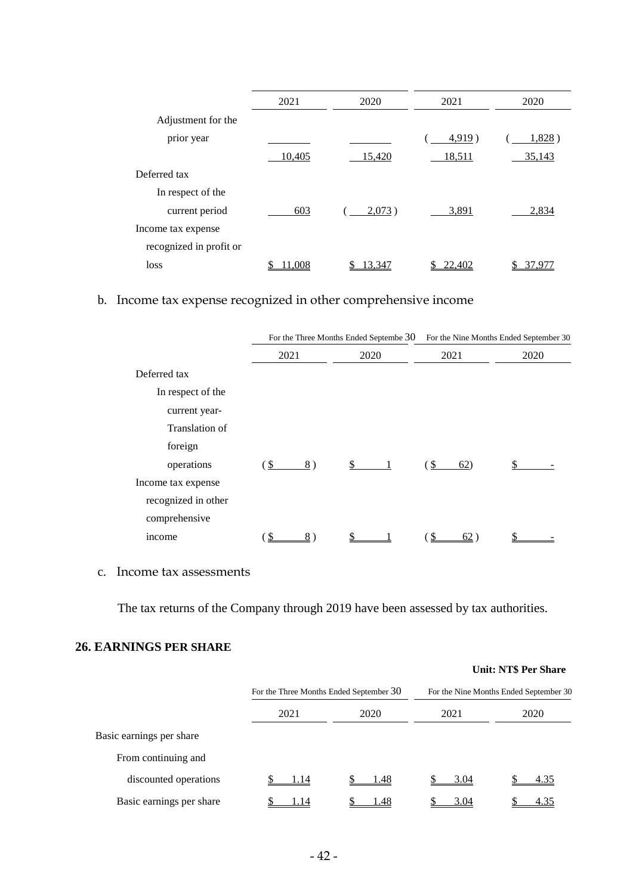|                         | 2021   | 2020      | 2021   | 2020   |
|-------------------------|--------|-----------|--------|--------|
| Adjustment for the      |        |           |        |        |
| prior year              |        |           | 4,919) | 1,828) |
|                         | 10,405 | 15,420    | 18,511 | 35,143 |
| Deferred tax            |        |           |        |        |
| In respect of the       |        |           |        |        |
| current period          | 603    | $2,073$ ) | 3,891  | 2,834  |
| Income tax expense      |        |           |        |        |
| recognized in profit or |        |           |        |        |
| loss                    | .008   | 13.347    | 22.402 |        |
|                         |        |           |        |        |

# b. Income tax expense recognized in other comprehensive income

|                     |          | For the Three Months Ended Septembe 30 | For the Nine Months Ended September 30 |      |  |
|---------------------|----------|----------------------------------------|----------------------------------------|------|--|
|                     | 2021     | 2020                                   | 2021                                   | 2020 |  |
| Deferred tax        |          |                                        |                                        |      |  |
| In respect of the   |          |                                        |                                        |      |  |
| current year-       |          |                                        |                                        |      |  |
| Translation of      |          |                                        |                                        |      |  |
| foreign             |          |                                        |                                        |      |  |
| operations          | \$<br>8) | \$                                     | (\$<br>62)                             |      |  |
| Income tax expense  |          |                                        |                                        |      |  |
| recognized in other |          |                                        |                                        |      |  |
| comprehensive       |          |                                        |                                        |      |  |
| income              | S<br>8   |                                        | 62                                     |      |  |

c. Income tax assessments

The tax returns of the Company through 2019 have been assessed by tax authorities.

# **26. EARNINGS PER SHARE**

|                          |                                         |      |                                        | <b>Unit: NT\$ Per Share</b> |  |
|--------------------------|-----------------------------------------|------|----------------------------------------|-----------------------------|--|
|                          | For the Three Months Ended September 30 |      | For the Nine Months Ended September 30 |                             |  |
|                          | 2021                                    | 2020 | 2021                                   | 2020                        |  |
| Basic earnings per share |                                         |      |                                        |                             |  |
| From continuing and      |                                         |      |                                        |                             |  |
| discounted operations    | 1.14                                    | 1.48 | 3.04                                   | 4.35                        |  |
| Basic earnings per share | .14                                     | 1.48 | 3.04                                   | 4.35                        |  |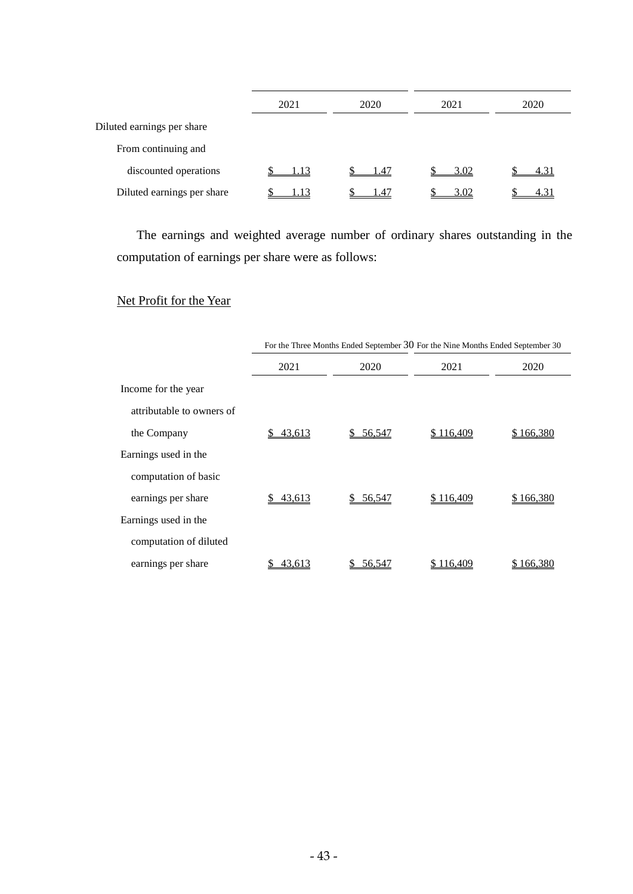|                            | 2021 | 2020 | 2021 | 2020 |  |
|----------------------------|------|------|------|------|--|
| Diluted earnings per share |      |      |      |      |  |
| From continuing and        |      |      |      |      |  |
| discounted operations      | 1.13 | 1.47 | 3.02 | 4.31 |  |
| Diluted earnings per share |      | 1.47 | 3.02 | 4.31 |  |

The earnings and weighted average number of ordinary shares outstanding in the computation of earnings per share were as follows:

# Net Profit for the Year

|                           | For the Three Months Ended September 30 For the Nine Months Ended September 30 |           |           |                  |  |  |
|---------------------------|--------------------------------------------------------------------------------|-----------|-----------|------------------|--|--|
|                           | 2021                                                                           | 2020      | 2021      | 2020             |  |  |
| Income for the year       |                                                                                |           |           |                  |  |  |
| attributable to owners of |                                                                                |           |           |                  |  |  |
| the Company               | 43,613<br>S.                                                                   | \$56,547  | \$116,409 | <u>\$166,380</u> |  |  |
| Earnings used in the      |                                                                                |           |           |                  |  |  |
| computation of basic      |                                                                                |           |           |                  |  |  |
| earnings per share        | 43,613                                                                         | \$ 56,547 | \$116,409 | \$166,380        |  |  |
| Earnings used in the      |                                                                                |           |           |                  |  |  |
| computation of diluted    |                                                                                |           |           |                  |  |  |
| earnings per share        | 43,613                                                                         | 56,547    | 116,409   | \$ 166,380       |  |  |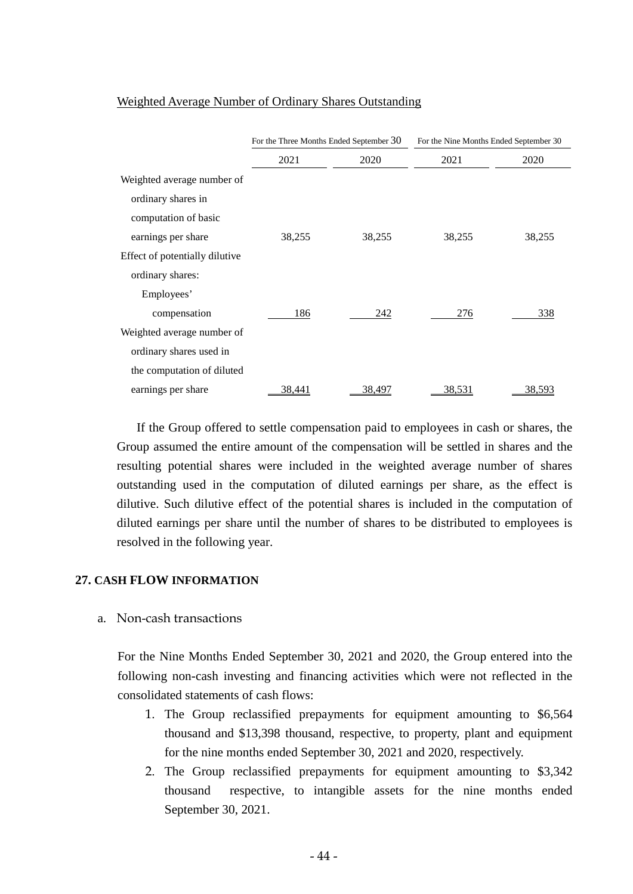|                                | For the Three Months Ended September 30 |        | For the Nine Months Ended September 30 |               |
|--------------------------------|-----------------------------------------|--------|----------------------------------------|---------------|
|                                | 2021                                    | 2020   | 2021                                   | 2020          |
| Weighted average number of     |                                         |        |                                        |               |
| ordinary shares in             |                                         |        |                                        |               |
| computation of basic           |                                         |        |                                        |               |
| earnings per share             | 38,255                                  | 38,255 | 38,255                                 | 38,255        |
| Effect of potentially dilutive |                                         |        |                                        |               |
| ordinary shares:               |                                         |        |                                        |               |
| Employees'                     |                                         |        |                                        |               |
| compensation                   | 186                                     | 242    | 276                                    | 338           |
| Weighted average number of     |                                         |        |                                        |               |
| ordinary shares used in        |                                         |        |                                        |               |
| the computation of diluted     |                                         |        |                                        |               |
| earnings per share             | 38,441                                  | 38,497 | 38,531                                 | <u>38,593</u> |

#### Weighted Average Number of Ordinary Shares Outstanding

If the Group offered to settle compensation paid to employees in cash or shares, the Group assumed the entire amount of the compensation will be settled in shares and the resulting potential shares were included in the weighted average number of shares outstanding used in the computation of diluted earnings per share, as the effect is dilutive. Such dilutive effect of the potential shares is included in the computation of diluted earnings per share until the number of shares to be distributed to employees is resolved in the following year.

#### **27. CASH FLOW INFORMATION**

a. Non-cash transactions

For the Nine Months Ended September 30, 2021 and 2020, the Group entered into the following non-cash investing and financing activities which were not reflected in the consolidated statements of cash flows:

- 1. The Group reclassified prepayments for equipment amounting to \$6,564 thousand and \$13,398 thousand, respective, to property, plant and equipment for the nine months ended September 30, 2021 and 2020, respectively.
- 2. The Group reclassified prepayments for equipment amounting to \$3,342 thousand respective, to intangible assets for the nine months ended September 30, 2021.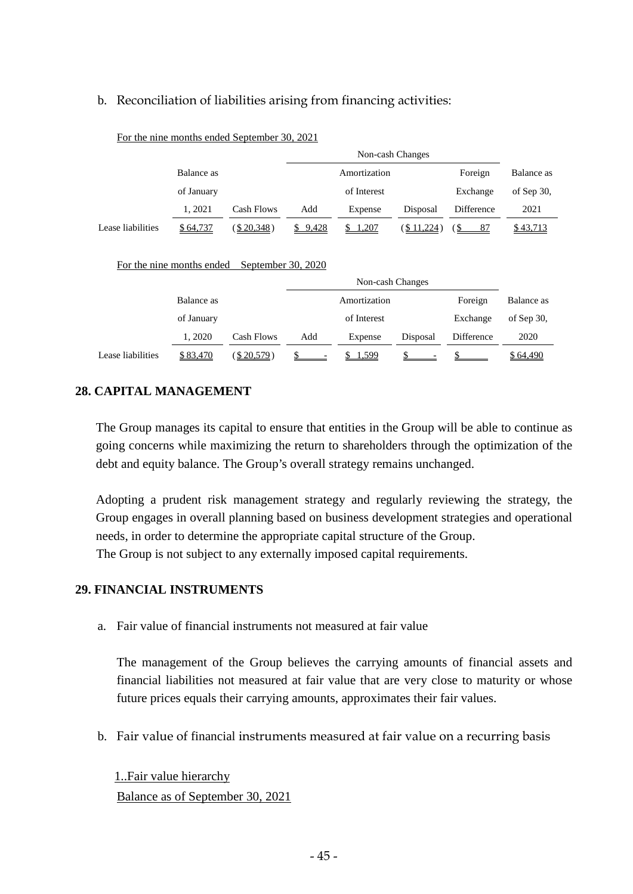# b. Reconciliation of liabilities arising from financing activities:

|                   |            |                         | Non-cash Changes |              |                   |            |               |
|-------------------|------------|-------------------------|------------------|--------------|-------------------|------------|---------------|
|                   | Balance as |                         |                  | Amortization |                   | Foreign    | Balance as    |
|                   | of January |                         |                  | of Interest  |                   | Exchange   | of Sep $30$ , |
|                   | 1.2021     | Cash Flows              | Add              | Expense      | Disposal          | Difference | 2021          |
| Lease liabilities | \$64,737   | $(\underline{$}20,348)$ | \$9,428          | 1,207<br>S.  | <u>(\$11,224)</u> | 87<br>′\$  | \$43,713      |
|                   |            |                         |                  |              |                   |            |               |

#### For the nine months ended September 30, 2021

#### For the nine months ended September 30, 2020

|                   |            | Non-cash Changes |     |              |          |            |               |
|-------------------|------------|------------------|-----|--------------|----------|------------|---------------|
|                   | Balance as |                  |     | Amortization |          | Foreign    | Balance as    |
|                   | of January |                  |     | of Interest  |          | Exchange   | of Sep $30$ , |
|                   | 1, 2020    | Cash Flows       | Add | Expense      | Disposal | Difference | 2020          |
| Lease liabilities | \$83,470   | (\$20,579)       |     | \$1,599      |          |            | \$64,490      |

# **28. CAPITAL MANAGEMENT**

The Group manages its capital to ensure that entities in the Group will be able to continue as going concerns while maximizing the return to shareholders through the optimization of the debt and equity balance. The Group's overall strategy remains unchanged.

Adopting a prudent risk management strategy and regularly reviewing the strategy, the Group engages in overall planning based on business development strategies and operational needs, in order to determine the appropriate capital structure of the Group. The Group is not subject to any externally imposed capital requirements.

#### **29. FINANCIAL INSTRUMENTS**

a. Fair value of financial instruments not measured at fair value

The management of the Group believes the carrying amounts of financial assets and financial liabilities not measured at fair value that are very close to maturity or whose future prices equals their carrying amounts, approximates their fair values.

b. Fair value of financial instruments measured at fair value on a recurring basis

1..Fair value hierarchy Balance as of September 30, 2021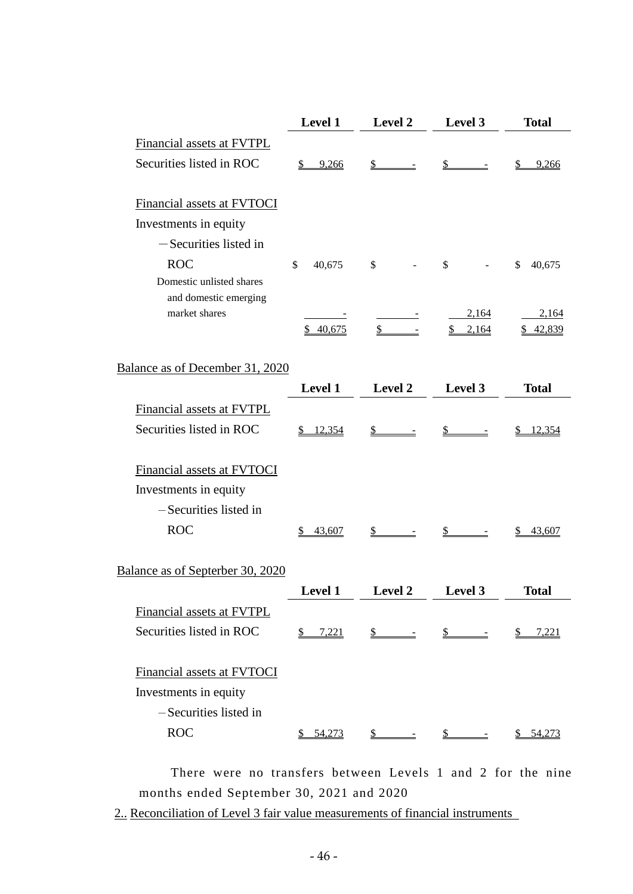|                                        | <b>Level 1</b>      | <b>Level 2</b>                      | Level 3                                                                             | <b>Total</b>        |
|----------------------------------------|---------------------|-------------------------------------|-------------------------------------------------------------------------------------|---------------------|
| Financial assets at FVTPL              |                     |                                     |                                                                                     |                     |
| Securities listed in ROC               | \$9,266             | $\mathbb{S}$<br>$\equiv$            | $\mathcal{S}$<br>$\equiv$                                                           | 9,266<br>\$         |
|                                        |                     |                                     |                                                                                     |                     |
| Financial assets at FVTOCI             |                     |                                     |                                                                                     |                     |
| Investments in equity                  |                     |                                     |                                                                                     |                     |
| -Securities listed in                  |                     |                                     |                                                                                     |                     |
| <b>ROC</b>                             | \$<br>40,675        | \$                                  | \$                                                                                  | \$<br>40,675        |
| Domestic unlisted shares               |                     |                                     |                                                                                     |                     |
| and domestic emerging<br>market shares |                     |                                     | 2,164                                                                               | 2,164               |
|                                        | \$40,675            | $\frac{\S}{}$                       | \$2,164                                                                             | \$42,839            |
|                                        |                     |                                     |                                                                                     |                     |
| Balance as of December 31, 2020        |                     |                                     |                                                                                     |                     |
|                                        | Level 1             | Level 2                             | Level 3                                                                             | <b>Total</b>        |
| Financial assets at FVTPL              |                     |                                     |                                                                                     |                     |
| Securities listed in ROC               | \$12,354            | $\frac{\S}{}$ -                     | $\frac{\mathcal{S}}{\mathcal{S}}$ -                                                 | \$12,354            |
|                                        |                     |                                     |                                                                                     |                     |
| Financial assets at FVTOCI             |                     |                                     |                                                                                     |                     |
| Investments in equity                  |                     |                                     |                                                                                     |                     |
| -Securities listed in                  |                     |                                     |                                                                                     |                     |
| <b>ROC</b>                             | 43,607<br>S.        | \$                                  | $\mathbb{S}$                                                                        | 43,607              |
|                                        |                     |                                     |                                                                                     |                     |
| Balance as of Septerber 30, 2020       |                     |                                     |                                                                                     |                     |
|                                        | Level 1             | <b>Level 2</b>                      | Level 3                                                                             | <b>Total</b>        |
| Financial assets at FVTPL              |                     |                                     |                                                                                     |                     |
| Securities listed in ROC               | $\frac{$}{9}$ 7,221 |                                     | $\underline{\$$ $\underline{\$}$ $\underline{\$}$ $\underline{\$}$ $\underline{\$}$ | $\frac{$}{2}$ 7,221 |
|                                        |                     |                                     |                                                                                     |                     |
| Financial assets at FVTOCI             |                     |                                     |                                                                                     |                     |
| Investments in equity                  |                     |                                     |                                                                                     |                     |
| -Securities listed in                  |                     |                                     |                                                                                     |                     |
| <b>ROC</b>                             | \$54,273            | $\frac{\mathcal{S}}{\mathcal{S}}$ - | $\mathbb{S}$ -                                                                      | \$54,273            |

There were no transfers between Levels 1 and 2 for the nine months ended September 30, 2021 and 2020

2.. Reconciliation of Level 3 fair value measurements of financial instruments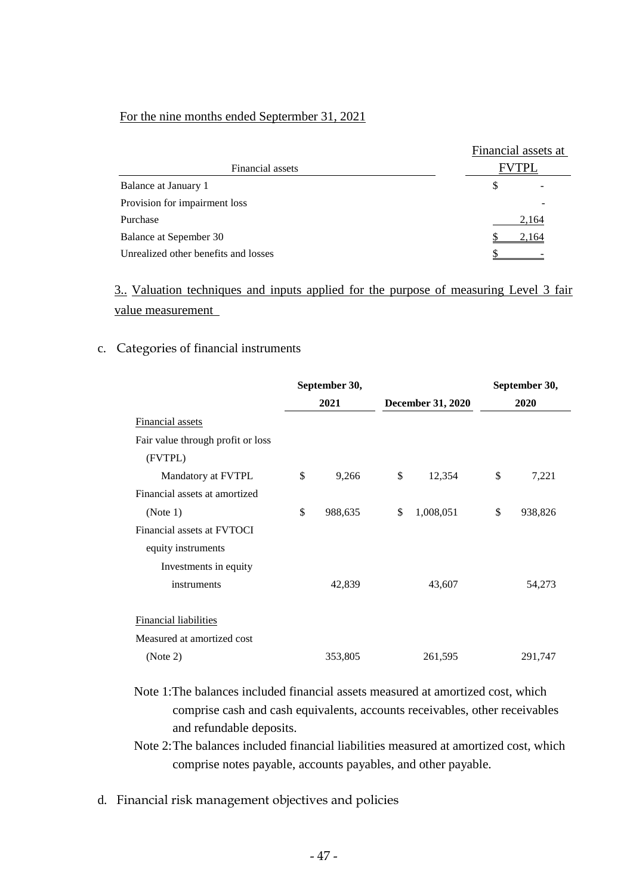#### For the nine months ended Septermber 31, 2021

|                                      | Financial assets at |       |
|--------------------------------------|---------------------|-------|
| Financial assets                     | TPL                 |       |
| Balance at January 1                 | S                   |       |
| Provision for impairment loss        |                     |       |
| Purchase                             |                     | 2,164 |
| Balance at Sepember 30               |                     | 2,164 |
| Unrealized other benefits and losses |                     |       |

3.. Valuation techniques and inputs applied for the purpose of measuring Level 3 fair value measurement

#### c. Categories of financial instruments

|                                   | September 30, |                          | September 30, |
|-----------------------------------|---------------|--------------------------|---------------|
|                                   | 2021          | <b>December 31, 2020</b> | 2020          |
| <b>Financial assets</b>           |               |                          |               |
| Fair value through profit or loss |               |                          |               |
| (FVTPL)                           |               |                          |               |
| Mandatory at FVTPL                | \$<br>9,266   | \$<br>12,354             | \$<br>7,221   |
| Financial assets at amortized     |               |                          |               |
| (Note 1)                          | \$<br>988,635 | \$<br>1,008,051          | \$<br>938,826 |
| Financial assets at FVTOCI        |               |                          |               |
| equity instruments                |               |                          |               |
| Investments in equity             |               |                          |               |
| instruments                       | 42,839        | 43,607                   | 54,273        |
| <b>Financial liabilities</b>      |               |                          |               |
| Measured at amortized cost        |               |                          |               |
| (Note 2)                          | 353,805       | 261,595                  | 291,747       |

- Note 1:The balances included financial assets measured at amortized cost, which comprise cash and cash equivalents, accounts receivables, other receivables and refundable deposits.
- Note 2:The balances included financial liabilities measured at amortized cost, which comprise notes payable, accounts payables, and other payable.
- d. Financial risk management objectives and policies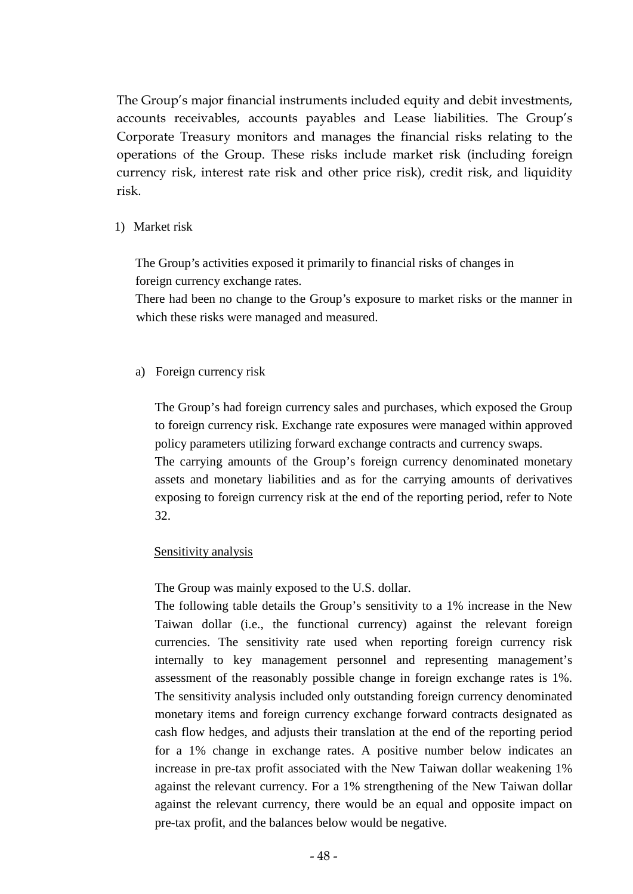The Group's major financial instruments included equity and debit investments, accounts receivables, accounts payables and Lease liabilities. The Group's Corporate Treasury monitors and manages the financial risks relating to the operations of the Group. These risks include market risk (including foreign currency risk, interest rate risk and other price risk), credit risk, and liquidity risk.

## 1) Market risk

The Group's activities exposed it primarily to financial risks of changes in foreign currency exchange rates.

There had been no change to the Group's exposure to market risks or the manner in which these risks were managed and measured.

# a) Foreign currency risk

The Group's had foreign currency sales and purchases, which exposed the Group to foreign currency risk. Exchange rate exposures were managed within approved policy parameters utilizing forward exchange contracts and currency swaps. The carrying amounts of the Group's foreign currency denominated monetary assets and monetary liabilities and as for the carrying amounts of derivatives exposing to foreign currency risk at the end of the reporting period, refer to Note 32.

# Sensitivity analysis

The Group was mainly exposed to the U.S. dollar.

The following table details the Group's sensitivity to a 1% increase in the New Taiwan dollar (i.e., the functional currency) against the relevant foreign currencies. The sensitivity rate used when reporting foreign currency risk internally to key management personnel and representing management's assessment of the reasonably possible change in foreign exchange rates is 1%. The sensitivity analysis included only outstanding foreign currency denominated monetary items and foreign currency exchange forward contracts designated as cash flow hedges, and adjusts their translation at the end of the reporting period for a 1% change in exchange rates. A positive number below indicates an increase in pre-tax profit associated with the New Taiwan dollar weakening 1% against the relevant currency. For a 1% strengthening of the New Taiwan dollar against the relevant currency, there would be an equal and opposite impact on pre-tax profit, and the balances below would be negative.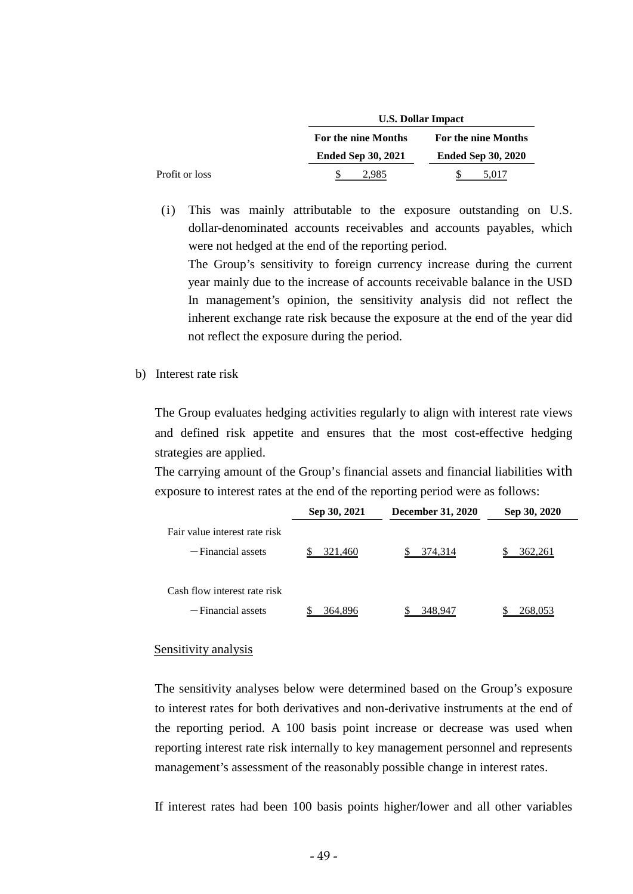|                |                           | <b>U.S. Dollar Impact</b> |  |  |  |  |
|----------------|---------------------------|---------------------------|--|--|--|--|
|                | For the nine Months       | For the nine Months       |  |  |  |  |
|                | <b>Ended Sep 30, 2021</b> | <b>Ended Sep 30, 2020</b> |  |  |  |  |
| Profit or loss | 2.985                     | 5.017                     |  |  |  |  |

(i) This was mainly attributable to the exposure outstanding on U.S. dollar-denominated accounts receivables and accounts payables, which were not hedged at the end of the reporting period.

The Group's sensitivity to foreign currency increase during the current year mainly due to the increase of accounts receivable balance in the USD In management's opinion, the sensitivity analysis did not reflect the inherent exchange rate risk because the exposure at the end of the year did not reflect the exposure during the period.

b) Interest rate risk

The Group evaluates hedging activities regularly to align with interest rate views and defined risk appetite and ensures that the most cost-effective hedging strategies are applied.

The carrying amount of the Group's financial assets and financial liabilities with exposure to interest rates at the end of the reporting period were as follows:

|                                                       | Sep 30, 2021 | <b>December 31, 2020</b> | Sep 30, 2020 |
|-------------------------------------------------------|--------------|--------------------------|--------------|
| Fair value interest rate risk<br>$-$ Financial assets | 321,460      | 374,314                  | 362.261      |
| Cash flow interest rate risk                          |              |                          |              |
| $-Financial$ assets                                   | 364,896      | 348,947                  | 268          |

#### Sensitivity analysis

The sensitivity analyses below were determined based on the Group's exposure to interest rates for both derivatives and non-derivative instruments at the end of the reporting period. A 100 basis point increase or decrease was used when reporting interest rate risk internally to key management personnel and represents management's assessment of the reasonably possible change in interest rates.

If interest rates had been 100 basis points higher/lower and all other variables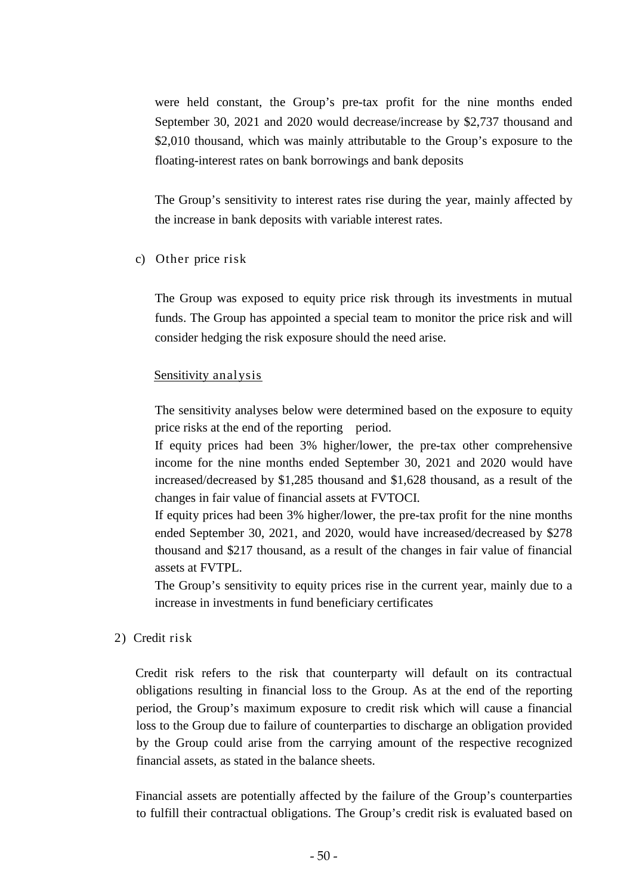were held constant, the Group's pre-tax profit for the nine months ended September 30, 2021 and 2020 would decrease/increase by \$2,737 thousand and \$2,010 thousand, which was mainly attributable to the Group's exposure to the floating-interest rates on bank borrowings and bank deposits

The Group's sensitivity to interest rates rise during the year, mainly affected by the increase in bank deposits with variable interest rates.

c) Other price risk

The Group was exposed to equity price risk through its investments in mutual funds. The Group has appointed a special team to monitor the price risk and will consider hedging the risk exposure should the need arise.

## Sensitivity analysis

The sensitivity analyses below were determined based on the exposure to equity price risks at the end of the reporting period.

If equity prices had been 3% higher/lower, the pre-tax other comprehensive income for the nine months ended September 30, 2021 and 2020 would have increased/decreased by \$1,285 thousand and \$1,628 thousand, as a result of the changes in fair value of financial assets at FVTOCI.

If equity prices had been 3% higher/lower, the pre-tax profit for the nine months ended September 30, 2021, and 2020, would have increased/decreased by \$278 thousand and \$217 thousand, as a result of the changes in fair value of financial assets at FVTPL.

The Group's sensitivity to equity prices rise in the current year, mainly due to a increase in investments in fund beneficiary certificates

2) Credit risk

Credit risk refers to the risk that counterparty will default on its contractual obligations resulting in financial loss to the Group. As at the end of the reporting period, the Group's maximum exposure to credit risk which will cause a financial loss to the Group due to failure of counterparties to discharge an obligation provided by the Group could arise from the carrying amount of the respective recognized financial assets, as stated in the balance sheets.

Financial assets are potentially affected by the failure of the Group's counterparties to fulfill their contractual obligations. The Group's credit risk is evaluated based on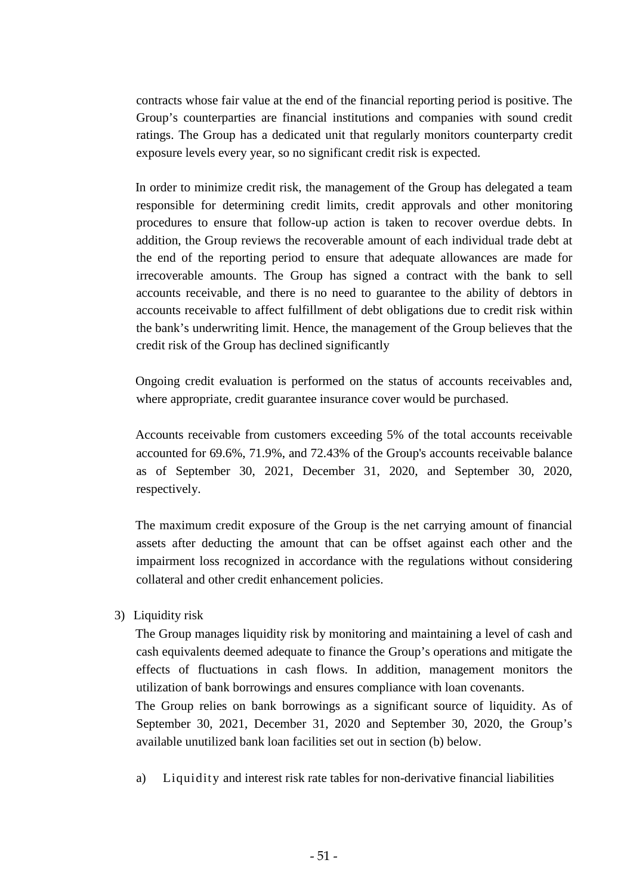contracts whose fair value at the end of the financial reporting period is positive. The Group's counterparties are financial institutions and companies with sound credit ratings. The Group has a dedicated unit that regularly monitors counterparty credit exposure levels every year, so no significant credit risk is expected.

In order to minimize credit risk, the management of the Group has delegated a team responsible for determining credit limits, credit approvals and other monitoring procedures to ensure that follow-up action is taken to recover overdue debts. In addition, the Group reviews the recoverable amount of each individual trade debt at the end of the reporting period to ensure that adequate allowances are made for irrecoverable amounts. The Group has signed a contract with the bank to sell accounts receivable, and there is no need to guarantee to the ability of debtors in accounts receivable to affect fulfillment of debt obligations due to credit risk within the bank's underwriting limit. Hence, the management of the Group believes that the credit risk of the Group has declined significantly

Ongoing credit evaluation is performed on the status of accounts receivables and, where appropriate, credit guarantee insurance cover would be purchased.

Accounts receivable from customers exceeding 5% of the total accounts receivable accounted for 69.6%, 71.9%, and 72.43% of the Group's accounts receivable balance as of September 30, 2021, December 31, 2020, and September 30, 2020, respectively.

The maximum credit exposure of the Group is the net carrying amount of financial assets after deducting the amount that can be offset against each other and the impairment loss recognized in accordance with the regulations without considering collateral and other credit enhancement policies.

3) Liquidity risk

The Group manages liquidity risk by monitoring and maintaining a level of cash and cash equivalents deemed adequate to finance the Group's operations and mitigate the effects of fluctuations in cash flows. In addition, management monitors the utilization of bank borrowings and ensures compliance with loan covenants.

The Group relies on bank borrowings as a significant source of liquidity. As of September 30, 2021, December 31, 2020 and September 30, 2020, the Group's available unutilized bank loan facilities set out in section (b) below.

a) Liquidity and interest risk rate tables for non-derivative financial liabilities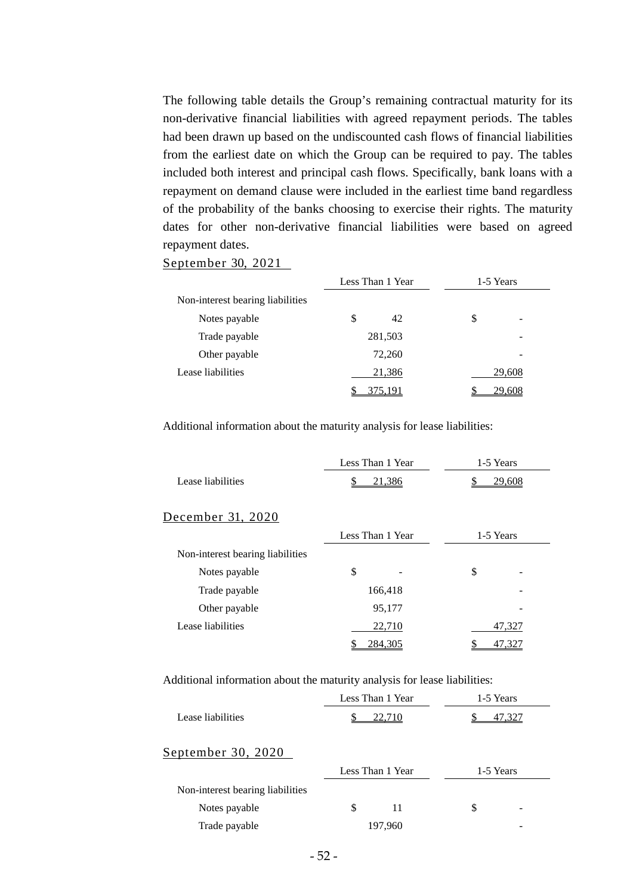The following table details the Group's remaining contractual maturity for its non-derivative financial liabilities with agreed repayment periods. The tables had been drawn up based on the undiscounted cash flows of financial liabilities from the earliest date on which the Group can be required to pay. The tables included both interest and principal cash flows. Specifically, bank loans with a repayment on demand clause were included in the earliest time band regardless of the probability of the banks choosing to exercise their rights. The maturity dates for other non-derivative financial liabilities were based on agreed repayment dates.

#### September 30, 2021

|                                  | Less Than 1 Year |         | 1-5 Years |                 |
|----------------------------------|------------------|---------|-----------|-----------------|
| Non-interest bearing liabilities |                  |         |           |                 |
| Notes payable                    | S                | 42      | \$        | $\qquad \qquad$ |
| Trade payable                    |                  | 281,503 |           | -               |
| Other payable                    |                  | 72,260  |           | $\qquad \qquad$ |
| Lease liabilities                |                  | 21,386  |           | 29,608          |
|                                  |                  | 375,191 |           | 29,608          |

Additional information about the maturity analysis for lease liabilities:

|                   | Less Than 1 Year | 1-5 Years |  |
|-------------------|------------------|-----------|--|
| Lease liabilities | 21.386           | 29 608    |  |

#### December 31, 2020

|                                  |         | Less Than 1 Year |    | 1-5 Years |
|----------------------------------|---------|------------------|----|-----------|
| Non-interest bearing liabilities |         |                  |    |           |
| Notes payable                    | \$      |                  | \$ |           |
| Trade payable                    | 166,418 |                  |    | -         |
| Other payable                    |         | 95,177           |    | -         |
| Lease liabilities                |         | 22,710           |    | 47,327    |
|                                  |         | 284,305          |    |           |

Additional information about the maturity analysis for lease liabilities:

|                                  |   | Less Than 1 Year | 1-5 Years |  |
|----------------------------------|---|------------------|-----------|--|
| Lease liabilities                |   | 22,710           |           |  |
| <u>September 30, 2020</u>        |   |                  |           |  |
|                                  |   | Less Than 1 Year | 1-5 Years |  |
| Non-interest bearing liabilities |   |                  |           |  |
| Notes payable                    | S | 11               | S         |  |
| Trade payable                    |   | 197,960          |           |  |
|                                  |   |                  |           |  |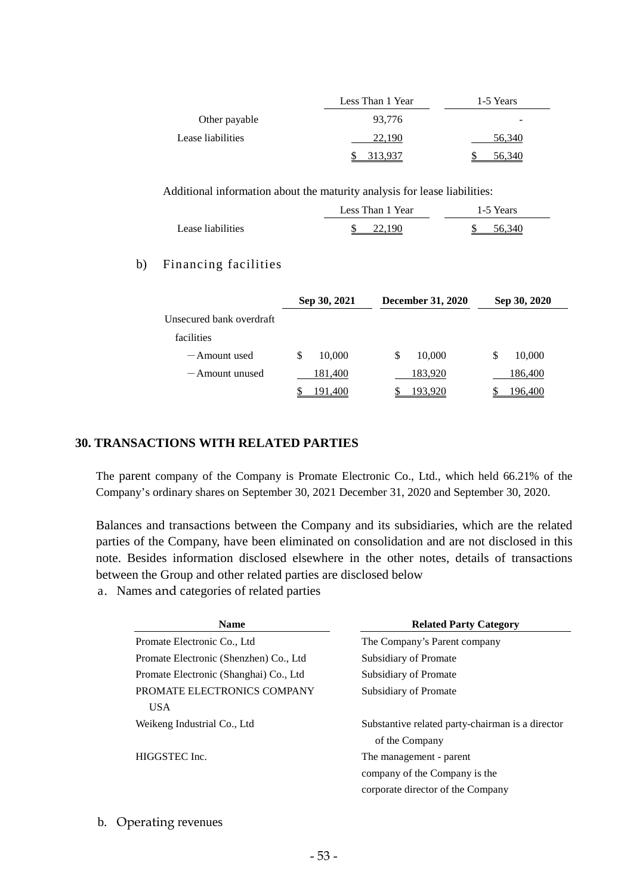|                   | Less Than 1 Year | 1-5 Years |
|-------------------|------------------|-----------|
| Other payable     | 93,776           | -         |
| Lease liabilities | 22.190           | 56,340    |
|                   | 3 937            |           |

Additional information about the maturity analysis for lease liabilities:

|                   | Less Than 1 Year | 1-5 Years |
|-------------------|------------------|-----------|
| Lease liabilities | 22.190           | 56.340    |

#### b) Financing facilities

|                          | Sep 30, 2021 | <b>December 31, 2020</b> | Sep 30, 2020 |
|--------------------------|--------------|--------------------------|--------------|
| Unsecured bank overdraft |              |                          |              |
| facilities               |              |                          |              |
| $-$ Amount used          | 10,000<br>S  | 10,000<br>\$             | 10,000<br>\$ |
| $-$ Amount unused        | 181,400      | 183,920                  | 186,400      |
|                          | !91.400      | .93,920                  | 196.400      |

## **30. TRANSACTIONS WITH RELATED PARTIES**

The parent company of the Company is Promate Electronic Co., Ltd., which held 66.21% of the Company's ordinary shares on September 30, 2021 December 31, 2020 and September 30, 2020.

Balances and transactions between the Company and its subsidiaries, which are the related parties of the Company, have been eliminated on consolidation and are not disclosed in this note. Besides information disclosed elsewhere in the other notes, details of transactions between the Group and other related parties are disclosed below

a. Names and categories of related parties

| <b>Name</b>                            | <b>Related Party Category</b>                    |  |  |  |
|----------------------------------------|--------------------------------------------------|--|--|--|
| Promate Electronic Co., Ltd.           | The Company's Parent company                     |  |  |  |
| Promate Electronic (Shenzhen) Co., Ltd | Subsidiary of Promate                            |  |  |  |
| Promate Electronic (Shanghai) Co., Ltd | Subsidiary of Promate                            |  |  |  |
| PROMATE ELECTRONICS COMPANY            | Subsidiary of Promate                            |  |  |  |
| <b>USA</b>                             |                                                  |  |  |  |
| Weikeng Industrial Co., Ltd            | Substantive related party-chairman is a director |  |  |  |
|                                        | of the Company                                   |  |  |  |
| HIGGSTEC Inc.                          | The management - parent                          |  |  |  |
|                                        | company of the Company is the                    |  |  |  |
|                                        | corporate director of the Company                |  |  |  |

#### b. Operating revenues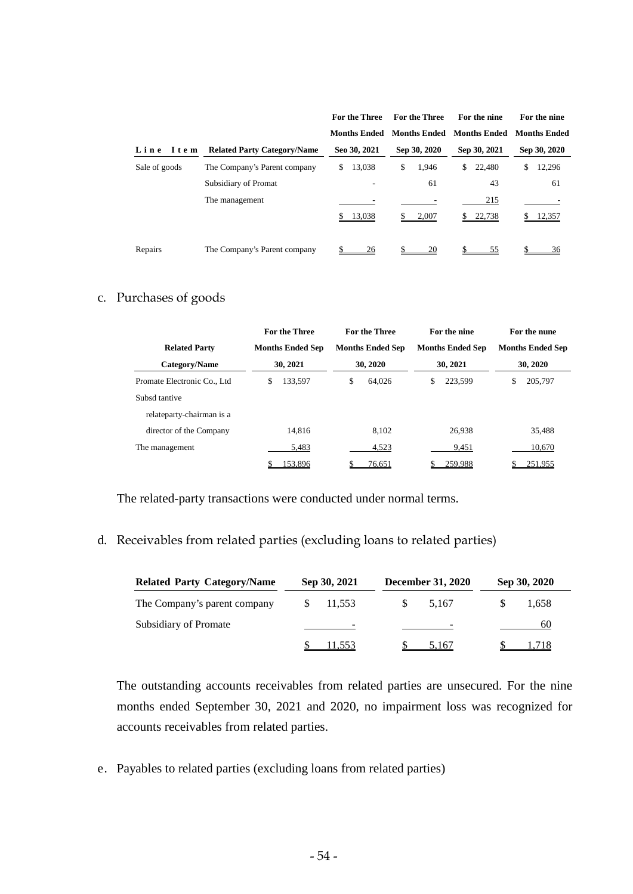|               |                                    | <b>For the Three</b> | <b>For the Three</b> | For the nine        | For the nine        |
|---------------|------------------------------------|----------------------|----------------------|---------------------|---------------------|
|               |                                    | <b>Months Ended</b>  | <b>Months Ended</b>  | <b>Months Ended</b> | <b>Months Ended</b> |
| Line Item     | <b>Related Party Category/Name</b> | Seo 30, 2021         | Sep 30, 2020         | Sep 30, 2021        | Sep 30, 2020        |
| Sale of goods | The Company's Parent company       | 13,038<br>\$         | \$<br>1,946          | 22,480<br>\$        | 12,296<br>\$        |
|               | Subsidiary of Promat               | ۰                    | 61                   | 43                  | 61                  |
|               | The management                     |                      |                      | 215                 |                     |
|               |                                    | 13,038               | 2,007                | 22,738              | 12,357              |
|               |                                    |                      |                      |                     |                     |
| Repairs       | The Company's Parent company       | 26                   | 20                   | 55                  | 36                  |

# c. Purchases of goods

|                             | <b>For the Three</b>    | <b>For the Three</b>    | For the nine            | For the nune            |  |
|-----------------------------|-------------------------|-------------------------|-------------------------|-------------------------|--|
| <b>Related Party</b>        | <b>Months Ended Sep</b> | <b>Months Ended Sep</b> | <b>Months Ended Sep</b> | <b>Months Ended Sep</b> |  |
| Category/Name               | 30, 2021                | 30, 2020                | 30, 2021                | 30, 2020                |  |
| Promate Electronic Co., Ltd | 133.597<br>S            | \$<br>64,026            | \$<br>223.599           | 205,797<br>\$           |  |
| Subsd tantive               |                         |                         |                         |                         |  |
| relateparty-chairman is a   |                         |                         |                         |                         |  |
| director of the Company     | 14.816                  | 8.102                   | 26.938                  | 35,488                  |  |
| The management              | 5,483                   | 4,523                   | 9,451                   | 10,670                  |  |
|                             | 153,896                 | 76,651                  | 259,988                 | 251,955                 |  |

The related-party transactions were conducted under normal terms.

# d. Receivables from related parties (excluding loans to related parties)

| <b>Related Party Category/Name</b> | Sep 30, 2021 |                          |     | <b>December 31, 2020</b> | Sep 30, 2020 |
|------------------------------------|--------------|--------------------------|-----|--------------------------|--------------|
| The Company's parent company       | 11,553       |                          | -SS | 5.167                    | 1.658        |
| Subsidiary of Promate              |              | $\overline{\phantom{a}}$ |     | $\sim$                   | 60           |
|                                    |              | 11.553                   |     | 5.167                    |              |

The outstanding accounts receivables from related parties are unsecured. For the nine months ended September 30, 2021 and 2020, no impairment loss was recognized for accounts receivables from related parties.

e. Payables to related parties (excluding loans from related parties)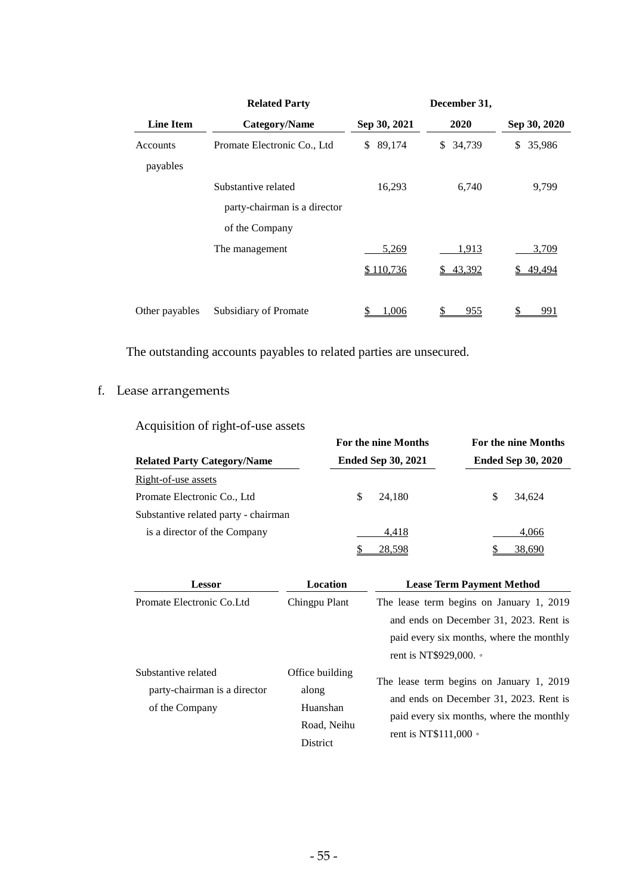|                      | <b>Related Party</b>         |              | December 31,        |              |
|----------------------|------------------------------|--------------|---------------------|--------------|
| <b>Line Item</b>     | <b>Category/Name</b>         | Sep 30, 2021 | 2020                | Sep 30, 2020 |
| Accounts<br>payables | Promate Electronic Co., Ltd  | 89,174<br>\$ | 34,739<br>\$        | \$<br>35,986 |
|                      | Substantive related          | 16,293       | 6,740               | 9,799        |
|                      | party-chairman is a director |              |                     |              |
|                      | of the Company               |              |                     |              |
|                      | The management               | 5,269        | 1,913               | 3,709        |
|                      |                              | \$110,736    | <u>43,392</u><br>S. | 49,494       |
| Other payables       | Subsidiary of Promate        | .006         | 955                 | 991          |

The outstanding accounts payables to related parties are unsecured.

# f. Lease arrangements

Acquisition of right-of-use assets

|                                      | For the nine Months       | <b>For the nine Months</b><br><b>Ended Sep 30, 2020</b> |  |  |
|--------------------------------------|---------------------------|---------------------------------------------------------|--|--|
| <b>Related Party Category/Name</b>   | <b>Ended Sep 30, 2021</b> |                                                         |  |  |
| Right-of-use assets                  |                           |                                                         |  |  |
| Promate Electronic Co., Ltd          | 24.180                    | 34.624<br>S                                             |  |  |
| Substantive related party - chairman |                           |                                                         |  |  |
| is a director of the Company         | 4,418                     | 4,066                                                   |  |  |
|                                      | 28,598                    | 38,690                                                  |  |  |

| <b>Lessor</b>                                                         | Location                                                               | <b>Lease Term Payment Method</b>                                                                                                                              |  |
|-----------------------------------------------------------------------|------------------------------------------------------------------------|---------------------------------------------------------------------------------------------------------------------------------------------------------------|--|
| Promate Electronic Co. Ltd.                                           | Chingpu Plant                                                          | The lease term begins on January 1, 2019<br>and ends on December 31, 2023. Rent is<br>paid every six months, where the monthly                                |  |
|                                                                       |                                                                        | rent is NT\$929,000. •                                                                                                                                        |  |
| Substantive related<br>party-chairman is a director<br>of the Company | Office building<br>along<br>Huanshan<br>Road, Neihu<br><b>District</b> | The lease term begins on January 1, 2019<br>and ends on December 31, 2023. Rent is<br>paid every six months, where the monthly<br>rent is NT\$111,000 $\circ$ |  |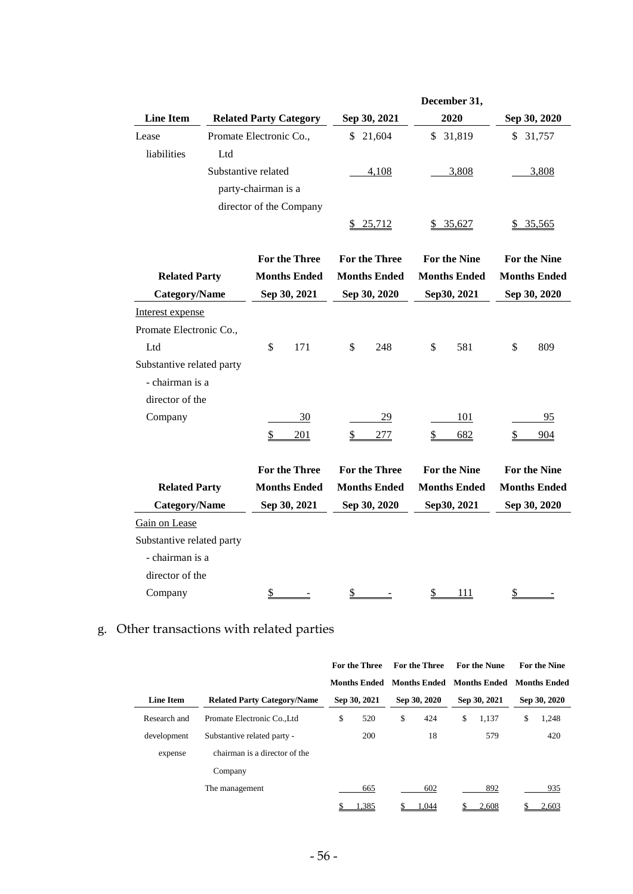|                           |                         |                        |                               |                        |                      | December 31,        |                     |                     |
|---------------------------|-------------------------|------------------------|-------------------------------|------------------------|----------------------|---------------------|---------------------|---------------------|
| <b>Line Item</b>          |                         |                        | <b>Related Party Category</b> |                        | Sep 30, 2021         | 2020                |                     | Sep 30, 2020        |
| Lease                     | Promate Electronic Co., |                        |                               | \$                     | 21,604               | \$31,819            |                     | \$31,757            |
| liabilities               | Ltd                     |                        |                               |                        |                      |                     |                     |                     |
|                           | Substantive related     |                        |                               |                        | 4,108                | 3,808               |                     | 3,808               |
|                           |                         | party-chairman is a    |                               |                        |                      |                     |                     |                     |
|                           |                         |                        | director of the Company       |                        |                      |                     |                     |                     |
|                           |                         |                        |                               |                        | \$ 25,712            | \$35,627            |                     | 35,565              |
|                           |                         |                        | <b>For the Three</b>          |                        | <b>For the Three</b> | <b>For the Nine</b> |                     | <b>For the Nine</b> |
| <b>Related Party</b>      |                         |                        | <b>Months Ended</b>           |                        | <b>Months Ended</b>  | <b>Months Ended</b> | <b>Months Ended</b> |                     |
| <b>Category/Name</b>      |                         |                        | Sep 30, 2021                  |                        | Sep 30, 2020         | Sep30, 2021         |                     | Sep 30, 2020        |
| Interest expense          |                         |                        |                               |                        |                      |                     |                     |                     |
| Promate Electronic Co.,   |                         |                        |                               |                        |                      |                     |                     |                     |
| Ltd                       |                         | $\mathbb{S}$           | 171                           | \$                     | 248                  | \$<br>581           | \$                  | 809                 |
| Substantive related party |                         |                        |                               |                        |                      |                     |                     |                     |
| - chairman is a           |                         |                        |                               |                        |                      |                     |                     |                     |
| director of the           |                         |                        |                               |                        |                      |                     |                     |                     |
| Company                   |                         |                        | 30                            |                        | <u>29</u>            | 101                 |                     | 95                  |
|                           |                         | $\frac{1}{2}$          | 201                           | $\overline{2}$         | 277                  | \$<br>682           | $\frac{1}{2}$       | 904                 |
|                           |                         |                        |                               |                        |                      |                     |                     |                     |
|                           |                         |                        | <b>For the Three</b>          |                        | <b>For the Three</b> | <b>For the Nine</b> |                     | <b>For the Nine</b> |
| <b>Related Party</b>      |                         |                        | <b>Months Ended</b>           |                        | <b>Months Ended</b>  | <b>Months Ended</b> |                     | <b>Months Ended</b> |
| <b>Category/Name</b>      |                         |                        | Sep 30, 2021                  |                        | Sep 30, 2020         | Sep30, 2021         |                     | Sep 30, 2020        |
| Gain on Lease             |                         |                        |                               |                        |                      |                     |                     |                     |
| Substantive related party |                         |                        |                               |                        |                      |                     |                     |                     |
| - chairman is a           |                         |                        |                               |                        |                      |                     |                     |                     |
| director of the           |                         |                        |                               |                        |                      |                     |                     |                     |
| Company                   |                         | $\mathbf{\mathcal{L}}$ |                               | $\mathbf{\mathcal{L}}$ |                      | \$<br><u>111</u>    | $\mathbb{S}$        |                     |

# g. Other transactions with related parties

|                  |                                    | <b>For the Three</b> | <b>For the Three</b> | <b>For the Nune</b>       | <b>For the Nine</b> |
|------------------|------------------------------------|----------------------|----------------------|---------------------------|---------------------|
|                  |                                    | <b>Months Ended</b>  | <b>Months Ended</b>  | Months Ended Months Ended |                     |
| <b>Line Item</b> | <b>Related Party Category/Name</b> | Sep 30, 2021         | Sep 30, 2020         | Sep 30, 2021              | Sep 30, 2020        |
| Research and     | Promate Electronic CoLtd           | \$<br>520            | \$<br>424            | \$<br>1.137               | \$<br>1,248         |
| development      | Substantive related party -        | 200                  | 18                   | 579                       | 420                 |
| expense          | chairman is a director of the      |                      |                      |                           |                     |
|                  | Company                            |                      |                      |                           |                     |
|                  | The management                     | 665                  | 602                  | 892                       | 935                 |
|                  |                                    | .385                 | .044                 | 2,608                     | 2,603               |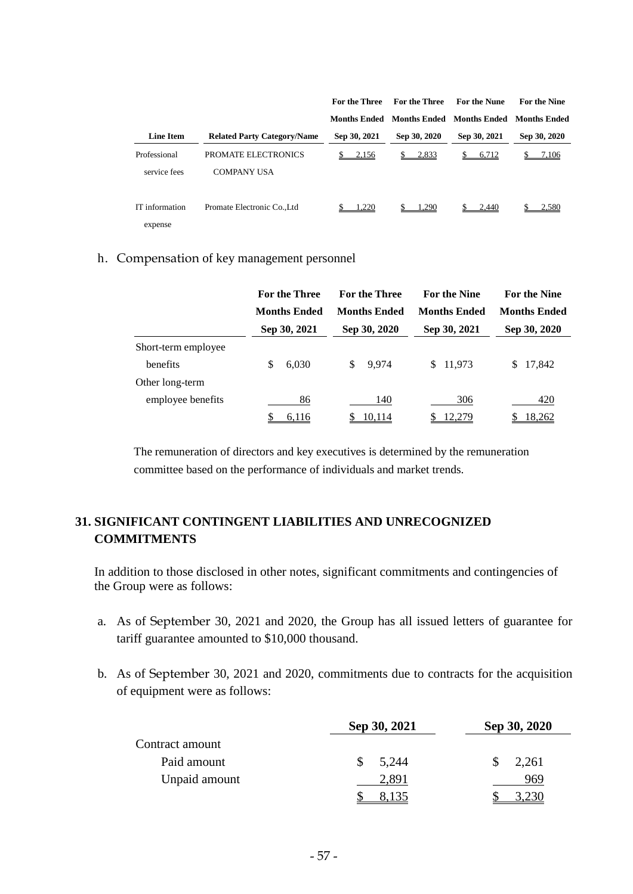|                              |                                           | For the Three | <b>For the Three</b> | <b>For the Nune</b>       | <b>For the Nine</b> |
|------------------------------|-------------------------------------------|---------------|----------------------|---------------------------|---------------------|
|                              |                                           | Months Ended  |                      | Months Ended Months Ended | Months Ended        |
| <b>Line Item</b>             | <b>Related Party Category/Name</b>        | Sep 30, 2021  | Sep 30, 2020         | Sep 30, 2021              | Sep 30, 2020        |
| Professional<br>service fees | PROMATE ELECTRONICS<br><b>COMPANY USA</b> | 2,156         | 2,833                | 6,712<br>\$               | 7,106               |
| IT information<br>expense    | Promate Electronic CoLtd                  | .220          | .290                 | 2.440                     | 2,580               |

#### h. Compensation of key management personnel

|                     | <b>For the Three</b> | <b>For the Three</b> | <b>For the Nine</b> | <b>For the Nine</b> |  |
|---------------------|----------------------|----------------------|---------------------|---------------------|--|
|                     | <b>Months Ended</b>  | <b>Months Ended</b>  | <b>Months Ended</b> | <b>Months Ended</b> |  |
|                     | Sep 30, 2021         | Sep 30, 2020         | Sep 30, 2021        | Sep 30, 2020        |  |
| Short-term employee |                      |                      |                     |                     |  |
| <b>benefits</b>     | 6,030<br>S           | \$<br>9.974          | 11,973<br>S.        | 17,842<br>\$.       |  |
| Other long-term     |                      |                      |                     |                     |  |
| employee benefits   | 86                   | 140                  | 306                 | 420                 |  |
|                     | 6.116                | 10.114               | 2,279               | 8,262               |  |

The remuneration of directors and key executives is determined by the remuneration committee based on the performance of individuals and market trends.

# **31. SIGNIFICANT CONTINGENT LIABILITIES AND UNRECOGNIZED COMMITMENTS**

In addition to those disclosed in other notes, significant commitments and contingencies of the Group were as follows:

- a. As of September 30, 2021 and 2020, the Group has all issued letters of guarantee for tariff guarantee amounted to \$10,000 thousand.
- b. As of September 30, 2021 and 2020, commitments due to contracts for the acquisition of equipment were as follows:

|                 | Sep 30, 2021 | Sep 30, 2020 |  |  |
|-----------------|--------------|--------------|--|--|
| Contract amount |              |              |  |  |
| Paid amount     | 5,244        | 2,261<br>\$. |  |  |
| Unpaid amount   | 2,891        | 969          |  |  |
|                 |              |              |  |  |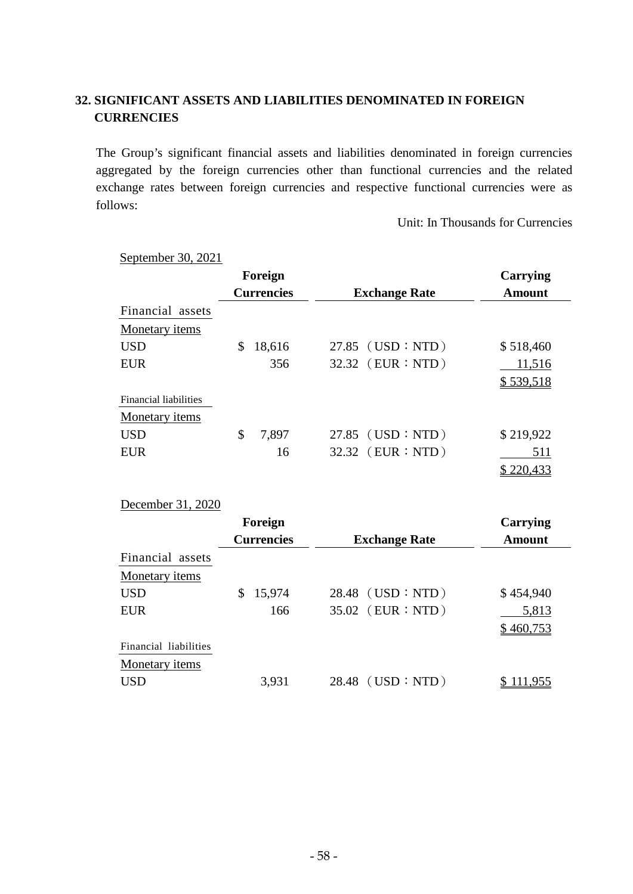# **32. SIGNIFICANT ASSETS AND LIABILITIES DENOMINATED IN FOREIGN CURRENCIES**

The Group's significant financial assets and liabilities denominated in foreign currencies aggregated by the foreign currencies other than functional currencies and the related exchange rates between foreign currencies and respective functional currencies were as follows:

Unit: In Thousands for Currencies

| September 30, 2021    |                   |                      |                  |
|-----------------------|-------------------|----------------------|------------------|
|                       | Foreign           |                      | Carrying         |
|                       | <b>Currencies</b> | <b>Exchange Rate</b> | <b>Amount</b>    |
| Financial assets      |                   |                      |                  |
| Monetary <i>items</i> |                   |                      |                  |
| <b>USD</b>            | \$<br>18,616      | $27.85$ (USD : NTD)  | \$518,460        |
| <b>EUR</b>            | 356               | 32.32 (EUR : NTD)    | 11,516           |
|                       |                   |                      | \$539,518        |
| Financial liabilities |                   |                      |                  |
| Monetary <i>items</i> |                   |                      |                  |
| <b>USD</b>            | \$<br>7,897       | $27.85$ (USD : NTD)  | \$219,922        |
| <b>EUR</b>            | 16                | 32.32 (EUR : NTD)    | 511              |
|                       |                   |                      | <u> 220,4</u> 33 |

#### December 31, 2020

|                       | Foreign                                   |                   | Carrying  |
|-----------------------|-------------------------------------------|-------------------|-----------|
|                       | <b>Currencies</b><br><b>Exchange Rate</b> |                   | Amount    |
| Financial assets      |                                           |                   |           |
| Monetary <i>items</i> |                                           |                   |           |
| <b>USD</b>            | 15,974                                    | 28.48 (USD : NTD) | \$454,940 |
| <b>EUR</b>            | 166                                       | 35.02 (EUR : NTD) | 5,813     |
|                       |                                           |                   | \$460,753 |
| Financial liabilities |                                           |                   |           |
| Monetary <i>items</i> |                                           |                   |           |
| <b>USD</b>            | 3,931                                     | 28.48 (USD : NTD) |           |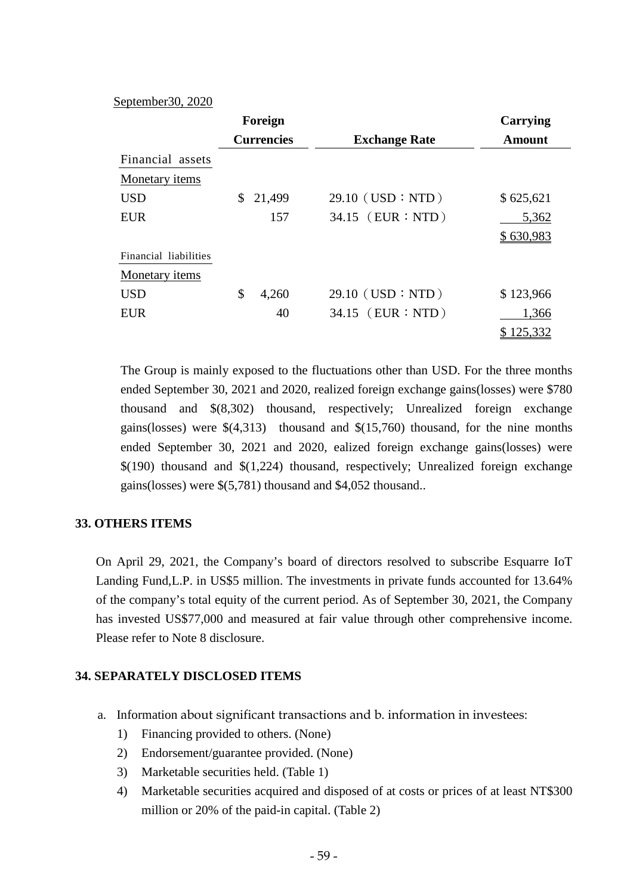#### September30, 2020

|                       | Foreign           |                      | <b>Carrying</b> |
|-----------------------|-------------------|----------------------|-----------------|
|                       | <b>Currencies</b> | <b>Exchange Rate</b> | <b>Amount</b>   |
| Financial assets      |                   |                      |                 |
| Monetary items        |                   |                      |                 |
| <b>USD</b>            | \$<br>21,499      | $29.10$ (USD : NTD)  | \$625,621       |
| <b>EUR</b>            | 157               | 34.15 (EUR : NTD)    | 5,362           |
|                       |                   |                      | \$630,983       |
| Financial liabilities |                   |                      |                 |
| Monetary items        |                   |                      |                 |
| <b>USD</b>            | \$<br>4,260       | $29.10$ (USD : NTD)  | \$123,966       |
| <b>EUR</b>            | 40                | 34.15 (EUR : NTD)    | 1,366           |
|                       |                   |                      | 125,332         |

The Group is mainly exposed to the fluctuations other than USD. For the three months ended September 30, 2021 and 2020, realized foreign exchange gains(losses) were \$780 thousand and \$(8,302) thousand, respectively; Unrealized foreign exchange gains(losses) were \$(4,313) thousand and \$(15,760) thousand, for the nine months ended September 30, 2021 and 2020, ealized foreign exchange gains(losses) were \$(190) thousand and \$(1,224) thousand, respectively; Unrealized foreign exchange gains(losses) were \$(5,781) thousand and \$4,052 thousand..

# **33. OTHERS ITEMS**

On April 29, 2021, the Company's board of directors resolved to subscribe Esquarre IoT Landing Fund,L.P. in US\$5 million. The investments in private funds accounted for 13.64% of the company's total equity of the current period. As of September 30, 2021, the Company has invested US\$77,000 and measured at fair value through other comprehensive income. Please refer to Note 8 disclosure.

# **34. SEPARATELY DISCLOSED ITEMS**

- a. Information about significant transactions and b. information in investees:
	- 1) Financing provided to others. (None)
	- 2) Endorsement/guarantee provided. (None)
	- 3) Marketable securities held. (Table 1)
	- 4) Marketable securities acquired and disposed of at costs or prices of at least NT\$300 million or 20% of the paid-in capital. (Table 2)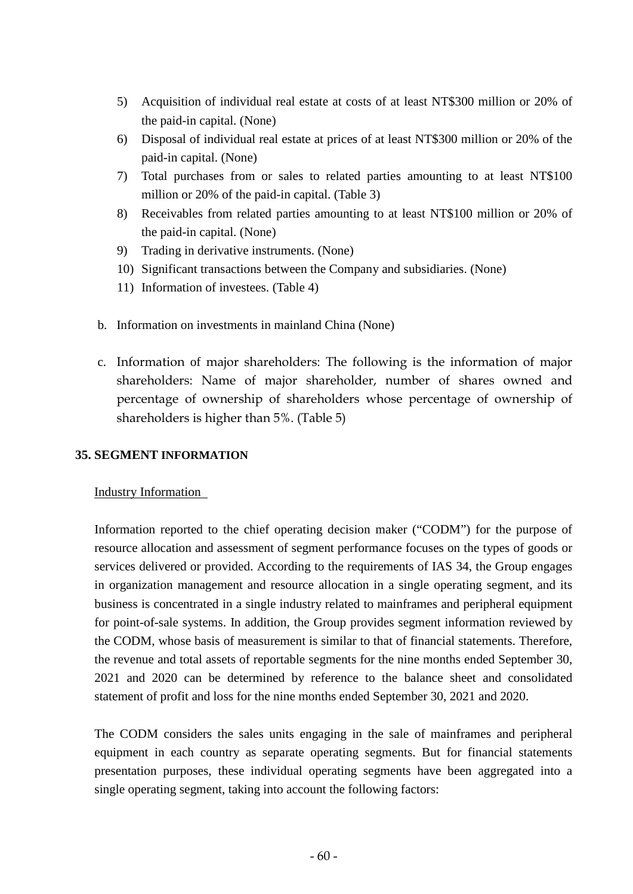- 5) Acquisition of individual real estate at costs of at least NT\$300 million or 20% of the paid-in capital. (None)
- 6) Disposal of individual real estate at prices of at least NT\$300 million or 20% of the paid-in capital. (None)
- 7) Total purchases from or sales to related parties amounting to at least NT\$100 million or 20% of the paid-in capital. (Table 3)
- 8) Receivables from related parties amounting to at least NT\$100 million or 20% of the paid-in capital. (None)
- 9) Trading in derivative instruments. (None)
- 10) Significant transactions between the Company and subsidiaries. (None)
- 11) Information of investees. (Table 4)
- b. Information on investments in mainland China (None)
- c. Information of major shareholders: The following is the information of major shareholders: Name of major shareholder, number of shares owned and percentage of ownership of shareholders whose percentage of ownership of shareholders is higher than 5%. (Table 5)

# **35. SEGMENT INFORMATION**

# Industry Information

Information reported to the chief operating decision maker ("CODM") for the purpose of resource allocation and assessment of segment performance focuses on the types of goods or services delivered or provided. According to the requirements of IAS 34, the Group engages in organization management and resource allocation in a single operating segment, and its business is concentrated in a single industry related to mainframes and peripheral equipment for point-of-sale systems. In addition, the Group provides segment information reviewed by the CODM, whose basis of measurement is similar to that of financial statements. Therefore, the revenue and total assets of reportable segments for the nine months ended September 30, 2021 and 2020 can be determined by reference to the balance sheet and consolidated statement of profit and loss for the nine months ended September 30, 2021 and 2020.

The CODM considers the sales units engaging in the sale of mainframes and peripheral equipment in each country as separate operating segments. But for financial statements presentation purposes, these individual operating segments have been aggregated into a single operating segment, taking into account the following factors: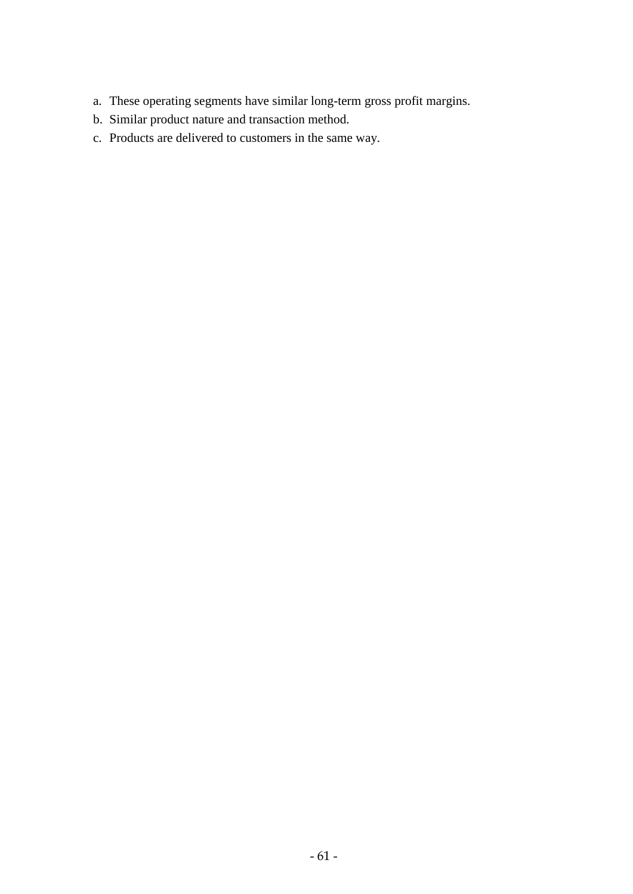- a. These operating segments have similar long-term gross profit margins.
- b. Similar product nature and transaction method.
- c. Products are delivered to customers in the same way.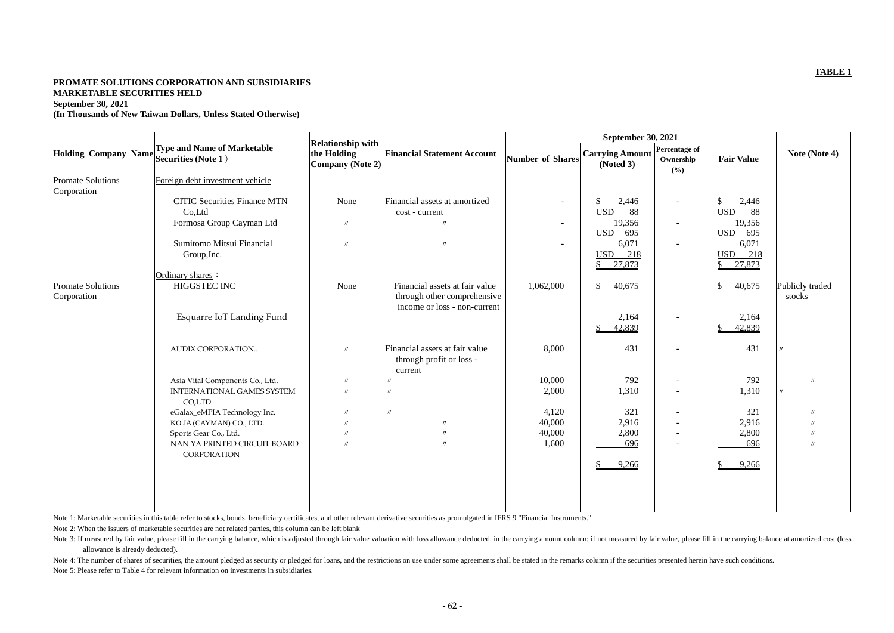# **PROMATE SOLUTIONS CORPORATION AND SUBSIDIARIES MARKETABLE SECURITIES HELD September 30, 2021 (In Thousands of New Taiwan Dollars, Unless Stated Otherwise)**

| <b>Type and Name of Marketable</b><br><b>Holding Company Name</b><br>Securities (Note 1) | the Holding                                                                                                          | <b>Financial Statement Account</b>                            |                                                             | <b>Carrying Amount</b><br>(Noted 3) | Ownership                                                             | <b>Fair Value</b>                                   | Note (Note 4)                                     |
|------------------------------------------------------------------------------------------|----------------------------------------------------------------------------------------------------------------------|---------------------------------------------------------------|-------------------------------------------------------------|-------------------------------------|-----------------------------------------------------------------------|-----------------------------------------------------|---------------------------------------------------|
| Foreign debt investment vehicle                                                          |                                                                                                                      |                                                               |                                                             |                                     |                                                                       |                                                     |                                                   |
| <b>CITIC Securities Finance MTN</b>                                                      | None                                                                                                                 | Financial assets at amortized                                 |                                                             | $\mathcal{S}$<br>2,446              | $\sim$                                                                | $\mathbb{S}$<br>2,446                               |                                                   |
| Co,Ltd                                                                                   |                                                                                                                      | cost - current                                                |                                                             | <b>USD</b><br>88                    |                                                                       | <b>USD</b><br>88                                    |                                                   |
| Formosa Group Cayman Ltd                                                                 | $\prime\prime$                                                                                                       | $\prime$                                                      |                                                             | 19,356                              | $\overline{\phantom{a}}$                                              | 19,356                                              |                                                   |
| Sumitomo Mitsui Financial                                                                | $\prime\prime$                                                                                                       | $\prime$                                                      |                                                             |                                     | $\overline{\phantom{a}}$                                              |                                                     |                                                   |
|                                                                                          |                                                                                                                      |                                                               |                                                             | 218<br><b>USD</b>                   |                                                                       | 218<br><b>USD</b>                                   |                                                   |
|                                                                                          |                                                                                                                      |                                                               |                                                             | 27,873<br>\$                        |                                                                       | 27,873<br>\$                                        |                                                   |
| Ordinary shares:                                                                         |                                                                                                                      |                                                               |                                                             |                                     |                                                                       |                                                     |                                                   |
| HIGGSTEC INC                                                                             | None                                                                                                                 | Financial assets at fair value<br>through other comprehensive | 1,062,000                                                   | $\mathcal{S}$<br>40,675             |                                                                       | 40,675<br>\$                                        | Publicly traded<br>stocks                         |
| Esquarre IoT Landing Fund                                                                |                                                                                                                      |                                                               |                                                             | 2,164<br>42,839                     | $\overline{\phantom{a}}$                                              | 2,164<br>42,839                                     |                                                   |
| AUDIX CORPORATION                                                                        | $\prime$                                                                                                             | Financial assets at fair value<br>through profit or loss -    | 8,000                                                       | 431                                 | $\overline{\phantom{a}}$                                              | 431                                                 |                                                   |
|                                                                                          | $^{\prime\prime}$                                                                                                    |                                                               |                                                             |                                     | $\overline{\phantom{a}}$                                              |                                                     | $\prime$                                          |
| <b>INTERNATIONAL GAMES SYSTEM</b>                                                        | $\prime$                                                                                                             |                                                               | 2,000                                                       | 1,310                               | $\overline{\phantom{a}}$                                              | 1,310                                               |                                                   |
|                                                                                          | $^{\prime\prime}$                                                                                                    | $\prime$                                                      |                                                             |                                     | $\sim$                                                                |                                                     |                                                   |
|                                                                                          | $^{\prime\prime}$                                                                                                    | $\prime\prime$                                                |                                                             |                                     | $\overline{\phantom{a}}$                                              |                                                     |                                                   |
| Sports Gear Co., Ltd.                                                                    | $^{\prime\prime}$                                                                                                    | $\prime\prime$                                                | 40,000                                                      | 2,800                               | $\overline{\phantom{a}}$                                              | 2,800                                               |                                                   |
| NAN YA PRINTED CIRCUIT BOARD                                                             | $^{\prime\prime}$                                                                                                    | $\prime$                                                      | 1,600                                                       | 696                                 | $\overline{\phantom{a}}$                                              | 696                                                 | $\prime$                                          |
| CORPORATION                                                                              |                                                                                                                      |                                                               |                                                             | $\mathbb{S}$<br>9,266               |                                                                       | 9,266                                               |                                                   |
|                                                                                          | Group, Inc.<br>Asia Vital Components Co., Ltd.<br>CO,LTD<br>eGalax_eMPIA Technology Inc.<br>KO JA (CAYMAN) CO., LTD. | <b>Relationship with</b>                                      | Company (Note 2)<br>income or loss - non-current<br>current | 10,000<br>4,120<br>40,000           | Number of Shares<br><b>USD</b><br>695<br>6,071<br>792<br>321<br>2,916 | <b>September 30, 2021</b><br>Percentage of<br>(9/0) | 695<br><b>USD</b><br>6,071<br>792<br>321<br>2,916 |

Note 1: Marketable securities in this table refer to stocks, bonds, beneficiary certificates, and other relevant derivative securities as promulgated in IFRS 9 "Financial Instruments."

Note 2: When the issuers of marketable securities are not related parties, this column can be left blank

Note 3: If measured by fair value, please fill in the carrying balance, which is adjusted through fair value valuation with loss allowance deducted, in the carrying amount column; if not measured by fair value, please fill allowance is already deducted). Note 4: The number of shares of securities, the amount pledged as security or pledged for loans, and the restrictions on use under some agreements shall be stated in the remarks column if the securities presented herein ha

Note 5: Please refer to Table 4 for relevant information on investments in subsidiaries.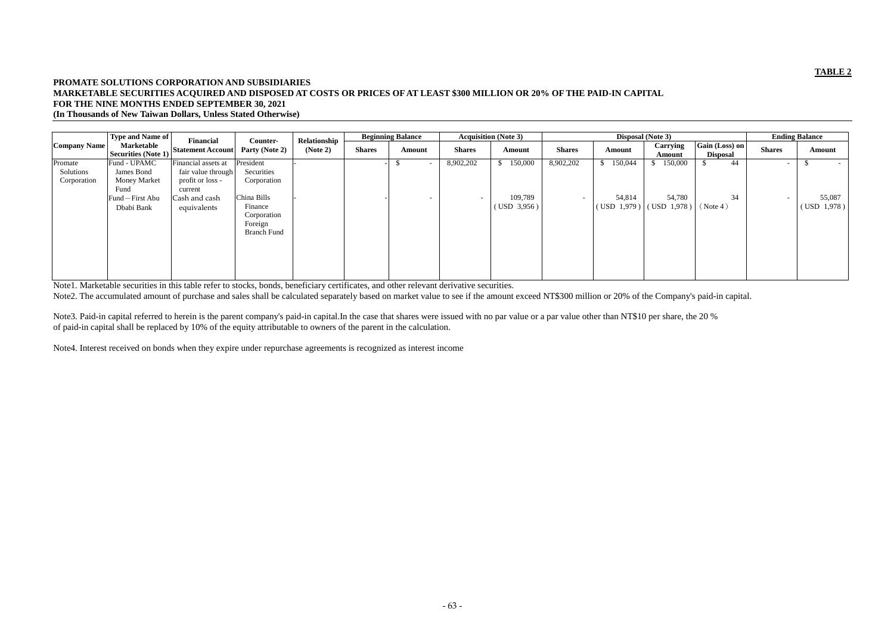# **PROMATE SOLUTIONS CORPORATION AND SUBSIDIARIES MARKETABLE SECURITIES ACQUIRED AND DISPOSED AT COSTS OR PRICES OF AT LEAST \$300 MILLION OR 20% OF THE PAID-IN CAPITAL FOR THE NINE MONTHS ENDED SEPTEMBER 30, 2021 (In Thousands of New Taiwan Dollars, Unless Stated Otherwise)**

|                     | Type and Name of                  | Financial                |                                                         | Relationship |               | <b>Beginning Balance</b> |                          | <b>Acquisition (Note 3)</b> |                          |                                                                    | <b>Disposal</b> (Note 3) |                                   |               | <b>Ending Balance</b> |
|---------------------|-----------------------------------|--------------------------|---------------------------------------------------------|--------------|---------------|--------------------------|--------------------------|-----------------------------|--------------------------|--------------------------------------------------------------------|--------------------------|-----------------------------------|---------------|-----------------------|
| <b>Company Name</b> | Marketable<br>Securities (Note 1) | <b>Statement Account</b> | Counter-<br>Party (Note 2)                              | (Note 2)     | <b>Shares</b> | Amount                   | <b>Shares</b>            | Amount                      | <b>Shares</b>            | Amount                                                             | Carrying<br>Amount       | Gain (Loss) on<br><b>Disposal</b> | <b>Shares</b> | Amount                |
| Promate             | Fund - UPAMC                      | Financial assets at      | President                                               |              |               | $\overline{\phantom{0}}$ | 8,902,202                | 150,000                     | 8,902,202                | 150,044                                                            | 150,000                  | 44                                | $\sim$        | $\sim$                |
| Solutions           | James Bond                        | fair value through       | Securities                                              |              |               |                          |                          |                             |                          |                                                                    |                          |                                   |               |                       |
| Corporation         | <b>Money Market</b>               | profit or loss -         | Corporation                                             |              |               |                          |                          |                             |                          |                                                                    |                          |                                   |               |                       |
|                     | Fund                              | current                  |                                                         |              |               |                          |                          |                             |                          |                                                                    |                          |                                   |               |                       |
|                     | Fund-First Abu                    | Cash and cash            | China Bills                                             |              |               | $\overline{\phantom{0}}$ | $\overline{\phantom{a}}$ | 109,789                     | $\overline{\phantom{0}}$ | 54,814                                                             | 54,780                   | 34                                |               | 55,087                |
|                     | Dbabi Bank                        | equivalents              | Finance<br>Corporation<br>Foreign<br><b>Branch Fund</b> |              |               |                          |                          | (USD 3,956)                 |                          | $($ USD $\left 1,979\right)$ $\left $ $($ USD $\left 1,978\right)$ |                          | (Note 4)                          |               | (USD 1,978)           |

Note3. Paid-in capital referred to herein is the parent company's paid-in capital.In the case that shares were issued with no par value or a par value other than NT\$10 per share, the 20 % of paid-in capital shall be replaced by 10% of the equity attributable to owners of the parent in the calculation.

Note1. Marketable securities in this table refer to stocks, bonds, beneficiary certificates, and other relevant derivative securities.

Note2. The accumulated amount of purchase and sales shall be calculated separately based on market value to see if the amount exceed NT\$300 million or 20% of the Company's paid-in capital.

Note4. Interest received on bonds when they expire under repurchase agreements is recognized as interest income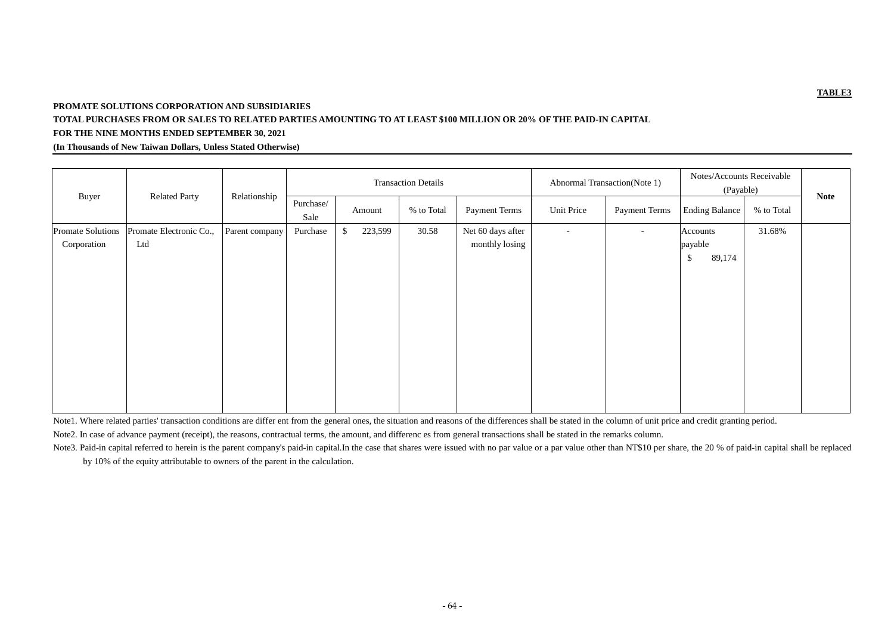# **PROMATE SOLUTIONS CORPORATION AND SUBSIDIARIES**

# **TOTAL PURCHASES FROM OR SALES TO RELATED PARTIES AMOUNTING TO AT LEAST \$100 MILLION OR 20% OF THE PAID-IN CAPITAL FOR THE NINE MONTHS ENDED SEPTEMBER 30, 2021**

**(In Thousands of New Taiwan Dollars, Unless Stated Otherwise)**

|                                  |                                | <b>Related Party</b><br>Relationship | <b>Transaction Details</b> |                          |                      |                                     |                      | <b>Abnormal Transaction</b> (Note 1) | Notes/Accounts Receivable<br>(Payable)                   |             |  |
|----------------------------------|--------------------------------|--------------------------------------|----------------------------|--------------------------|----------------------|-------------------------------------|----------------------|--------------------------------------|----------------------------------------------------------|-------------|--|
| Buyer                            | Purchase/<br>Sale              |                                      | Amount                     | % to Total               | <b>Payment Terms</b> | Unit Price                          | <b>Payment Terms</b> | <b>Ending Balance</b>                | % to Total                                               | <b>Note</b> |  |
| Promate Solutions<br>Corporation | Promate Electronic Co.,<br>Ltd | Parent company                       | Purchase                   | $\mathcal{S}$<br>223,599 | 30.58                | Net 60 days after<br>monthly losing | $\sim$               | $\sim$                               | Accounts<br>payable<br>$\sqrt[6]{\frac{1}{2}}$<br>89,174 | 31.68%      |  |

Note1. Where related parties' transaction conditions are differ ent from the general ones, the situation and reasons of the differences shall be stated in the column of unit price and credit granting period. Note2. In case of advance payment (receipt), the reasons, contractual terms, the amount, and differenc es from general transactions shall be stated in the remarks column.

Note3. Paid-in capital referred to herein is the parent company's paid-in capital.In the case that shares were issued with no par value or a par value other than NT\$10 per share, the 20 % of paid-in capital shall be replac

by 10% of the equity attributable to owners of the parent in the calculation.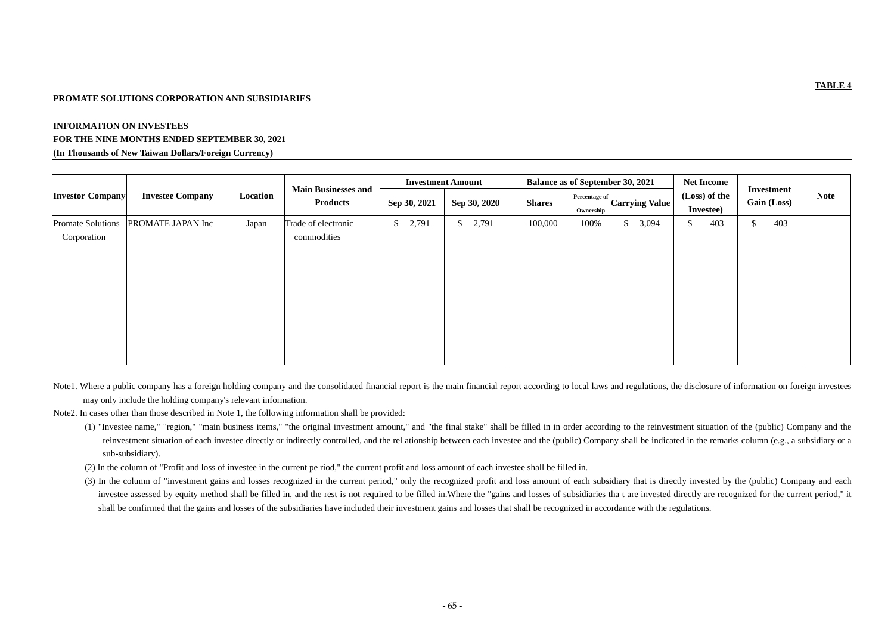# **PROMATE SOLUTIONS CORPORATION AND SUBSIDIARIES**

# **INFORMATION ON INVESTEES FOR THE NINE MONTHS ENDED SEPTEMBER 30, 2021 (In Thousands of New Taiwan Dollars/Foreign Currency)**

|                                         | <b>Investee Company</b> | Location | <b>Main Businesses and</b><br><b>Products</b> |                        | <b>Investment Amount</b> |               |                                   | <b>Balance as of September 30, 2021</b> | <b>Net Income</b>          |                                  |             |
|-----------------------------------------|-------------------------|----------|-----------------------------------------------|------------------------|--------------------------|---------------|-----------------------------------|-----------------------------------------|----------------------------|----------------------------------|-------------|
| <b>Investor Company</b>                 |                         |          |                                               | Sep 30, 2021           | Sep 30, 2020             | <b>Shares</b> | <b>Percentage of</b><br>Ownership | Carrying Value                          | (Loss) of the<br>Investee) | Investment<br><b>Gain (Loss)</b> | <b>Note</b> |
| <b>Promate Solutions</b><br>Corporation | PROMATE JAPAN Inc       | Japan    | Trade of electronic<br>commodities            | 2,791<br>$\mathcal{S}$ | 2,791<br>$\mathsf{S}$    | 100,000       | 100%                              | 3,094<br>$\mathcal{S}$                  | 403<br>$\mathbb{S}$        | 403<br>$\boldsymbol{\mathsf{S}}$ |             |

- Note1. Where a public company has a foreign holding company and the consolidated financial report is the main financial report according to local laws and regulations, the disclosure of information on foreign investees may only include the holding company's relevant information.
- Note2. In cases other than those described in Note 1, the following information shall be provided:
	- (1) "Investee name," "region," "main business items," "the original investment amount," and "the final stake" shall be filled in in order according to the reinvestment situation of the (public) Company and the reinvestment situation of each investee directly or indirectly controlled, and the rel ationship between each investee and the (public) Company shall be indicated in the remarks column (e.g., a subsidiary or a sub-subsidiary).
	- (2) In the column of "Profit and loss of investee in the current pe riod," the current profit and loss amount of each investee shall be filled in.
	- (3) In the column of "investment gains and losses recognized in the current period," only the recognized profit and loss amount of each subsidiary that is directly invested by the (public) Company and each investee assessed by equity method shall be filled in, and the rest is not required to be filled in.Where the "gains and losses of subsidiaries tha t are invested directly are recognized for the current period," it shall be confirmed that the gains and losses of the subsidiaries have included their investment gains and losses that shall be recognized in accordance with the regulations.